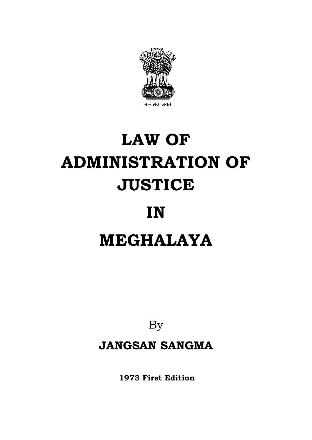

# **LAW OF ADMINISTRATION OF JUSTICE**

# **IN**

# **MEGHALAYA**

By

**JANGSAN SANGMA**

**1973 First Edition**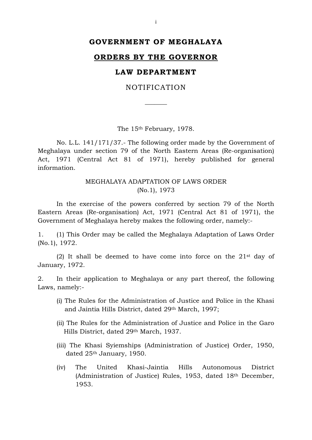# **GOVERNMENT OF MEGHALAYA**

#### **ORDERS BY THE GOVERNOR**

# **LAW DEPARTMENT**

NOTIFICATION

 $\overline{\phantom{a}}$ 

The 15th February, 1978.

No. L.L. 141/171/37.- The following order made by the Government of Meghalaya under section 79 of the North Eastern Areas (Re-organisation) Act, 1971 (Central Act 81 of 1971), hereby published for general information.

# MEGHALAYA ADAPTATION OF LAWS ORDER (No.1), 1973

In the exercise of the powers conferred by section 79 of the North Eastern Areas (Re-organisation) Act, 1971 (Central Act 81 of 1971), the Government of Meghalaya hereby makes the following order, namely:-

1. (1) This Order may be called the Meghalaya Adaptation of Laws Order (No.1), 1972.

(2) It shall be deemed to have come into force on the  $21<sup>st</sup>$  day of January, 1972.

2. In their application to Meghalaya or any part thereof, the following Laws, namely:-

- (i) The Rules for the Administration of Justice and Police in the Khasi and Jaintia Hills District, dated 29th March, 1997;
- (ii) The Rules for the Administration of Justice and Police in the Garo Hills District, dated 29th March, 1937.
- (iii) The Khasi Syiemships (Administration of Justice) Order, 1950, dated 25th January, 1950.
- (iv) The United Khasi-Jaintia Hills Autonomous District (Administration of Justice) Rules, 1953, dated 18th December, 1953.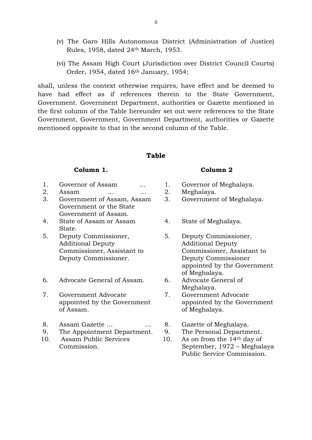- (v) The Garo Hills Autonomous District (Administration of Justice) Rules, 1958, dated 24th March, 1953.
- (vi) The Assam High Court (Jurisdiction over District Council Courts) Order, 1954, dated 16th January, 1954;

shall, unless the context otherwise requires, have effect and be deemed to have had effect as if references therein to the State Government, Government. Government Department, authorities or Gazette mentioned in the first column of the Table hereunder set out were references to the State Government, Government, Government Department, authorities or Gazette mentioned opposite to that in the second column of the Table.

# **Table**

- 1. Governor of Assam ... 1. Governor of Meghalaya.
- 2. Assam … … 2. Meghalaya.
- 3. Government of Assam, Assam Government or the State Government of Assam.
- 4. State of Assam or Assam State.
- 5. Deputy Commissioner, Additional Deputy Commissioner, Assistant to Deputy Commissioner.
- 6. Advocate General of Assam. 6. Advocate General of
- 7. Government Advocate appointed by the Government of Assam.
- 8. Assam Gazette ... . ... 8. Gazette of Meghalaya.
- 9. The Appointment Department. 9. The Personal Department.
- 10. Assam Public Services Commission.

#### **Column 1. Column 2**

- 
- 
- 3. Government of Meghalaya.
- 4. State of Meghalaya.
- 5. Deputy Commissioner, Additional Deputy Commissioner, Assistant to Deputy Commissioner appointed by the Government of Meghalaya.
- Meghalaya.
- 7. Government Advocate appointed by the Government of Meghalaya.
- 
- 
- 10. As on from the 14th day of September, 1972 – Meghalaya Public Service Commission.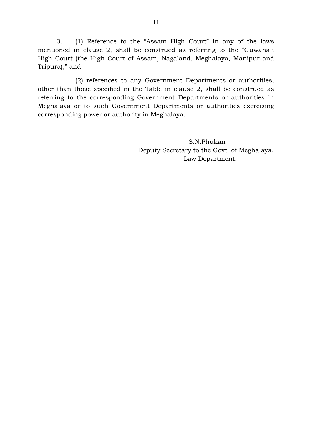3. (1) Reference to the "Assam High Court" in any of the laws mentioned in clause 2, shall be construed as referring to the "Guwahati High Court (the High Court of Assam, Nagaland, Meghalaya, Manipur and Tripura)," and

(2) references to any Government Departments or authorities, other than those specified in the Table in clause 2, shall be construed as referring to the corresponding Government Departments or authorities in Meghalaya or to such Government Departments or authorities exercising corresponding power or authority in Meghalaya.

> S.N.Phukan Deputy Secretary to the Govt. of Meghalaya, Law Department.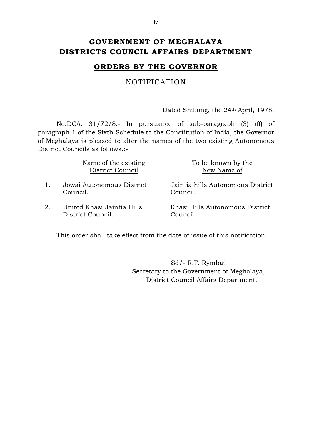# **GOVERNMENT OF MEGHALAYA DISTRICTS COUNCIL AFFAIRS DEPARTMENT**

# **ORDERS BY THE GOVERNOR**

NOTIFICATION

 $\overline{\phantom{a}}$ 

Dated Shillong, the 24<sup>th</sup> April, 1978.

No.DCA. 31/72/8.- In pursuance of sub-paragraph (3) (ff) of paragraph 1 of the Sixth Schedule to the Constitution of India, the Governor of Meghalaya is pleased to alter the names of the two existing Autonomous District Councils as follows.:-

| Name of the existing |
|----------------------|
| District Council     |

- 1. Jowai Autonomous District Council.
- 2. United Khasi Jaintia Hills District Council.

To be known by the New Name of

Jaintia hills Autonomous District Council.

Khasi Hills Autonomous District Council.

This order shall take effect from the date of issue of this notification.

 $\overline{\phantom{a}}$  , where  $\overline{\phantom{a}}$ 

 Sd/- R.T. Rymbai, Secretary to the Government of Meghalaya, District Council Affairs Department.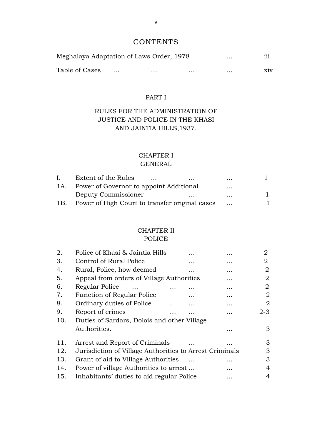# **CONTENTS**

| Meghalaya Adaptation of Laws Order, 1978<br>$\cdots$ |  |          |          |          | $\cdots$ |
|------------------------------------------------------|--|----------|----------|----------|----------|
| Table of Cases                                       |  | $\cdots$ | $\cdots$ | $\cdots$ | X1V      |

# PART I

# RULES FOR THE ADMINISTRATION OF JUSTICE AND POLICE IN THE KHASI AND JAINTIA HILLS,1937.

# CHAPTER I

# GENERAL

| $\mathbf{L}$ | Extent of the Rules<br>$\cdots$<br>$\cdots$    | $\cdots$ |  |
|--------------|------------------------------------------------|----------|--|
| 1A.          | Power of Governor to appoint Additional        | $\cdots$ |  |
|              | Deputy Commissioner<br>$\cdots$                | $\cdots$ |  |
| 1B.          | Power of High Court to transfer original cases |          |  |

### CHAPTER II POLICE

| 2.  | Police of Khasi & Jaintia Hills                         |   |           | $\overline{2}$ |
|-----|---------------------------------------------------------|---|-----------|----------------|
| 3.  | Control of Rural Police                                 | . | $\cdots$  | 2              |
| 4.  | Rural, Police, how deemed                               | . | .         | 2              |
| 5.  | Appeal from orders of Village Authorities               |   | .         | 2              |
| 6.  | Regular Police                                          |   | $\ddotsc$ | 2              |
| 7.  | Function of Regular Police                              | . | .         | 2              |
| 8.  | Ordinary duties of Police                               | . | .         | 2              |
| 9.  | Report of crimes                                        |   |           | $2 - 3$        |
| 10. | Duties of Sardars, Dolois and other Village             |   |           |                |
|     | Authorities.                                            |   |           | 3              |
| 11. | Arrest and Report of Criminals                          |   | $\cdots$  | 3              |
| 12. | Jurisdiction of Village Authorities to Arrest Criminals |   |           | 3              |
| 13. | Grant of aid to Village Authorities                     |   | .         | 3              |
| 14. | Power of village Authorities to arrest                  |   | .         | 4              |
| 15. | Inhabitants' duties to aid regular Police               |   | $\cdots$  | 4              |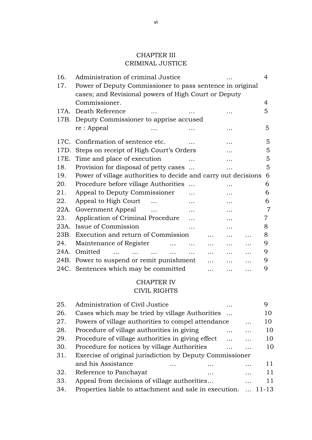# CHAPTER III CRIMINAL JUSTICE

| 16.  | Administration of criminal Justice                             | 4 |  |  |  |
|------|----------------------------------------------------------------|---|--|--|--|
| 17.  | Power of Deputy Commissioner to pass sentence in original      |   |  |  |  |
|      | cases; and Revisional powers of High Court or Deputy           |   |  |  |  |
|      | Commissioner.                                                  | 4 |  |  |  |
|      | 17A. Death Reference                                           | 5 |  |  |  |
|      | 17B. Deputy Commissioner to apprise accused                    |   |  |  |  |
|      | re: Appeal                                                     | 5 |  |  |  |
|      | 17C. Confirmation of sentence etc.                             | 5 |  |  |  |
|      | 17D. Steps on receipt of High Court's Orders                   | 5 |  |  |  |
|      | 17E. Time and place of execution<br>.                          | 5 |  |  |  |
| 18.  | Provision for disposal of petty cases                          | 5 |  |  |  |
| 19.  | Power of village authorities to decide and carry out decisions | 6 |  |  |  |
| 20.  | Procedure before village Authorities<br>$\dddotsc$<br>.        | 6 |  |  |  |
| 21.  | Appeal to Deputy Commissioner                                  | 6 |  |  |  |
| 22.  | Appeal to High Court<br>.<br>.                                 | 6 |  |  |  |
| 22A. | Government Appeal<br>.                                         | 7 |  |  |  |
| 23.  | Application of Criminal Procedure                              | 7 |  |  |  |
|      | 23A. Issue of Commission                                       | 8 |  |  |  |
|      | 23B. Execution and return of Commission                        | 8 |  |  |  |
| 24.  | Maintenance of Register<br>.                                   | 9 |  |  |  |
| 24A. | Omitted<br>$\cdots$                                            | 9 |  |  |  |
|      | 24B. Power to suspend or remit punishment                      | 9 |  |  |  |
|      | 24C. Sentences which may be committed<br>.                     | 9 |  |  |  |

# CHAPTER IV CIVIL RIGHTS

| 25. | Administration of Civil Justice                          |   |           | 9     |
|-----|----------------------------------------------------------|---|-----------|-------|
| 26. | Cases which may be tried by village Authorities          |   |           | 10    |
| 27. | Powers of village authorities to compel attendance       |   |           | 10    |
| 28. | Procedure of village authorities in giving               | . |           | 10    |
| 29. | Procedure of village authorities in giving effect        |   |           | 10    |
| 30. | Procedure for notices by village Authorities             |   |           | 10    |
| 31. | Exercise of original jurisdiction by Deputy Commissioner |   |           |       |
|     | and his Assistance                                       |   | .         | 11    |
| 32. | Reference to Panchayat<br>.                              |   | $\ddotsc$ | 11    |
| 33. | Appeal from decisions of village authorities             |   | .         | 11    |
| 34. | Properties liable to attachment and sale in execution.   |   |           | 11-13 |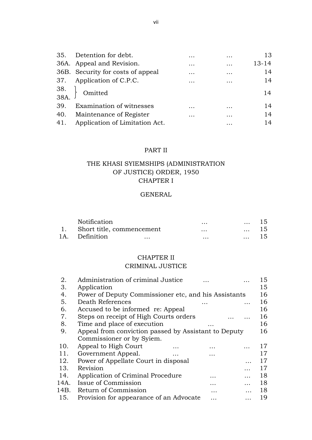| 35. | Detention for debt.                                 | $\cdots$ | .        | 13        |
|-----|-----------------------------------------------------|----------|----------|-----------|
|     | 36A. Appeal and Revision.                           | $\cdots$ | $\cdots$ | $13 - 14$ |
|     | 36B. Security for costs of appeal                   | $\cdots$ | $\cdots$ | 14        |
|     | 37. Application of C.P.C.                           | $\cdots$ | .        | 14        |
|     | $\begin{bmatrix} 38. \\ 38A. \end{bmatrix}$ Omitted |          |          | 14        |
| 39. | Examination of witnesses                            | $\cdots$ | $\cdots$ | 14        |
| 40. | Maintenance of Register                             | $\cdots$ | $\cdots$ | 14        |
| 41. | Application of Limitation Act.                      |          | $\cdots$ | 14        |

# PART II

# THE KHASI SYIEMSHIPS (ADMINISTRATION OF JUSTICE) ORDER, 1950 CHAPTER I

#### GENERAL

| Notification                 | $\cdots$ | $\cdots$ | 15 |
|------------------------------|----------|----------|----|
| 1. Short title, commencement | $\cdots$ | $\cdots$ | 15 |
| 1A. Definition<br>$\cdots$   | $\cdots$ | $\cdots$ | 15 |

#### CHAPTER II

## CRIMINAL JUSTICE

| 2.   | Administration of criminal Justice                   |   |   | 15 |
|------|------------------------------------------------------|---|---|----|
| 3.   | Application                                          |   |   | 15 |
| 4.   | Power of Deputy Commissioner etc, and his Assistants |   |   | 16 |
| 5.   | Death References                                     |   |   | 16 |
| 6.   | Accused to be informed re: Appeal                    |   |   | 16 |
| 7.   | Steps on receipt of High Courts orders               |   |   | 16 |
| 8.   | Time and place of execution                          |   |   | 16 |
| 9.   | Appeal from conviction passed by Assistant to Deputy |   |   | 16 |
|      | Commissioner or by Syiem.                            |   |   |    |
| 10.  | Appeal to High Court                                 |   |   | 17 |
| 11.  | Government Appeal.                                   |   |   | 17 |
| 12.  | Power of Appellate Court in disposal                 |   |   | 17 |
| 13.  | Revision                                             |   |   | 17 |
| 14.  | Application of Criminal Procedure                    | . |   | 18 |
| 14A. | Issue of Commission                                  | . |   | 18 |
| 14B. | Return of Commission                                 | . |   | 18 |
| 15.  | Provision for appearance of an Advocate              | . | . | 19 |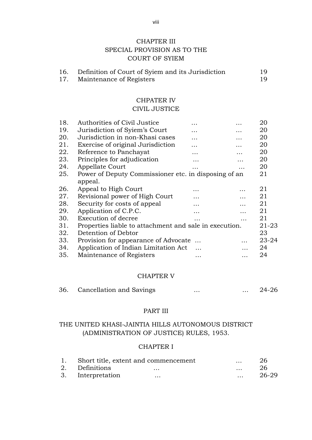# CHAPTER III SPECIAL PROVISION AS TO THE COURT OF SYIEM

| 16. | Definition of Court of Syiem and its Jurisdiction | 19. |
|-----|---------------------------------------------------|-----|
|     | Maintenance of Registers                          |     |

# CHPATER IV

# CIVIL JUSTICE

| 18. | Authorities of Civil Justice                           |           | . | 20        |
|-----|--------------------------------------------------------|-----------|---|-----------|
| 19. | Jurisdiction of Syiem's Court                          | .         |   | 20        |
| 20. | Jurisdiction in non-Khasi cases                        | .         | . | 20        |
| 21. | Exercise of original Jurisdiction                      | .         | . | 20        |
| 22. | Reference to Panchayat                                 | .         | . | 20        |
| 23. | Principles for adjudication                            | .         |   | 20        |
| 24. | Appellate Court                                        |           | . | 20        |
| 25. | Power of Deputy Commissioner etc. in disposing of an   |           |   | 21        |
|     | appeal.                                                |           |   |           |
| 26. | Appeal to High Court                                   | .         | . | 21        |
| 27. | Revisional power of High Court                         | .         | . | 21        |
| 28. | Security for costs of appeal                           | .         |   | 21        |
| 29. | Application of C.P.C.                                  | .         |   | 21        |
| 30. | Execution of decree                                    |           | . | 21        |
| 31. | Properties liable to attachment and sale in execution. |           |   | $21 - 23$ |
| 32. | Detention of Debtor                                    |           |   | 23        |
| 33. | Provision for appearance of Advocate                   |           |   | $23 - 24$ |
| 34. | Application of Indian Limitation Act                   | $\ddotsc$ |   | 24        |
| 35. | Maintenance of Registers                               | .         | . | 24        |
|     |                                                        |           |   |           |

#### CHAPTER V

| 36. | Cancellation and Savings |  | $24 - 26$ |
|-----|--------------------------|--|-----------|
|     |                          |  |           |

#### PART III

# THE UNITED KHASI-JAINTIA HILLS AUTONOMOUS DISTRICT (ADMINISTRATION OF JUSTICE) RULES, 1953.

#### CHAPTER I

|                   | 1. Short title, extent and commencement | $\cdots$ | 26    |
|-------------------|-----------------------------------------|----------|-------|
| 2. Definitions    | $\cdots$                                | $\cdots$ | 26    |
| 3. Interpretation | $\cdots$                                | $\cdots$ | 26-29 |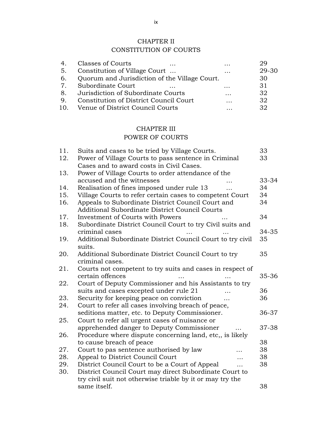# CHAPTER II

# CONSTITUTION OF COURTS

| 4.             | Classes of Courts<br>$\cdots$                 | $\cdot\cdot\cdot$ | 29    |
|----------------|-----------------------------------------------|-------------------|-------|
| -5.            | Constitution of Village Court                 | $\ddotsc$         | 29-30 |
| 6.             | Quorum and Jurisdiction of the Village Court. |                   | 30    |
| 7 <sub>1</sub> | Subordinate Court                             | $\ddotsc$         | 31    |
| . 8.           | Jurisdiction of Subordinate Courts            | $\cdots$          | 32    |
| 9.             | Constitution of District Council Court        | .                 | 32    |
| 10.            | Venue of District Council Courts              |                   | 32    |

# CHAPTER III

# POWER OF COURTS

| 11. | Suits and cases to be tried by Village Courts.             | 33    |
|-----|------------------------------------------------------------|-------|
| 12. | Power of Village Courts to pass sentence in Criminal       | 33    |
|     | Cases and to award costs in Civil Cases.                   |       |
| 13. | Power of Village Courts to order attendance of the         |       |
|     | accused and the witnesses                                  | 33-34 |
| 14. | Realisation of fines imposed under rule 13                 | 34    |
| 15. | Village Courts to refer certain cases to competent Court   | 34    |
| 16. | Appeals to Subordinate District Council Court and          | 34    |
|     | Additional Subordinate District Council Courts             |       |
| 17. | Investment of Courts with Powers                           | 34    |
| 18. | Subordinate District Council Court to try Civil suits and  |       |
|     | criminal cases                                             | 34-35 |
| 19. | Additional Subordinate District Council Court to try civil | 35    |
|     | suits.                                                     |       |
| 20. | Additional Subordinate District Council Court to try       | 35    |
|     | criminal cases.                                            |       |
| 21. | Courts not competent to try suits and cases in respect of  |       |
|     | certain offences                                           | 35-36 |
| 22. | Court of Deputy Commissioner and his Assistants to try     |       |
|     | suits and cases excepted under rule 21                     | 36    |
| 23. | Security for keeping peace on conviction<br>$\cdots$       | 36    |
| 24. | Court to refer all cases involving breach of peace,        |       |
|     | seditions matter, etc. to Deputy Commissioner.             | 36-37 |
| 25. | Court to refer all urgent cases of nuisance or             |       |
|     | apprehended danger to Deputy Commissioner                  | 37-38 |
| 26. | Procedure where dispute concerning land, etc., is likely   |       |
|     | to cause breach of peace                                   | 38    |
| 27. | Court to pas sentence authorised by law                    | 38    |
| 28. | Appeal to District Council Court                           | 38    |
| 29. | District Council Court to be a Court of Appeal             | 38    |
| 30. | District Council Court may direct Subordinate Court to     |       |
|     | try civil suit not otherwise triable by it or may try the  |       |
|     | same itself.                                               | 38    |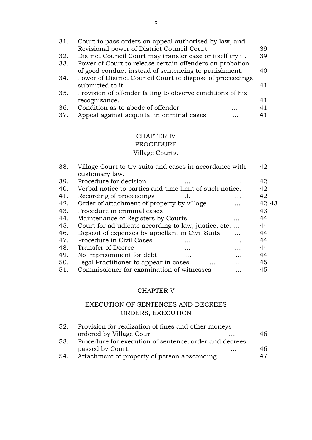| 31. | Court to pass orders on appeal authorised by law, and      |    |
|-----|------------------------------------------------------------|----|
|     | Revisional power of District Council Court.                | 39 |
| 32. | District Council Court may transfer case or itself try it. | 39 |
| 33. | Power of Court to release certain offenders on probation   |    |
|     | of good conduct instead of sentencing to punishment.       | 40 |
| 34. | Power of District Council Court to dispose of proceedings  |    |
|     | submitted to it.                                           | 41 |
| 35. | Provision of offender falling to observe conditions of his |    |
|     | recognizance.                                              | 41 |
| 36. | Condition as to abode of offender                          | 41 |
| 37. | Appeal against acquittal in criminal cases                 | 41 |

# CHAPTER IV

# PROCEDURE

# Village Courts.

| 38. | Village Court to try suits and cases in accordance with |   |           |
|-----|---------------------------------------------------------|---|-----------|
|     | customary law.                                          |   |           |
| 39. | Procedure for decision                                  |   | 42        |
| 40. | Verbal notice to parties and time limit of such notice. |   | 42        |
| 41. | Recording of proceedings                                |   | 42        |
| 42. | Order of attachment of property by village              | . | $42 - 43$ |
| 43. | Procedure in criminal cases                             |   | 43        |
| 44. | Maintenance of Registers by Courts                      | . | 44        |
| 45. | Court for adjudicate according to law, justice, etc     |   | 44        |
| 46. | Deposit of expenses by appellant in Civil Suits         |   | 44        |
| 47. | Procedure in Civil Cases<br>.                           | . | 44        |
| 48. | Transfer of Decree<br>.                                 | . | 44        |
| 49. | No Imprisonment for debt<br>$\ddotsc$                   | . | 44        |
| 50. | Legal Practitioner to appear in cases                   | . | 45        |
| 51. | Commissioner for examination of witnesses               |   | 45        |
|     |                                                         |   |           |

# CHAPTER V

# EXECUTION OF SENTENCES AND DECREES ORDERS, EXECUTION

| 52. | Provision for realization of fines and other moneys    |    |  |
|-----|--------------------------------------------------------|----|--|
|     | ordered by Village Court<br>$\cdot\cdot\cdot$          | 46 |  |
| 53. | Procedure for execution of sentence, order and decrees |    |  |
|     | passed by Court.<br>$\ddotsc$                          | 46 |  |
| 54. | Attachment of property of person absconding            | 47 |  |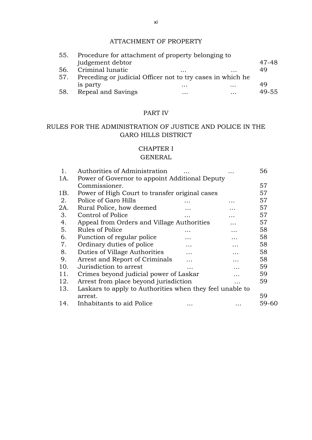#### ATTACHMENT OF PROPERTY

| 55. | Procedure for attachment of property belonging to          |          |                   |       |
|-----|------------------------------------------------------------|----------|-------------------|-------|
|     | judgement debtor                                           |          |                   | 47-48 |
| 56. | Criminal lunatic                                           | $\cdots$ | $\cdot\cdot\cdot$ | 49    |
| 57. | Preceding or judicial Officer not to try cases in which he |          |                   |       |
|     | is party                                                   | $\cdots$ | $\cdot\cdot\cdot$ | 49    |
| 58. | Repeal and Savings                                         | $\cdots$ | $\ddotsc$         | 49-55 |

# PART IV

# RULES FOR THE ADMINISTRATION OF JUSTICE AND POLICE IN THE GARO HILLS DISTRICT

# CHAPTER I

#### GENERAL

| 1.  | Authorities of Administration                            |   |   | 56    |
|-----|----------------------------------------------------------|---|---|-------|
| 1A. | Power of Governor to appoint Additional Deputy           |   |   |       |
|     | Commissioner.                                            |   |   | 57    |
| 1B. | Power of High Court to transfer original cases           |   |   | 57    |
| 2.  | Police of Garo Hills                                     |   |   | 57    |
| 2A. | Rural Police, how deemed                                 |   | . | 57    |
| 3.  | Control of Police                                        |   | . | 57    |
| 4.  | Appeal from Orders and Village Authorities               |   | . | 57    |
| 5.  | Rules of Police                                          |   | . | 58    |
| 6.  | Function of regular police                               |   | . | 58    |
| 7.  | Ordinary duties of police                                | . | . | 58    |
| 8.  | Duties of Village Authorities                            |   | . | 58    |
| 9.  | Arrest and Report of Criminals                           |   | . | 58    |
| 10. | Jurisdiction to arrest                                   |   |   | 59    |
| 11. | Crimes beyond judicial power of Laskar                   |   |   | 59    |
| 12. | Arrest from place beyond jurisdiction                    |   |   | 59    |
| 13. | Laskars to apply to Authorities when they feel unable to |   |   |       |
|     | arrest.                                                  |   |   | 59    |
| 14. | Inhabitants to aid Police                                |   |   | 59-60 |
|     |                                                          |   |   |       |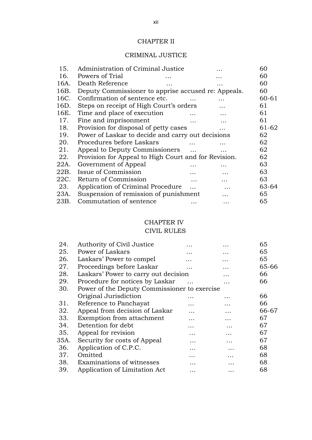# CHAPTER II

# CRIMINAL JUSTICE

|                               |           |                                                                                                                                                                                                                                        | 60                                                                                                                                                               |
|-------------------------------|-----------|----------------------------------------------------------------------------------------------------------------------------------------------------------------------------------------------------------------------------------------|------------------------------------------------------------------------------------------------------------------------------------------------------------------|
| Powers of Trial               |           |                                                                                                                                                                                                                                        | 60                                                                                                                                                               |
| Death Reference               |           |                                                                                                                                                                                                                                        | 60                                                                                                                                                               |
|                               |           |                                                                                                                                                                                                                                        | 60                                                                                                                                                               |
| Confirmation of sentence etc. |           |                                                                                                                                                                                                                                        | 60-61                                                                                                                                                            |
|                               |           |                                                                                                                                                                                                                                        | 61                                                                                                                                                               |
| Time and place of execution   |           | .                                                                                                                                                                                                                                      | 61                                                                                                                                                               |
| Fine and imprisonment         |           |                                                                                                                                                                                                                                        | 61                                                                                                                                                               |
|                               |           |                                                                                                                                                                                                                                        | 61-62                                                                                                                                                            |
|                               |           |                                                                                                                                                                                                                                        | 62                                                                                                                                                               |
| Procedures before Laskars     |           |                                                                                                                                                                                                                                        | 62                                                                                                                                                               |
|                               | $\ddotsc$ |                                                                                                                                                                                                                                        | 62                                                                                                                                                               |
|                               |           |                                                                                                                                                                                                                                        | 62                                                                                                                                                               |
| Government of Appeal          |           |                                                                                                                                                                                                                                        | 63                                                                                                                                                               |
| Issue of Commission           |           |                                                                                                                                                                                                                                        | 63                                                                                                                                                               |
| Return of Commission          | $\ddotsc$ | .                                                                                                                                                                                                                                      | 63                                                                                                                                                               |
|                               | $\ddotsc$ |                                                                                                                                                                                                                                        | 63-64                                                                                                                                                            |
|                               |           |                                                                                                                                                                                                                                        | 65                                                                                                                                                               |
| Commutation of sentence       |           | .                                                                                                                                                                                                                                      | 65                                                                                                                                                               |
|                               |           | Administration of Criminal Justice<br>Steps on receipt of High Court's orders<br>Provision for disposal of petty cases<br>Appeal to Deputy Commissioners<br>Application of Criminal Procedure<br>Suspension of remission of punishment | Deputy Commissioner to apprise accused re: Appeals.<br>Power of Laskar to decide and carry out decisions<br>Provision for Appeal to High Court and for Revision. |

# CHAPTER IV

# CIVIL RULES

| 24.  | Authority of Civil Justice                   | . | .        | 65    |
|------|----------------------------------------------|---|----------|-------|
| 25.  | Power of Laskars                             | . | .        | 65    |
| 26.  | Laskars' Power to compel                     | . | .        | 65    |
| 27.  | Proceedings before Laskar                    |   |          | 65-66 |
| 28.  | Laskars' Power to carry out decision         |   | .        | 66    |
| 29.  | Procedure for notices by Laskar              |   | .        | 66    |
| 30.  | Power of the Deputy Commissioner to exercise |   |          |       |
|      | Original Jurisdiction                        | . | .        | 66    |
| 31.  | Reference to Panchayat                       | . | .        | 66    |
| 32.  | Appeal from decision of Laskar               | . | .        | 66-67 |
| 33.  | Exemption from attachment                    | . |          | 67    |
| 34.  | Detention for debt                           | . | .        | 67    |
| 35.  | Appeal for revision                          | . | .        | 67    |
| 35A. | Security for costs of Appeal                 | . | .        | 67    |
| 36.  | Application of C.P.C.                        | . | $\cdots$ | 68    |
| 37.  | Omitted                                      | . | .        | 68    |
| 38.  | Examinations of witnesses                    | . |          | 68    |
| 39.  | Application of Limitation Act                |   |          | 68    |
|      |                                              |   |          |       |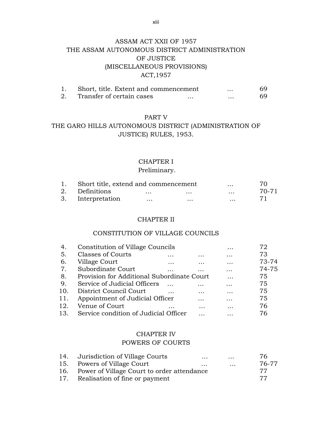# ASSAM ACT XXII OF 1957 THE ASSAM AUTONOMOUS DISTRICT ADMINISTRATION OF JUSTICE (MISCELLANEOUS PROVISIONS) ACT,1957

| Short, title. Extent and commencement |   | $\ddotsc$ | 69 |
|---------------------------------------|---|-----------|----|
| Transfer of certain cases             | . |           | 69 |

#### PART V

# THE GARO HILLS AUTONOMOUS DISTRICT (ADMINISTRATION OF JUSTICE) RULES, 1953.

#### CHAPTER I

#### Preliminary.

| 1. Short title, extend and commencement |          | 70.      |          |       |
|-----------------------------------------|----------|----------|----------|-------|
| 2. Definitions                          | $\cdots$ | $\cdots$ | $\cdots$ | 70-71 |
| 3. Interpretation                       | $\cdots$ | $\cdots$ | $\cdots$ |       |

#### CHAPTER II

# CONSTITUTION OF VILLAGE COUNCILS

| 4.  | Constitution of Village Councils           |           | .         | 72    |
|-----|--------------------------------------------|-----------|-----------|-------|
| -5. | <b>Classes of Courts</b><br>.              |           | .         | 73    |
| 6.  | Village Court<br>$\cdots$                  | $\ddotsc$ | $\cdots$  | 73-74 |
| 7.  | Subordinate Court                          |           | $\cdots$  | 74-75 |
| 8.  | Provision for Additional Subordinate Court |           | .         | 75    |
| 9.  | Service of Judicial Officers               |           | $\ddotsc$ | 75    |
| 10. | District Council Court                     | .         | $\ddotsc$ | 75    |
| 11. | Appointment of Judicial Officer            | .         | .         | 75    |
| 12. | Venue of Court<br>$\cdots$                 |           | .         | 76    |
| 13. | Service condition of Judicial Officer      |           |           | 76    |

# CHAPTER IV POWERS OF COURTS

| 14. Jurisdiction of Village Courts             | $\cdots$ | $\cdots$            | 76.   |
|------------------------------------------------|----------|---------------------|-------|
| 15. Powers of Village Court                    | $\cdots$ | $\cdot \cdot \cdot$ | 76-77 |
| 16. Power of Village Court to order attendance |          |                     | 77    |
| 17. Realisation of fine or payment             |          |                     | -77   |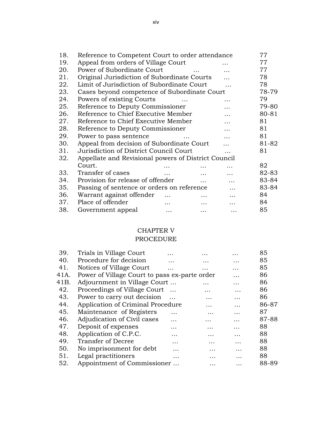| 18. | Reference to Competent Court to order attendance    |          |          |          | 77    |
|-----|-----------------------------------------------------|----------|----------|----------|-------|
| 19. | Appeal from orders of Village Court                 |          |          |          | 77    |
| 20. | Power of Subordinate Court                          |          | $\ddots$ | $\cdots$ | 77    |
| 21. | Original Jurisdiction of Subordinate Courts         |          |          |          | 78    |
| 22. | Limit of Jurisdiction of Subordinate Court          |          |          |          | 78    |
| 23. | Cases beyond competence of Subordinate Court        |          |          |          | 78-79 |
| 24. | Powers of existing Courts                           |          |          | .        | 79    |
| 25. | Reference to Deputy Commissioner                    |          |          | .        | 79-80 |
| 26. | Reference to Chief Executive Member                 |          |          | .        | 80-81 |
| 27. | Reference to Chief Executive Member                 |          |          | .        | 81    |
| 28. | Reference to Deputy Commissioner                    |          |          | .        | 81    |
| 29. | Power to pass sentence                              |          |          |          | 81    |
| 30. | Appeal from decision of Subordinate Court           |          |          |          | 81-82 |
| 31. | Jurisdiction of District Council Court              |          |          | .        | 81    |
| 32. | Appellate and Revisional powers of District Council |          |          |          |       |
|     | Court.                                              |          |          |          | 82    |
| 33. | Transfer of cases                                   | $\cdots$ |          | .        | 82-83 |
| 34. | Provision for release of offender                   |          | $\cdots$ |          | 83-84 |
| 35. | Passing of sentence or orders on reference          |          |          |          | 83-84 |
| 36. | Warrant against offender                            |          |          | .        | 84    |
| 37. | Place of offender                                   | .        |          | .        | 84    |
| 38. | Government appeal                                   | $\cdots$ | .        | .        | 85    |

#### CHAPTER V

# PROCEDURE

| 39.  | Trials in Village Court                       |           | .         | .        | 85    |
|------|-----------------------------------------------|-----------|-----------|----------|-------|
| 40.  | Procedure for decision                        | .         | .         | .        | 85    |
| 41.  | Notices of Village Court                      | $\ddotsc$ | .         | .        | 85    |
| 41A. | Power of Village Court to pass ex-parte order |           |           | .        | 86    |
| 41B. | Adjournment in Village Court                  |           |           | .        | 86    |
| 42.  | Proceedings of Village Court                  | $\cdots$  | .         | .        | 86    |
| 43.  | Power to carry out decision                   |           | .         | .        | 86    |
| 44.  | Application of Criminal Procedure             |           |           | .        | 86-87 |
| 45.  | Maintenance of Registers                      | .         | $\ddotsc$ | .        | 87    |
| 46.  | Adjudication of Civil cases                   | .         | .         | .        | 87-88 |
| 47.  | Deposit of expenses                           | .         |           | .        | 88    |
| 48.  | Application of C.P.C.                         | .         | .         | .        | 88    |
| 49.  | Transfer of Decree                            | $\cdots$  | .         | .        | 88    |
| 50.  | No imprisonment for debt                      | .         | .         | .        | 88    |
| 51.  | Legal practitioners                           | .         | .         | .        | 88    |
| 52.  | Appointment of Commissioner                   |           | .         | $\cdots$ | 88-89 |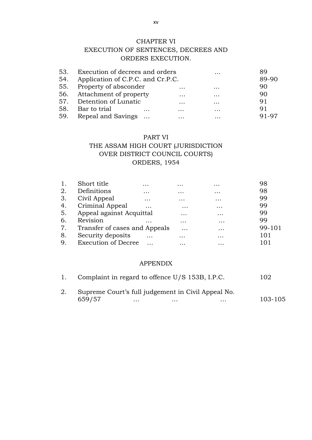#### CHAPTER VI

# EXECUTION OF SENTENCES, DECREES AND ORDERS EXECUTION.

| 53. Execution of decrees and orders   |                   | $\ddotsc$ | 89    |
|---------------------------------------|-------------------|-----------|-------|
| 54. Application of C.P.C. and Cr.P.C. |                   |           | 89-90 |
| 55. Property of absconder             | $\cdot\cdot\cdot$ | $\cdots$  | 90    |
| 56. Attachment of property            | $\cdots$          | $\cdots$  | 90    |
| 57. Detention of Lunatic              | $\cdots$          | $\ddotsc$ | 91    |
| 58. Bar to trial<br>$\cdots$          | $\cdots$          | $\cdots$  | 91    |
| 59. Repeal and Savings                |                   |           | 91-97 |

#### PART VI

# THE ASSAM HIGH COURT (JURISDICTION OVER DISTRICT COUNCIL COURTS) ORDERS, 1954

| 1. | Short title                   | $\cdots$ | $\cdots$  | $\cdots$  | 98     |
|----|-------------------------------|----------|-----------|-----------|--------|
| 2. | Definitions                   | $\cdots$ | $\cdots$  | $\cdots$  | 98     |
| 3. | Civil Appeal                  | $\cdots$ | $\ddotsc$ | $\cdots$  | 99     |
| 4. | Criminal Appeal               | .        | $\cdots$  | $\cdots$  | 99     |
| 5. | Appeal against Acquittal      |          | $\ddotsc$ | $\cdots$  | 99     |
| 6. | Revision                      | $\cdots$ | $\ddotsc$ | $\cdots$  | 99     |
| 7. | Transfer of cases and Appeals |          | $\cdots$  | $\ddotsc$ | 99-101 |
| 8. | Security deposits             | $\cdots$ | $\ddotsc$ | $\cdots$  | 101    |
| 9. | <b>Execution of Decree</b>    |          |           | $\ddotsc$ | 101    |
|    |                               |          |           |           |        |

#### APPENDIX

| 1. | Complaint in regard to offence U/S 153B, I.P.C.    |          |          |          | 102     |
|----|----------------------------------------------------|----------|----------|----------|---------|
| 2. | Supreme Court's full judgement in Civil Appeal No. |          |          |          |         |
|    | 659/57                                             | $\cdots$ | $\cdots$ | $\cdots$ | 103-105 |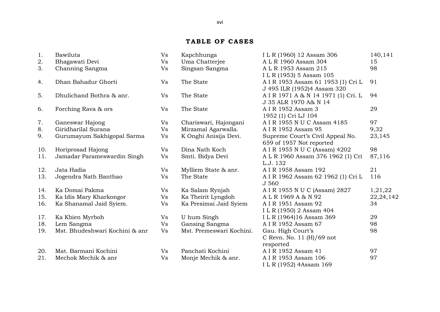# **TABLE OF CASES**

| 1.  | Bawiluta                       | Vs        | Kapchhunga               | I L R (1960) 12 Assam 306                     | 140,141     |
|-----|--------------------------------|-----------|--------------------------|-----------------------------------------------|-------------|
| 2.  | Bhagawati Devi                 | <b>Vs</b> | Uma Chatterjee           | A L R 1960 Assam 304                          | 15          |
| 3.  | Channing Sangma                | <b>Vs</b> | Singsan Sangma           | A L R 1953 Assam 215                          | 98          |
|     |                                |           |                          | ILR (1953) 5 Assam 105                        |             |
| 4.  | Dhan Bahadur Ghorti            | <b>Vs</b> | The State                | A I R 1953 Assam 61 1953 (1) Cri L            | 91          |
|     |                                |           |                          | J 495 ILR (1952)4 Assam 320                   |             |
| 5.  | Dhulichand Bothra & anr.       | Vs        | The State                | A I R 1971 A & N 14 1971 (1) Cri. L           | 94          |
|     |                                |           |                          | J 35 ALR 1970 A& N 14                         |             |
| 6.  | Forching Rava & ors            | Vs        | The State                | A I R 1952 Assam 3                            | 29          |
|     |                                |           |                          | 1952 (1) Cri LJ 104                           |             |
| 7.  | Ganeswar Hajong                | Vs        | Chariswari, Hajongani    | A I R 1955 N U C Assam 4185                   | 97          |
| 8.  | Giridharilal Surana            | Vs        | Mirzamal Agarwalla.      | A I R 1952 Assam 95                           | 9,32        |
| 9.  | Gurumayum Sakhigopal Sarma     | Vs        | K Onghi Anisija Devi.    | Supreme Court's Civil Appeal No.              | 23,145      |
|     |                                |           |                          | 659 of 1957 Not reported                      |             |
| 10. | Horiprosad Hajong              | Vs        | Dina Nath Koch           | A I R 1955 N U C (Assam) 4202                 | 98          |
| 11. | Jamadar Parameswardin Singh    | <b>Vs</b> | Smti. Bidya Devi         | A L R 1960 Assam 376 1962 (1) Cri<br>L.J. 132 | 87,116      |
| 12. | Jata Hadia                     | Vs        | Mylliem State & anr.     | A I R 1958 Assam 192                          | 21          |
| 13. | Jogendra Nath Banthao          | <b>Vs</b> | The State                | A I R 1962 Assam 62 1962 (1) Cri L            | 116         |
|     |                                |           |                          | J 560                                         |             |
| 14. | Ka Domai Pakma                 | Vs        | Ka Salam Rynjah          | A I R 1955 N U C (Assam) 2827                 | 1,21,22     |
| 15. | Ka Idis Mary Kharkongor        | <b>Vs</b> | Ka Theirit Lyngdoh       | ALR 1969 A & N 92                             | 22, 24, 142 |
| 16. | Ka Shanamal Jaid Syiem.        | Vs        | Ka Presimai Jaid Syiem   | A I R 1951 Assam 92                           | 34          |
|     |                                |           |                          | ILR (1950) 2 Assam 404                        |             |
| 17. | Ka Kbien Myrboh                | Vs        | U hum Singh              | ILR (1964)16 Assam 369                        | 29          |
| 18. | Lem Sangma                     | Vs        | Gansing Sangma           | A I R 1952 Assam 67                           | 98          |
| 19. | Mst. Bhudeshwari Kochini & anr | <b>Vs</b> | Mst. Premeswari Kochini. | Gau. High Court's                             | 98          |
|     |                                |           |                          | C Revn. No. 11 $(H)/69$ not                   |             |
|     |                                |           |                          | resported                                     |             |
| 20. | Mat. Barmani Kochini           | Vs        | Panchati Kochini         | A I R 1952 Assam 41                           | 97          |
| 21. | Mechok Mechik & anr            | <b>Vs</b> | Monje Mechik & anr.      | A I R 1953 Assam 106                          | 97          |
|     |                                |           |                          | ILR (1952) 4Assam 169                         |             |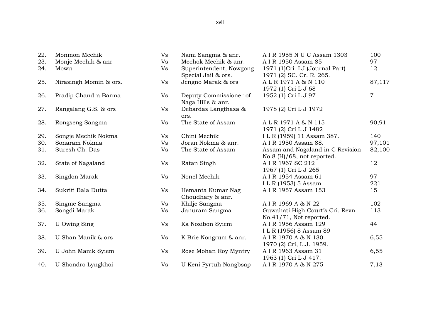| 22.<br>23. | Monmon Mechik<br>Monje Mechik & anr | Vs<br><b>Vs</b> | Nami Sangma & anr.<br>Mechok Mechik & anr.     | A I R 1955 N U C Assam 1303<br>A I R 1950 Assam 85                | 100<br>97      |
|------------|-------------------------------------|-----------------|------------------------------------------------|-------------------------------------------------------------------|----------------|
| 24.        | Mowu                                | Vs              | Superintendent, Nowgong<br>Special Jail & ors. | 1971 (1)Cri. LJ (Journal Part)<br>1971 (2) SC. Cr. R. 265.        | 12             |
| 25.        | Nirasingh Momin & ors.              | Vs              | Jengno Marak & ors                             | ALR 1971 A & N 110<br>1972 (1) Cri L J 68                         | 87,117         |
| 26.        | Pradip Chandra Barma                | Vs              | Deputy Commissioner of<br>Naga Hills & anr.    | 1952 (1) Cri L J 97                                               | $\overline{7}$ |
| 27.        | Rangalang G.S. & ors                | Vs              | Debardas Langthasa &<br>ors.                   | 1978 (2) Cri L J 1972                                             |                |
| 28.        | Rongseng Sangma                     | Vs              | The State of Assam                             | ALR 1971 A & N 115<br>1971 (2) Cri L J 1482                       | 90,91          |
| 29.        | Songje Mechik Nokma                 | Vs              | Chini Mechik                                   | ILR (1959) 11 Assam 387.                                          | 140            |
| 30.        | Sonaram Nokma                       | <b>Vs</b>       | Joran Nokma & anr.                             | A I R 1950 Assam 88.                                              | 97,101         |
| 31.        | Suresh Ch. Das                      | <b>Vs</b>       | The State of Assam                             | Assam and Nagaland in C Revision<br>No.8 $(H)/68$ , not reported. | 82,100         |
| 32.        | State of Nagaland                   | Vs              | Ratan Singh                                    | A I R 1967 SC 212<br>1967 (1) Cri L J 265                         | 12             |
| 33.        | Singdon Marak                       | Vs              | Nonel Mechik                                   | A I R 1954 Assam 61<br>I L R (1953) 5 Assam                       | 97<br>221      |
| 34.        | Sukriti Bala Dutta                  | Vs              | Hemanta Kumar Nag<br>Choudhary & anr.          | A I R 1957 Assam 153                                              | 15             |
| 35.        | Singme Sangma                       | Vs              | Khilje Sangma                                  | A I R 1969 A & N 22                                               | 102            |
| 36.        | Songdi Marak                        | <b>Vs</b>       | Januram Sangma                                 | Guwahati High Court's Cri. Revn<br>No.41/71, Not reported.        | 113            |
| 37.        | U Owing Sing                        | Vs              | Ka Nosibon Syiem                               | A I R 1956 Assam 129<br>ILR (1956) 8 Assam 89                     | 44             |
| 38.        | U Shan Manik & ors                  | Vs              | K Brie Nongrum & anr.                          | A I R 1970 A & N 130.<br>1970 (2) Cri, L.J. 1959.                 | 6,55           |
| 39.        | U John Manik Syiem                  | Vs              | Rose Mohan Roy Myntry                          | A I R 1963 Assam 31<br>1963 (1) Cri L J 417.                      | 6,55           |
| 40.        | U Shondro Lyngkhoi                  | Vs              | U Keni Pyrtuh Nongbsap                         | A I R 1970 A & N 275                                              | 7,13           |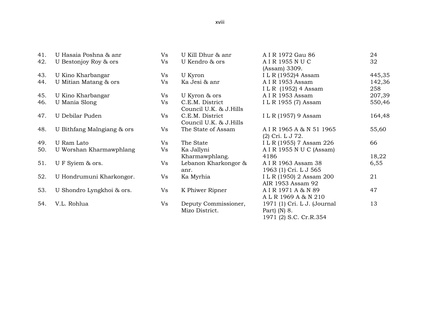| 41. | U Hasaia Poshna & anr      | Vs | U Kill Dhur & anr                         | A I R 1972 Gau 86                          | 24     |
|-----|----------------------------|----|-------------------------------------------|--------------------------------------------|--------|
| 42. | U Bestonjoy Roy & ors      | Vs | U Kendro & ors                            | A I R 1955 N U C<br>(Assam) 3309.          | 32     |
| 43. | U Kino Kharbangar          | Vs | U Kyron                                   | I L R (1952)4 Assam                        | 445,35 |
| 44. | U Mitian Matang & ors      | Vs | Ka Jesi & anr                             | A I R 1953 Assam                           | 142,36 |
|     |                            |    |                                           | ILR (1952) 4 Assam                         | 258    |
| 45. | U Kino Kharbangar          | Vs | U Kyron & ors                             | A I R 1953 Assam                           | 207,39 |
| 46. | U Mania Slong              | Vs | C.E.M. District<br>Council U.K. & J.Hills | I L R 1955 (7) Assam                       | 550,46 |
| 47. | U Debilar Puden            | Vs | C.E.M. District<br>Council U.K. & J.Hills | I L R (1957) 9 Assam                       | 164,48 |
| 48. | U Bithfang Malngiang & ors | Vs | The State of Assam                        | AIR 1965 A & N 51 1965<br>(2) Cri. L J 72. | 55,60  |
| 49. | U Ram Lato                 | Vs | The State                                 | I L R (1955) 7 Assam 226                   | 66     |
| 50. | U Worshan Kharmawphlang    | Vs | Ka Jallyni                                | A I R 1955 N U C (Assam)                   |        |
|     |                            |    | Kharmawphlang.                            | 4186                                       | 18,22  |
| 51. | UF Syiem & ors.            | Vs | Lebanon Kharkongor &                      | A I R 1963 Assam 38                        | 6,55   |
|     |                            |    | anr.                                      | 1963 (1) Cri. L J 565                      |        |
| 52. | U Hondrumuni Kharkongor.   | Vs | Ka Myrhia                                 | I L R (1950) 2 Assam 200                   | 21     |
|     |                            |    |                                           | AIR 1953 Assam 92                          |        |
| 53. | U Shondro Lyngkhoi & ors.  | Vs | K Phiwer Ripner                           | AIR 1971 A & N 89                          | 47     |
|     |                            |    |                                           | ALR 1969 A & N 210                         |        |
| 54. | V.L. Rohlua                | Vs | Deputy Commissioner,                      | 1971 (1) Cri. L J. (Journal                | 13     |
|     |                            |    | Mizo District.                            | Part) $(N)$ 8.                             |        |
|     |                            |    |                                           | 1971 (2) S.C. Cr.R.354                     |        |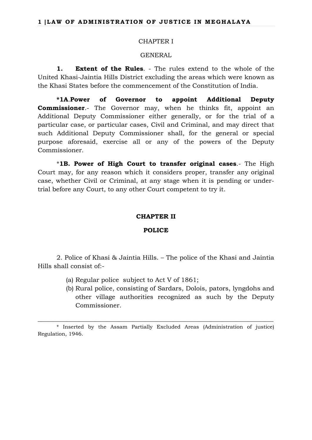#### CHAPTER I

#### GENERAL

**1. Extent of the Rules**. - The rules extend to the whole of the United Khasi-Jaintia Hills District excluding the areas which were known as the Khasi States before the commencement of the Constitution of India.

**\*1A**.**Power of Governor to appoint Additional Deputy Commissioner**.- The Governor may, when he thinks fit, appoint an Additional Deputy Commissioner either generally, or for the trial of a particular case, or particular cases, Civil and Criminal, and may direct that such Additional Deputy Commissioner shall, for the general or special purpose aforesaid, exercise all or any of the powers of the Deputy Commissioner.

\***1B. Power of High Court to transfer original cases**.- The High Court may, for any reason which it considers proper, transfer any original case, whether Civil or Criminal, at any stage when it is pending or undertrial before any Court, to any other Court competent to try it.

#### **CHAPTER II**

#### **POLICE**

2. Police of Khasi & Jaintia Hills. – The police of the Khasi and Jaintia Hills shall consist of:-

- (a) Regular police subject to Act V of 1861;
- (b) Rural police, consisting of Sardars, Dolois, pators, lyngdohs and other village authorities recognized as such by the Deputy Commissioner.

\_\_\_\_\_\_\_\_\_\_\_\_\_\_\_\_\_\_\_\_\_\_\_\_\_\_\_\_\_\_\_\_\_\_\_\_\_\_\_\_\_\_\_\_\_\_\_\_\_\_\_\_\_\_\_\_\_\_\_\_\_\_\_\_\_\_\_\_\_\_\_\_\_\_\_

<sup>\*</sup> Inserted by the Assam Partially Excluded Areas (Administration of justice) Regulation, 1946.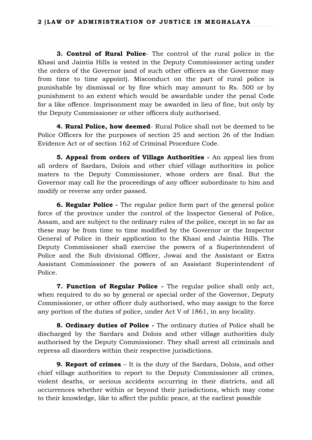**3. Control of Rural Police**- The control of the rural police in the Khasi and Jaintia Hills is vested in the Deputy Commissioner acting under the orders of the Governor (and of such other officers as the Governor may from time to time appoint). Misconduct on the part of rural police is punishable by dismissal or by fine which may amount to Rs. 500 or by punishment to an extent which would be awardable under the penal Code for a like offence. Imprisonment may be awarded in lieu of fine, but only by the Deputy Commissioner or other officers duly authorised.

**4. Rural Police, how deemed**- Rural Police shall not be deemed to be Police Officers for the purposes of section 25 and section 26 of the Indian Evidence Act or of section 162 of Criminal Procedure Code.

**5. Appeal from orders of Village Authorities -** An appeal lies from all orders of Sardars, Dolois and other chief village authorities in police maters to the Deputy Commissioner, whose orders are final. But the Governor may call for the proceedings of any officer subordinate to him and modify or reverse any order passed.

**6. Regular Police -** The regular police form part of the general police force of the province under the control of the Inspector General of Police, Assam, and are subject to the ordinary rules of the police, except in so far as these may be from time to time modified by the Governor or the Inspector General of Police in their application to the Khasi and Jaintia Hills. The Deputy Commissioner shall exercise the powers of a Superintendent of Police and the Sub divisional Officer, Jowai and the Assistant or Extra Assistant Commissioner the powers of an Assistant Superintendent of Police.

**7. Function of Regular Police -** The regular police shall only act, when required to do so by general or special order of the Governor, Deputy Commissioner, or other officer duly authorised, who may assign to the force any portion of the duties of police, under Act V of 1861, in any locality.

**8. Ordinary duties of Police -** The ordinary duties of Police shall be discharged by the Sardars and Dolois and other village authorities duly authorised by the Deputy Commissioner. They shall arrest all criminals and repress all disorders within their respective jurisdictions.

**9. Report of crimes** – It is the duty of the Sardars, Dolois, and other chief village authorities to report to the Deputy Commissioner all crimes, violent deaths, or serious accidents occurring in their districts, and all occurrences whether within or beyond their jurisdictions, which may come to their knowledge, like to affect the public peace, at the earliest possible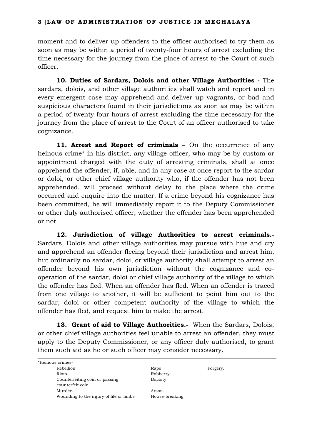moment and to deliver up offenders to the officer authorised to try them as soon as may be within a period of twenty-four hours of arrest excluding the time necessary for the journey from the place of arrest to the Court of such officer.

**10. Duties of Sardars, Dolois and other Village Authorities -** The sardars, dolois, and other village authorities shall watch and report and in every emergent case may apprehend and deliver up vagrants, or bad and suspicious characters found in their jurisdictions as soon as may be within a period of twenty-four hours of arrest excluding the time necessary for the journey from the place of arrest to the Court of an officer authorised to take cognizance.

**11. Arrest and Report of criminals –** On the occurrence of any heinous crime<sup>\*</sup> in his district, any village officer, who may be by custom or appointment charged with the duty of arresting criminals, shall at once apprehend the offender, if, able, and in any case at once report to the sardar or doloi, or other chief village authority who, if the offender has not been apprehended, will proceed without delay to the place where the crime occurred and enquire into the matter. If a crime beyond his cognizance has been committed, he will immediately report it to the Deputy Commissioner or other duly authorised officer, whether the offender has been apprehended or not.

**12. Jurisdiction of village Authorities to arrest criminals.-** Sardars, Dolois and other village authorities may pursue with hue and cry and apprehend an offender fleeing beyond their jurisdiction and arrest him, hut ordinarily no sardar, doloi, or village authority shall attempt to arrest an offender beyond his own jurisdiction without the cognizance and cooperation of the sardar, doloi or chief village authority of the village to which the offender has fled. When an offender has fled. When an offender is traced from one village to another, it will be sufficient to point him out to the sardar, doloi or other competent authority of the village to which the offender has fled, and request him to make the arrest.

**13. Grant of aid to Village Authorities.-** When the Sardars, Dolois, or other chief village authorities feel unable to arrest an offender, they must apply to the Deputy Commissioner, or any officer duly authorised, to grant them such aid as he or such officer may consider necessary.

| *Heinous crimes-                        |                 |          |
|-----------------------------------------|-----------------|----------|
| Rebellion                               | Rape            | Forgery. |
| Riots.                                  | Robberry.       |          |
| Counterfeiting coin or passing          | Dacoity         |          |
| counterfeit coin.                       |                 |          |
| Murder.                                 | Arson.          |          |
| Wounding to the injury of life or limbs | House-breaking. |          |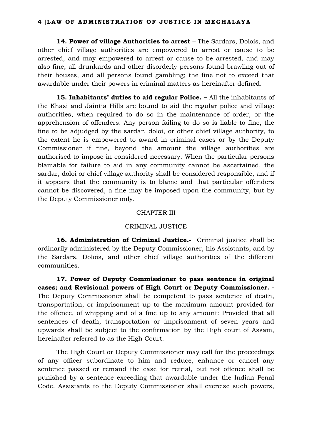**14. Power of village Authorities to arrest** – The Sardars, Dolois, and other chief village authorities are empowered to arrest or cause to be arrested, and may empowered to arrest or cause to be arrested, and may also fine, all drunkards and other disorderly persons found brawling out of their houses, and all persons found gambling; the fine not to exceed that awardable under their powers in criminal matters as hereinafter defined.

**15. Inhabitants' duties to aid regular Police. –** All the inhabitants of the Khasi and Jaintia Hills are bound to aid the regular police and village authorities, when required to do so in the maintenance of order, or the apprehension of offenders. Any person failing to do so is liable to fine, the fine to be adjudged by the sardar, doloi, or other chief village authority, to the extent he is empowered to award in criminal cases or by the Deputy Commissioner if fine, beyond the amount the village authorities are authorised to impose in considered necessary. When the particular persons blamable for failure to aid in any community cannot be ascertained, the sardar, doloi or chief village authority shall be considered responsible, and if it appears that the community is to blame and that particular offenders cannot be discovered, a fine may be imposed upon the community, but by the Deputy Commissioner only.

#### CHAPTER III

#### CRIMINAL JUSTICE

**16. Administration of Criminal Justice.-** Criminal justice shall be ordinarily administered by the Deputy Commissioner, his Assistants, and by the Sardars, Dolois, and other chief village authorities of the different communities.

**17. Power of Deputy Commissioner to pass sentence in original cases; and Revisional powers of High Court or Deputy Commissioner. -** The Deputy Commissioner shall be competent to pass sentence of death, transportation, or imprisonment up to the maximum amount provided for the offence, of whipping and of a fine up to any amount: Provided that all sentences of death, transportation or imprisonment of seven years and upwards shall be subject to the confirmation by the High court of Assam, hereinafter referred to as the High Court.

The High Court or Deputy Commissioner may call for the proceedings of any officer subordinate to him and reduce, enhance or cancel any sentence passed or remand the case for retrial, but not offence shall be punished by a sentence exceeding that awardable under the Indian Penal Code. Assistants to the Deputy Commissioner shall exercise such powers,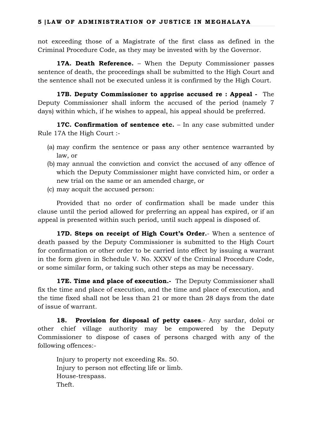not exceeding those of a Magistrate of the first class as defined in the Criminal Procedure Code, as they may be invested with by the Governor.

**17A. Death Reference.** – When the Deputy Commissioner passes sentence of death, the proceedings shall be submitted to the High Court and the sentence shall not be executed unless it is confirmed by the High Court.

**17B. Deputy Commissioner to apprise accused re : Appeal -** The Deputy Commissioner shall inform the accused of the period (namely 7 days) within which, if he wishes to appeal, his appeal should be preferred.

**17C. Confirmation of sentence etc.** – In any case submitted under Rule 17A the High Court :-

- (a) may confirm the sentence or pass any other sentence warranted by law, or
- (b) may annual the conviction and convict the accused of any offence of which the Deputy Commissioner might have convicted him, or order a new trial on the same or an amended charge, or
- (c) may acquit the accused person:

Provided that no order of confirmation shall be made under this clause until the period allowed for preferring an appeal has expired, or if an appeal is presented within such period, until such appeal is disposed of.

**17D. Steps on receipt of High Court's Order.**- When a sentence of death passed by the Deputy Commissioner is submitted to the High Court for confirmation or other order to be carried into effect by issuing a warrant in the form given in Schedule V. No. XXXV of the Criminal Procedure Code, or some similar form, or taking such other steps as may be necessary.

**17E. Time and place of execution.** The Deputy Commissioner shall fix the time and place of execution, and the time and place of execution, and the time fixed shall not be less than 21 or more than 28 days from the date of issue of warrant.

**18. Provision for disposal of petty cases**.- Any sardar, doloi or other chief village authority may be empowered by the Deputy Commissioner to dispose of cases of persons charged with any of the following offences:-

Injury to property not exceeding Rs. 50. Injury to person not effecting life or limb. House-trespass. Theft.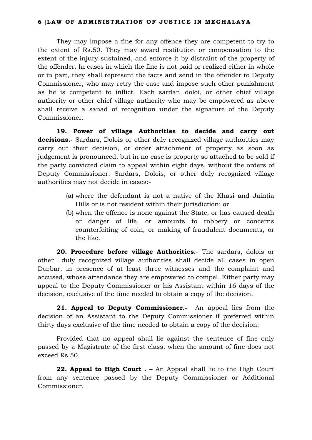They may impose a fine for any offence they are competent to try to the extent of Rs.50. They may award restitution or compensation to the extent of the injury sustained, and enforce it by distraint of the property of the offender. In cases in which the fine is not paid or realized either in whole or in part, they shall represent the facts and send in the offender to Deputy Commissioner, who may retry the case and impose such other punishment as he is competent to inflict. Each sardar, doloi, or other chief village authority or other chief village authority who may be empowered as above shall receive a sanad of recognition under the signature of the Deputy Commissioner.

**19. Power of village Authorities to decide and carry out decisions.-** Sardars, Dolois or other duly recognized village authorities may carry out their decision, or order attachment of property as soon as judgement is pronounced, but in no case is property so attached to be sold if the party convicted claim to appeal within eight days, without the orders of Deputy Commissioner. Sardars, Dolois, or other duly recognized village authorities may not decide in cases:-

- (a) where the defendant is not a native of the Khasi and Jaintia Hills or is not resident within their jurisdiction; or
- (b) when the offence is none against the State, or has caused death or danger of life, or amounts to robbery or concerns counterfeiting of coin, or making of fraudulent documents, or the like.

**20. Procedure before village Authorities.**- The sardars, dolois or other duly recognized village authorities shall decide all cases in open Durbar, in presence of at least three witnesses and the complaint and accused, whose attendance they are empowered to compel. Either party may appeal to the Deputy Commissioner or his Assistant within 16 days of the decision, exclusive of the time needed to obtain a copy of the decision.

**21. Appeal to Deputy Commissioner.-** An appeal lies from the decision of an Assistant to the Deputy Commissioner if preferred within thirty days exclusive of the time needed to obtain a copy of the decision:

Provided that no appeal shall lie against the sentence of fine only passed by a Magistrate of the first class, when the amount of fine does not exceed Rs.50.

**22. Appeal to High Court . –** An Appeal shall lie to the High Court from any sentence passed by the Deputy Commissioner or Additional Commissioner.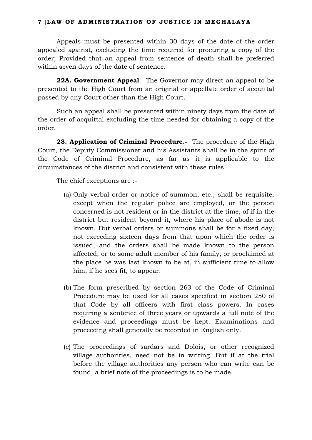### **7 |LAW OF ADMINISTRATION OF JUSTICE IN MEGHALAYA**

Appeals must be presented within 30 days of the date of the order appealed against, excluding the time required for procuring a copy of the order; Provided that an appeal from sentence of death shall be preferred within seven days of the date of sentence.

**22A. Government Appeal**.- The Governor may direct an appeal to be presented to the High Court from an original or appellate order of acquittal passed by any Court other than the High Court.

Such an appeal shall be presented within ninety days from the date of the order of acquittal excluding the time needed for obtaining a copy of the order.

**23. Application of Criminal Procedure.-** The procedure of the High Court, the Deputy Commissioner and his Assistants shall be in the spirit of the Code of Criminal Procedure, as far as it is applicable to the circumstances of the district and consistent with these rules.

The chief exceptions are :-

- (a) Only verbal order or notice of summon, etc., shall be requisite, except when the regular police are employed, or the person concerned is not resident or in the district at the time, of if in the district but resident beyond it, where his place of abode is not known. But verbal orders or summons shall be for a fixed day, not exceeding sixteen days from that upon which the order is issued, and the orders shall be made known to the person affected, or to some adult member of his family, or proclaimed at the place he was last known to be at, in sufficient time to allow him, if he sees fit, to appear.
- (b) The form prescribed by section 263 of the Code of Criminal Procedure may be used for all cases specified in section 250 of that Code by all officers with first class powers. In cases requiring a sentence of three years or upwards a full note of the evidence and proceedings must be kept. Examinations and proceeding shall generally be recorded in English only.
- (c) The proceedings of sardars and Dolois, or other recognized village authorities, need not be in writing. But if at the trial before the village authorities any person who can write can be found, a brief note of the proceedings is to be made.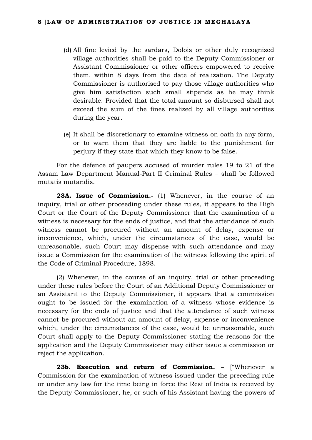- (d) All fine levied by the sardars, Dolois or other duly recognized village authorities shall be paid to the Deputy Commissioner or Assistant Commissioner or other officers empowered to receive them, within 8 days from the date of realization. The Deputy Commissioner is authorised to pay those village authorities who give him satisfaction such small stipends as he may think desirable: Provided that the total amount so disbursed shall not exceed the sum of the fines realized by all village authorities during the year.
- (e) It shall be discretionary to examine witness on oath in any form, or to warn them that they are liable to the punishment for perjury if they state that which they know to be false.

For the defence of paupers accused of murder rules 19 to 21 of the Assam Law Department Manual-Part II Criminal Rules – shall be followed mutatis mutandis.

**23A. Issue of Commission.-** (1) Whenever, in the course of an inquiry, trial or other proceeding under these rules, it appears to the High Court or the Court of the Deputy Commissioner that the examination of a witness is necessary for the ends of justice, and that the attendance of such witness cannot be procured without an amount of delay, expense or inconvenience, which, under the circumstances of the case, would be unreasonable, such Court may dispense with such attendance and may issue a Commission for the examination of the witness following the spirit of the Code of Criminal Procedure, 1898.

(2) Whenever, in the course of an inquiry, trial or other proceeding under these rules before the Court of an Additional Deputy Commissioner or an Assistant to the Deputy Commissioner, it appears that a commission ought to be issued for the examination of a witness whose evidence is necessary for the ends of justice and that the attendance of such witness cannot be procured without an amount of delay, expense or inconvenience which, under the circumstances of the case, would be unreasonable, such Court shall apply to the Deputy Commissioner stating the reasons for the application and the Deputy Commissioner may either issue a commission or reject the application.

**23b. Execution and return of Commission. –** ["Whenever a Commission for the examination of witness issued under the preceding rule or under any law for the time being in force the Rest of India is received by the Deputy Commissioner, he, or such of his Assistant having the powers of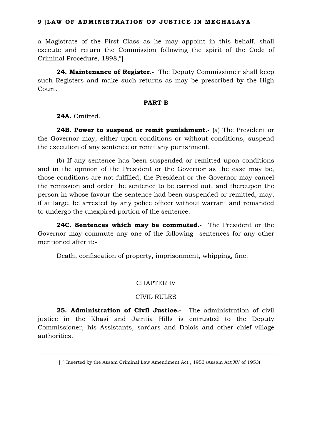a Magistrate of the First Class as he may appoint in this behalf, shall execute and return the Commission following the spirit of the Code of Criminal Procedure, 1898,"]

**24. Maintenance of Register.-** The Deputy Commissioner shall keep such Registers and make such returns as may be prescribed by the High Court.

#### **PART B**

**24A.** Omitted.

**24B. Power to suspend or remit punishment.-** (a) The President or the Governor may, either upon conditions or without conditions, suspend the execution of any sentence or remit any punishment.

(b) If any sentence has been suspended or remitted upon conditions and in the opinion of the President or the Governor as the case may be, those conditions are not fulfilled, the President or the Governor may cancel the remission and order the sentence to be carried out, and thereupon the person in whose favour the sentence had been suspended or remitted, may, if at large, be arrested by any police officer without warrant and remanded to undergo the unexpired portion of the sentence.

**24C. Sentences which may be commuted.-** The President or the Governor may commute any one of the following sentences for any other mentioned after it:-

Death, confiscation of property, imprisonment, whipping, fine.

# CHAPTER IV

#### CIVIL RULES

**25. Administration of Civil Justice.-** The administration of civil justice in the Khasi and Jaintia Hills is entrusted to the Deputy Commissioner, his Assistants, sardars and Dolois and other chief village authorities.

 <sup>[ ]</sup> Inserted by the Assam Criminal Law Amendment Act , 1953 (Assam Act XV of 1953)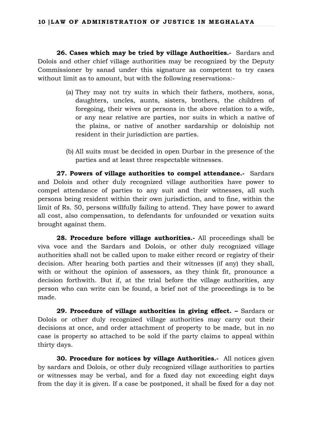**26. Cases which may be tried by village Authorities.-** Sardars and Dolois and other chief village authorities may be recognized by the Deputy Commissioner by sanad under this signature as competent to try cases without limit as to amount, but with the following reservations:-

- (a) They may not try suits in which their fathers, mothers, sons, daughters, uncles, aunts, sisters, brothers, the children of foregoing, their wives or persons in the above relation to a wife, or any near relative are parties, nor suits in which a native of the plains, or native of another sardarship or doloiship not resident in their jurisdiction are parties.
- (b) All suits must be decided in open Durbar in the presence of the parties and at least three respectable witnesses.

**27. Powers of village authorities to compel attendance.-** Sardars and Dolois and other duly recognized village authorities have power to compel attendance of parties to any suit and their witnesses, all such persons being resident within their own jurisdiction, and to fine, within the limit of Rs. 50, persons willfully failing to attend. They have power to award all cost, also compensation, to defendants for unfounded or vexation suits brought against them.

**28. Procedure before village authorities.-** All proceedings shall be viva voce and the Sardars and Dolois, or other duly recognized village authorities shall not be called upon to make either record or registry of their decision. After hearing both parties and their witnesses (if any) they shall, with or without the opinion of assessors, as they think fit, pronounce a decision forthwith. But if, at the trial before the village authorities, any person who can write can be found, a brief not of the proceedings is to be made.

**29. Procedure of village authorities in giving effect. –** Sardars or Dolois or other duly recognized village authorities may carry out their decisions at once, and order attachment of property to be made, but in no case is property so attached to be sold if the party claims to appeal within thirty days.

**30. Procedure for notices by village Authorities.-** All notices given by sardars and Dolois, or other duly recognized village authorities to parties or witnesses may be verbal, and for a fixed day not exceeding eight days from the day it is given. If a case be postponed, it shall be fixed for a day not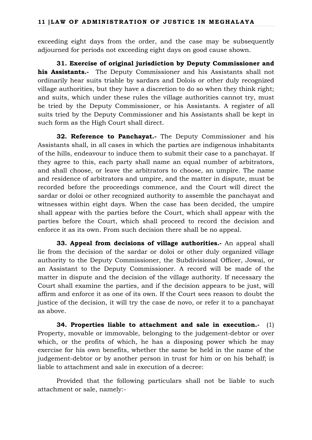exceeding eight days from the order, and the case may be subsequently adjourned for periods not exceeding eight days on good cause shown.

**31. Exercise of original jurisdiction by Deputy Commissioner and his Assistants.-** The Deputy Commissioner and his Assistants shall not ordinarily hear suits triable by sardars and Dolois or other duly recognized village authorities, but they have a discretion to do so when they think right; and suits, which under these rules the village authorities cannot try, must be tried by the Deputy Commissioner, or his Assistants. A register of all suits tried by the Deputy Commissioner and his Assistants shall be kept in such form as the High Court shall direct.

**32. Reference to Panchayat.-** The Deputy Commissioner and his Assistants shall, in all cases in which the parties are indigenous inhabitants of the hills, endeavour to induce them to submit their case to a panchayat. If they agree to this, each party shall name an equal number of arbitrators, and shall choose, or leave the arbitrators to choose, an umpire. The name and residence of arbitrators and umpire, and the matter in dispute, must be recorded before the proceedings commence, and the Court will direct the sardar or doloi or other recognized authority to assemble the panchayat and witnesses within eight days. When the case has been decided, the umpire shall appear with the parties before the Court, which shall appear with the parties before the Court, which shall proceed to record the decision and enforce it as its own. From such decision there shall be no appeal.

**33. Appeal from decisions of village authorities.-** An appeal shall lie from the decision of the sardar or doloi or other duly organized village authority to the Deputy Commissioner, the Subdivisional Officer, Jowai, or an Assistant to the Deputy Commissioner. A record will be made of the matter in dispute and the decision of the village authority. If necessary the Court shall examine the parties, and if the decision appears to be just, will affirm and enforce it as one of its own. If the Court sees reason to doubt the justice of the decision, it will try the case de novo, or refer it to a panchayat as above.

**34. Properties liable to attachment and sale in execution.-** (1) Property, movable or immovable, belonging to the judgement-debtor or over which, or the profits of which, he has a disposing power which he may exercise for his own benefits, whether the same be held in the name of the judgement-debtor or by another person in trust for him or on his behalf; is liable to attachment and sale in execution of a decree:

Provided that the following particulars shall not be liable to such attachment or sale, namely:-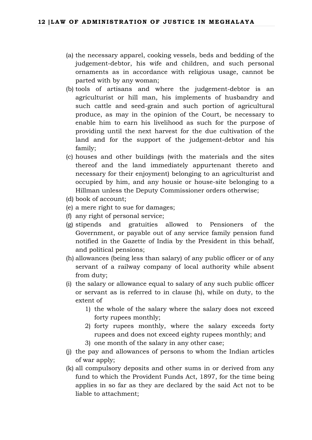- (a) the necessary apparel, cooking vessels, beds and bedding of the judgement-debtor, his wife and children, and such personal ornaments as in accordance with religious usage, cannot be parted with by any woman;
- (b) tools of artisans and where the judgement-debtor is an agriculturist or hill man, his implements of husbandry and such cattle and seed-grain and such portion of agricultural produce, as may in the opinion of the Court, be necessary to enable him to earn his livelihood as such for the purpose of providing until the next harvest for the due cultivation of the land and for the support of the judgement-debtor and his family;
- (c) houses and other buildings (with the materials and the sites thereof and the land immediately appurtenant thereto and necessary for their enjoyment) belonging to an agriculturist and occupied by him, and any housie or house-site belonging to a Hillman unless the Deputy Commissioner orders otherwise;
- (d) book of account;
- (e) a mere right to sue for damages;
- (f) any right of personal service;
- (g) stipends and gratuities allowed to Pensioners of the Government, or payable out of any service family pension fund notified in the Gazette of India by the President in this behalf, and political pensions;
- (h) allowances (being less than salary) of any public officer or of any servant of a railway company of local authority while absent from duty;
- (i) the salary or allowance equal to salary of any such public officer or servant as is referred to in clause (h), while on duty, to the extent of
	- 1) the whole of the salary where the salary does not exceed forty rupees monthly;
	- 2) forty rupees monthly, where the salary exceeds forty rupees and does not exceed eighty rupees monthly; and
	- 3) one month of the salary in any other case;
- (j) the pay and allowances of persons to whom the Indian articles of war apply;
- (k) all compulsory deposits and other sums in or derived from any fund to which the Provident Funds Act, 1897, for the time being applies in so far as they are declared by the said Act not to be liable to attachment;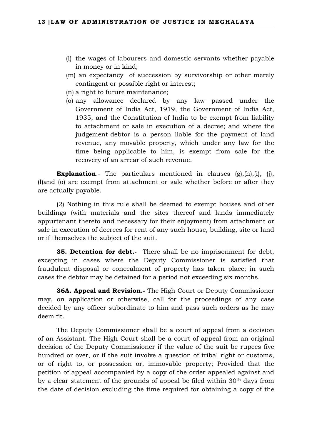- (l) the wages of labourers and domestic servants whether payable in money or in kind;
- (m) an expectancy of succession by survivorship or other merely contingent or possible right or interest;
- (n) a right to future maintenance;
- (o) any allowance declared by any law passed under the Government of India Act, 1919, the Government of India Act, 1935, and the Constitution of India to be exempt from liability to attachment or sale in execution of a decree; and where the judgement-debtor is a person liable for the payment of land revenue, any movable property, which under any law for the time being applicable to him, is exempt from sale for the recovery of an arrear of such revenue.

**Explanation.**- The particulars mentioned in clauses (g),(h),(i), (j), (l)and (o) are exempt from attachment or sale whether before or after they are actually payable.

(2) Nothing in this rule shall be deemed to exempt houses and other buildings (with materials and the sites thereof and lands immediately appurtenant thereto and necessary for their enjoyment) from attachment or sale in execution of decrees for rent of any such house, building, site or land or if themselves the subject of the suit.

**35. Detention for debt.-** There shall be no imprisonment for debt, excepting in cases where the Deputy Commissioner is satisfied that fraudulent disposal or concealment of property has taken place; in such cases the debtor may be detained for a period not exceeding six months.

**36A. Appeal and Revision.-** The High Court or Deputy Commissioner may, on application or otherwise, call for the proceedings of any case decided by any officer subordinate to him and pass such orders as he may deem fit.

The Deputy Commissioner shall be a court of appeal from a decision of an Assistant. The High Court shall be a court of appeal from an original decision of the Deputy Commissioner if the value of the suit be rupees five hundred or over, or if the suit involve a question of tribal right or customs, or of right to, or possession or, immovable property; Provided that the petition of appeal accompanied by a copy of the order appealed against and by a clear statement of the grounds of appeal be filed within 30th days from the date of decision excluding the time required for obtaining a copy of the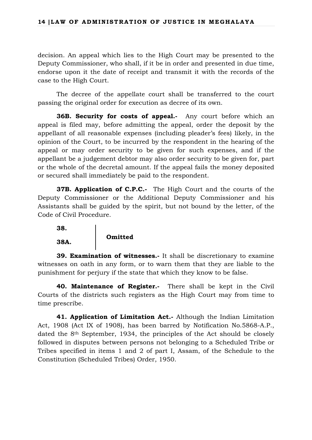decision. An appeal which lies to the High Court may be presented to the Deputy Commissioner, who shall, if it be in order and presented in due time, endorse upon it the date of receipt and transmit it with the records of the case to the High Court.

The decree of the appellate court shall be transferred to the court passing the original order for execution as decree of its own.

**36B. Security for costs of appeal.** Any court before which an appeal is filed may, before admitting the appeal, order the deposit by the appellant of all reasonable expenses (including pleader's fees) likely, in the opinion of the Court, to be incurred by the respondent in the hearing of the appeal or may order security to be given for such expenses, and if the appellant be a judgement debtor may also order security to be given for, part or the whole of the decretal amount. If the appeal fails the money deposited or secured shall immediately be paid to the respondent.

**37B. Application of C.P.C.-** The High Court and the courts of the Deputy Commissioner or the Additional Deputy Commissioner and his Assistants shall be guided by the spirit, but not bound by the letter, of the Code of Civil Procedure.

**38.**

**38A.**

# **Omitted**

**39. Examination of witnesses.-** It shall be discretionary to examine witnesses on oath in any form, or to warn them that they are liable to the punishment for perjury if the state that which they know to be false.

**40. Maintenance of Register.-** There shall be kept in the Civil Courts of the districts such registers as the High Court may from time to time prescribe.

**41. Application of Limitation Act.-** Although the Indian Limitation Act, 1908 (Act IX of 1908), has been barred by Notification No.5868-A.P., dated the 8th September, 1934, the principles of the Act should be closely followed in disputes between persons not belonging to a Scheduled Tribe or Tribes specified in items 1 and 2 of part I, Assam, of the Schedule to the Constitution (Scheduled Tribes) Order, 1950.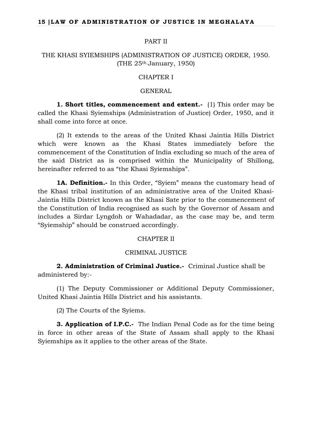#### PART II

# THE KHASI SYIEMSHIPS (ADMINISTRATION OF JUSTICE) ORDER, 1950. (THE  $25<sup>th</sup>$  January, 1950)

# CHAPTER I

#### GENERAL

**1. Short titles, commencement and extent.-** (1) This order may be called the Khasi Syiemships (Administration of Justice) Order, 1950, and it shall come into force at once.

(2) It extends to the areas of the United Khasi Jaintia Hills District which were known as the Khasi States immediately before the commencement of the Constitution of India excluding so much of the area of the said District as is comprised within the Municipality of Shillong, hereinafter referred to as "the Khasi Syiemships".

**1A. Definition.-** In this Order, "Syiem" means the customary head of the Khasi tribal institution of an administrative area of the United Khasi-Jaintia Hills District known as the Khasi Sate prior to the commencement of the Constitution of India recognised as such by the Governor of Assam and includes a Sirdar Lyngdoh or Wahadadar, as the case may be, and term "Syiemship" should be construed accordingly.

#### CHAPTER II

#### CRIMINAL JUSTICE

**2. Administration of Criminal Justice.-** Criminal Justice shall be administered by:-

(1) The Deputy Commissioner or Additional Deputy Commissioner, United Khasi Jaintia Hills District and his assistants.

(2) The Courts of the Syiems.

**3. Application of I.P.C.-** The Indian Penal Code as for the time being in force in other areas of the State of Assam shall apply to the Khasi Syiemships as it applies to the other areas of the State.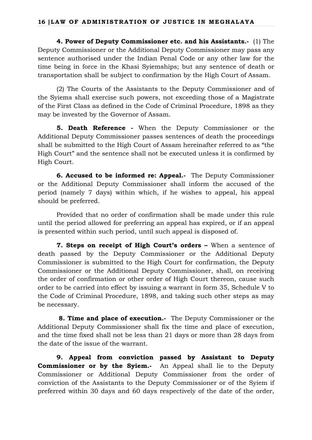**4. Power of Deputy Commissioner etc. and his Assistants.-** (1) The Deputy Commissioner or the Additional Deputy Commissioner may pass any sentence authorised under the Indian Penal Code or any other law for the time being in force in the Khasi Syiemships; but any sentence of death or transportation shall be subject to confirmation by the High Court of Assam.

(2) The Courts of the Assistants to the Deputy Commissioner and of the Syiems shall exercise such powers, not exceeding those of a Magistrate of the First Class as defined in the Code of Criminal Procedure, 1898 as they may be invested by the Governor of Assam.

**5. Death Reference -** When the Deputy Commissioner or the Additional Deputy Commissioner passes sentences of death the proceedings shall be submitted to the High Court of Assam hereinafter referred to as "the High Court" and the sentence shall not be executed unless it is confirmed by High Court.

**6. Accused to be informed re: Appeal.-** The Deputy Commissioner or the Additional Deputy Commissioner shall inform the accused of the period (namely 7 days) within which, if he wishes to appeal, his appeal should be preferred.

Provided that no order of confirmation shall be made under this rule until the period allowed for preferring an appeal has expired, or if an appeal is presented within such period, until such appeal is disposed of.

**7. Steps on receipt of High Court's orders –** When a sentence of death passed by the Deputy Commissioner or the Additional Deputy Commissioner is submitted to the High Court for confirmation, the Deputy Commissioner or the Additional Deputy Commissioner, shall, on receiving the order of confirmation or other order of High Court thereon, cause such order to be carried into effect by issuing a warrant in form 35, Schedule V to the Code of Criminal Procedure, 1898, and taking such other steps as may be necessary.

**8. Time and place of execution.-** The Deputy Commissioner or the Additional Deputy Commissioner shall fix the time and place of execution, and the time fixed shall not be less than 21 days or more than 28 days from the date of the issue of the warrant.

**9. Appeal from conviction passed by Assistant to Deputy Commissioner or by the Syiem.-** An Appeal shall lie to the Deputy Commissioner or Additional Deputy Commissioner from the order of conviction of the Assistants to the Deputy Commissioner or of the Syiem if preferred within 30 days and 60 days respectively of the date of the order,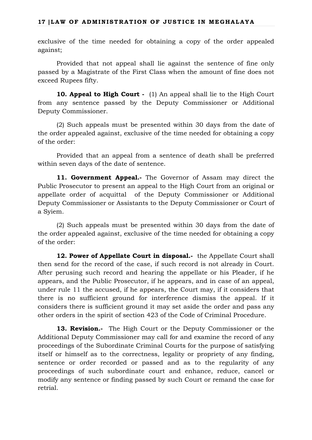#### **17 |LAW OF ADMINISTRATION OF JUSTICE IN MEGHALAYA**

exclusive of the time needed for obtaining a copy of the order appealed against;

Provided that not appeal shall lie against the sentence of fine only passed by a Magistrate of the First Class when the amount of fine does not exceed Rupees fifty.

**10. Appeal to High Court -** (1) An appeal shall lie to the High Court from any sentence passed by the Deputy Commissioner or Additional Deputy Commissioner.

(2) Such appeals must be presented within 30 days from the date of the order appealed against, exclusive of the time needed for obtaining a copy of the order:

Provided that an appeal from a sentence of death shall be preferred within seven days of the date of sentence.

**11. Government Appeal.-** The Governor of Assam may direct the Public Prosecutor to present an appeal to the High Court from an original or appellate order of acquittal of the Deputy Commissioner or Additional Deputy Commissioner or Assistants to the Deputy Commissioner or Court of a Syiem.

(2) Such appeals must be presented within 30 days from the date of the order appealed against, exclusive of the time needed for obtaining a copy of the order:

12. Power of Appellate Court in disposal.- the Appellate Court shall then send for the record of the case, if such record is not already in Court. After perusing such record and hearing the appellate or his Pleader, if he appears, and the Public Prosecutor, if he appears, and in case of an appeal, under rule 11 the accused, if he appears, the Court may, if it considers that there is no sufficient ground for interference dismiss the appeal. If it considers there is sufficient ground it may set aside the order and pass any other orders in the spirit of section 423 of the Code of Criminal Procedure.

**13. Revision.-** The High Court or the Deputy Commissioner or the Additional Deputy Commissioner may call for and examine the record of any proceedings of the Subordinate Criminal Courts for the purpose of satisfying itself or himself as to the correctness, legality or propriety of any finding, sentence or order recorded or passed and as to the regularity of any proceedings of such subordinate court and enhance, reduce, cancel or modify any sentence or finding passed by such Court or remand the case for retrial.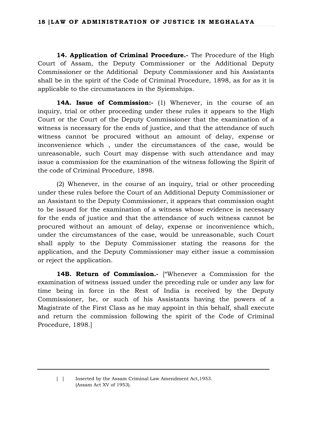**14. Application of Criminal Procedure.-** The Procedure of the High Court of Assam, the Deputy Commissioner or the Additional Deputy Commissioner or the Additional Deputy Commissioner and his Assistants shall be in the spirit of the Code of Criminal Procedure, 1898, as for as it is applicable to the circumstances in the Syiemships.

**14A. Issue of Commission:-** (1) Whenever, in the course of an inquiry, trial or other proceeding under these rules it appears to the High Court or the Court of the Deputy Commissioner that the examination of a witness is necessary for the ends of justice, and that the attendance of such witness cannot be procured without an amount of delay, expense or inconvenience which , under the circumstances of the case, would be unreasonable, such Court may dispense with such attendance and may issue a commission for the examination of the witness following the Spirit of the code of Criminal Procedure, 1898.

(2) Whenever, in the course of an inquiry, trial or other proceeding under these rules before the Court of an Additional Deputy Commissioner or an Assistant to the Deputy Commissioner, it appears that commission ought to be issued for the examination of a witness whose evidence is necessary for the ends of justice and that the attendance of such witness cannot be procured without an amount of delay, expense or inconvenience which, under the circumstances of the case, would be unreasonable, such Court shall apply to the Deputy Commissioner stating the reasons for the application, and the Deputy Commissioner may either issue a commission or reject the application.

**14B. Return of Commission.-** ["Whenever a Commission for the examination of witness issued under the preceding rule or under any law for time being in force in the Rest of India is received by the Deputy Commissioner, he, or such of his Assistants having the powers of a Magistrate of the First Class as he may appoint in this behalf, shall execute and return the commission following the spirit of the Code of Criminal Procedure, 1898.]

<sup>[ ]</sup> Inserted by the Assam Criminal Law Amendment Act, 1953. (Assam Act XV of 1953).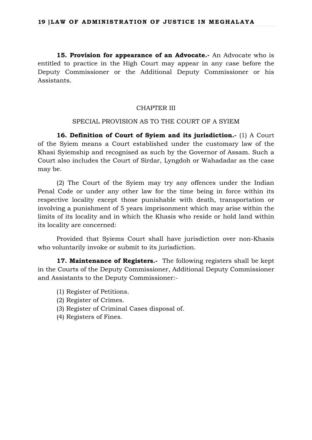**15. Provision for appearance of an Advocate.-** An Advocate who is entitled to practice in the High Court may appear in any case before the Deputy Commissioner or the Additional Deputy Commissioner or his Assistants.

### CHAPTER III

#### SPECIAL PROVISION AS TO THE COURT OF A SYIEM

**16. Definition of Court of Syiem and its jurisdiction.-** (1) A Court of the Syiem means a Court established under the customary law of the Khasi Syiemship and recognised as such by the Governor of Assam. Such a Court also includes the Court of Sirdar, Lyngdoh or Wahadadar as the case may be.

(2) The Court of the Syiem may try any offences under the Indian Penal Code or under any other law for the time being in force within its respective locality except those punishable with death, transportation or involving a punishment of 5 years imprisonment which may arise within the limits of its locality and in which the Khasis who reside or hold land within its locality are concerned:

Provided that Syiems Court shall have jurisdiction over non-Khasis who voluntarily invoke or submit to its jurisdiction.

**17. Maintenance of Registers.-** The following registers shall be kept in the Courts of the Deputy Commissioner, Additional Deputy Commissioner and Assistants to the Deputy Commissioner:-

- (1) Register of Petitions.
- (2) Register of Crimes.
- (3) Register of Criminal Cases disposal of.
- (4) Registers of Fines.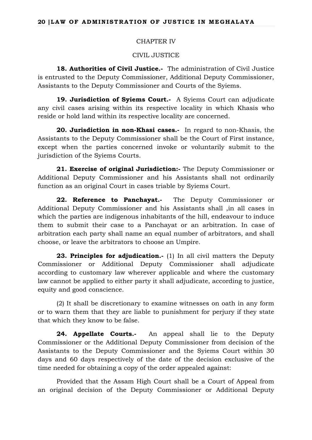### CHAPTER IV

CIVIL JUSTICE

**18. Authorities of Civil Justice.-** The administration of Civil Justice is entrusted to the Deputy Commissioner, Additional Deputy Commissioner, Assistants to the Deputy Commissioner and Courts of the Syiems.

**19. Jurisdiction of Syiems Court.-** A Syiems Court can adjudicate any civil cases arising within its respective locality in which Khasis who reside or hold land within its respective locality are concerned.

**20. Jurisdiction in non-Khasi cases.-** In regard to non-Khasis, the Assistants to the Deputy Commissioner shall be the Court of First instance, except when the parties concerned invoke or voluntarily submit to the jurisdiction of the Syiems Courts.

**21. Exercise of original Jurisdiction:-** The Deputy Commissioner or Additional Deputy Commissioner and his Assistants shall not ordinarily function as an original Court in cases triable by Syiems Court.

22. Reference to Panchayat.- The Deputy Commissioner or Additional Deputy Commissioner and his Assistants shall ,in all cases in which the parties are indigenous inhabitants of the hill, endeavour to induce them to submit their case to a Panchayat or an arbitration. In case of arbitration each party shall name an equal number of arbitrators, and shall choose, or leave the arbitrators to choose an Umpire.

**23. Principles for adjudication.-** (1) In all civil matters the Deputy Commissioner or Additional Deputy Commissioner shall adjudicate according to customary law wherever applicable and where the customary law cannot be applied to either party it shall adjudicate, according to justice, equity and good conscience.

(2) It shall be discretionary to examine witnesses on oath in any form or to warn them that they are liable to punishment for perjury if they state that which they know to be false.

**24. Appellate Courts.-** An appeal shall lie to the Deputy Commissioner or the Additional Deputy Commissioner from decision of the Assistants to the Deputy Commissioner and the Syiems Court within 30 days and 60 days respectively of the date of the decision exclusive of the time needed for obtaining a copy of the order appealed against:

Provided that the Assam High Court shall be a Court of Appeal from an original decision of the Deputy Commissioner or Additional Deputy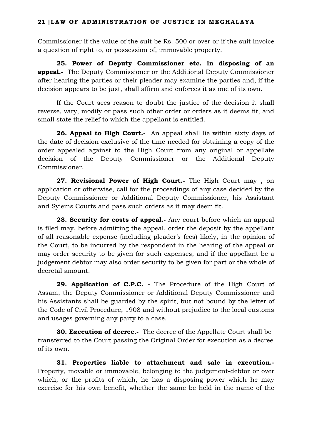Commissioner if the value of the suit be Rs. 500 or over or if the suit invoice a question of right to, or possession of, immovable property.

**25. Power of Deputy Commissioner etc. in disposing of an appeal.-** The Deputy Commissioner or the Additional Deputy Commissioner after hearing the parties or their pleader may examine the parties and, if the decision appears to be just, shall affirm and enforces it as one of its own.

If the Court sees reason to doubt the justice of the decision it shall reverse, vary, modify or pass such other order or orders as it deems fit, and small state the relief to which the appellant is entitled.

**26. Appeal to High Court.-** An appeal shall lie within sixty days of the date of decision exclusive of the time needed for obtaining a copy of the order appealed against to the High Court from any original or appellate decision of the Deputy Commissioner or the Additional Deputy Commissioner.

**27. Revisional Power of High Court.-** The High Court may , on application or otherwise, call for the proceedings of any case decided by the Deputy Commissioner or Additional Deputy Commissioner, his Assistant and Syiems Courts and pass such orders as it may deem fit.

**28. Security for costs of appeal.-** Any court before which an appeal is filed may, before admitting the appeal, order the deposit by the appellant of all reasonable expense (including pleader's fees) likely, in the opinion of the Court, to be incurred by the respondent in the hearing of the appeal or may order security to be given for such expenses, and if the appellant be a judgement debtor may also order security to be given for part or the whole of decretal amount.

**29. Application of C.P.C. -** The Procedure of the High Court of Assam, the Deputy Commissioner or Additional Deputy Commissioner and his Assistants shall be guarded by the spirit, but not bound by the letter of the Code of Civil Procedure, 1908 and without prejudice to the local customs and usages governing any party to a case.

**30. Execution of decree.-** The decree of the Appellate Court shall be transferred to the Court passing the Original Order for execution as a decree of its own.

**31. Properties liable to attachment and sale in execution.-** Property, movable or immovable, belonging to the judgement-debtor or over which, or the profits of which, he has a disposing power which he may exercise for his own benefit, whether the same be held in the name of the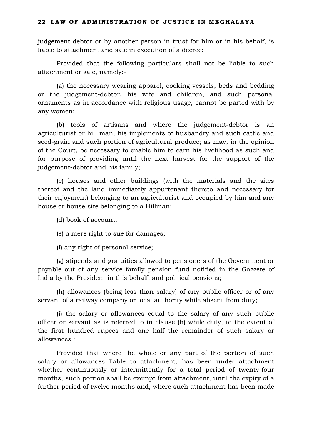### **22 |LAW OF ADMINISTRATION OF JUSTICE IN MEGHALAYA**

judgement-debtor or by another person in trust for him or in his behalf, is liable to attachment and sale in execution of a decree:

Provided that the following particulars shall not be liable to such attachment or sale, namely:-

(a) the necessary wearing apparel, cooking vessels, beds and bedding or the judgement-debtor, his wife and children, and such personal ornaments as in accordance with religious usage, cannot be parted with by any women;

(b) tools of artisans and where the judgement-debtor is an agriculturist or hill man, his implements of husbandry and such cattle and seed-grain and such portion of agricultural produce; as may, in the opinion of the Court, be necessary to enable him to earn his livelihood as such and for purpose of providing until the next harvest for the support of the judgement-debtor and his family;

(c) houses and other buildings (with the materials and the sites thereof and the land immediately appurtenant thereto and necessary for their enjoyment) belonging to an agriculturist and occupied by him and any house or house-site belonging to a Hillman;

- (d) book of account;
- (e) a mere right to sue for damages;
- (f) any right of personal service;

(g) stipends and gratuities allowed to pensioners of the Government or payable out of any service family pension fund notified in the Gazzete of India by the President in this behalf, and political pensions;

(h) allowances (being less than salary) of any public officer or of any servant of a railway company or local authority while absent from duty;

(i) the salary or allowances equal to the salary of any such public officer or servant as is referred to in clause (h) while duty, to the extent of the first hundred rupees and one half the remainder of such salary or allowances :

Provided that where the whole or any part of the portion of such salary or allowances liable to attachment, has been under attachment whether continuously or intermittently for a total period of twenty-four months, such portion shall be exempt from attachment, until the expiry of a further period of twelve months and, where such attachment has been made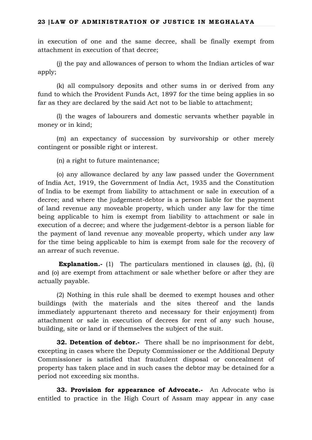in execution of one and the same decree, shall be finally exempt from attachment in execution of that decree;

(j) the pay and allowances of person to whom the Indian articles of war apply;

(k) all compulsory deposits and other sums in or derived from any fund to which the Provident Funds Act, 1897 for the time being applies in so far as they are declared by the said Act not to be liable to attachment;

(l) the wages of labourers and domestic servants whether payable in money or in kind;

(m) an expectancy of succession by survivorship or other merely contingent or possible right or interest.

(n) a right to future maintenance;

(o) any allowance declared by any law passed under the Government of India Act, 1919, the Government of India Act, 1935 and the Constitution of India to be exempt from liability to attachment or sale in execution of a decree; and where the judgement-debtor is a person liable for the payment of land revenue any moveable property, which under any law for the time being applicable to him is exempt from liability to attachment or sale in execution of a decree; and where the judgement-debtor is a person liable for the payment of land revenue any moveable property, which under any law for the time being applicable to him is exempt from sale for the recovery of an arrear of such revenue.

**Explanation.-** (1) The particulars mentioned in clauses (g), (h), (i) and (o) are exempt from attachment or sale whether before or after they are actually payable.

(2) Nothing in this rule shall be deemed to exempt houses and other buildings (with the materials and the sites thereof and the lands immediately appurtenant thereto and necessary for their enjoyment) from attachment or sale in execution of decrees for rent of any such house, building, site or land or if themselves the subject of the suit.

**32. Detention of debtor.-** There shall be no imprisonment for debt, excepting in cases where the Deputy Commissioner or the Additional Deputy Commissioner is satisfied that fraudulent disposal or concealment of property has taken place and in such cases the debtor may be detained for a period not exceeding six months.

**33. Provision for appearance of Advocate.-** An Advocate who is entitled to practice in the High Court of Assam may appear in any case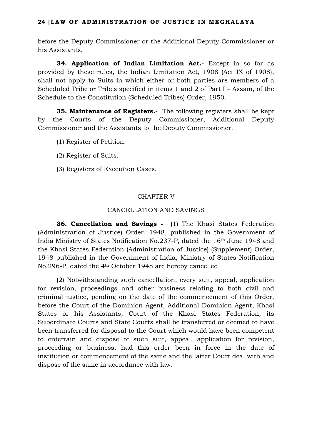before the Deputy Commissioner or the Additional Deputy Commissioner or his Assistants.

**34. Application of Indian Limitation Act.-** Except in so far as provided by these rules, the Indian Limitation Act, 1908 (Act IX of 1908), shall not apply to Suits in which either or both parties are members of a Scheduled Tribe or Tribes specified in items 1 and 2 of Part I – Assam, of the Schedule to the Constitution (Scheduled Tribes) Order, 1950.

**35. Maintenance of Registers.-** The following registers shall be kept by the Courts of the Deputy Commissioner, Additional Deputy Commissioner and the Assistants to the Deputy Commissioner.

- (1) Register of Petition.
- (2) Register of Suits.
- (3) Registers of Execution Cases.

## CHAPTER V

## CANCELLATION AND SAVINGS

**36. Cancellation and Savings -** (1) The Khasi States Federation (Administration of Justice) Order, 1948, published in the Government of India Ministry of States Notification No.237-P, dated the 16th June 1948 and the Khasi States Federation (Administration of Justice) (Supplement) Order, 1948 published in the Government of India, Ministry of States Notification No.296-P, dated the 4th October 1948 are hereby cancelled.

(2) Notwithstanding such cancellation, every suit, appeal, application for revision, proceedings and other business relating to both civil and criminal justice, pending on the date of the commencement of this Order, before the Court of the Dominion Agent, Additional Dominion Agent, Khasi States or his Assistants, Court of the Khasi States Federation, its Subordinate Courts and State Courts shall be transferred or deemed to have been transferred for disposal to the Court which would have been competent to entertain and dispose of such suit, appeal, application for revision, proceeding or business, had this order been in force in the date of institution or commencement of the same and the latter Court deal with and dispose of the same in accordance with law.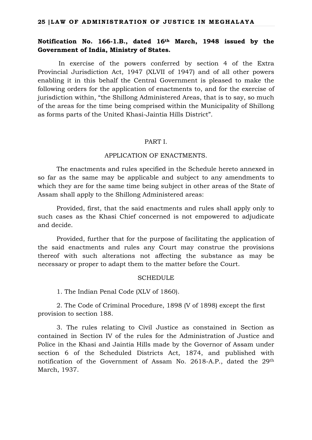## **Notification No. 166-1.B., dated 16th March, 1948 issued by the Government of India, Ministry of States.**

In exercise of the powers conferred by section 4 of the Extra Provincial Jurisdiction Act, 1947 (XLVII of 1947) and of all other powers enabling it in this behalf the Central Government is pleased to make the following orders for the application of enactments to, and for the exercise of jurisdiction within, "the Shillong Administered Areas, that is to say, so much of the areas for the time being comprised within the Municipality of Shillong as forms parts of the United Khasi-Jaintia Hills District".

#### PART I.

#### APPLICATION OF ENACTMENTS.

The enactments and rules specified in the Schedule hereto annexed in so far as the same may be applicable and subject to any amendments to which they are for the same time being subject in other areas of the State of Assam shall apply to the Shillong Administered areas:

Provided, first, that the said enactments and rules shall apply only to such cases as the Khasi Chief concerned is not empowered to adjudicate and decide.

Provided, further that for the purpose of facilitating the application of the said enactments and rules any Court may construe the provisions thereof with such alterations not affecting the substance as may be necessary or proper to adapt them to the matter before the Court.

### **SCHEDULE**

1. The Indian Penal Code (XLV of 1860).

2. The Code of Criminal Procedure, 1898 (V of 1898) except the first provision to section 188.

3. The rules relating to Civil Justice as constained in Section as contained in Section IV of the rules for the Administration of Justice and Police in the Khasi and Jaintia Hills made by the Governor of Assam under section 6 of the Scheduled Districts Act, 1874, and published with notification of the Government of Assam No. 2618-A.P., dated the 29th March, 1937.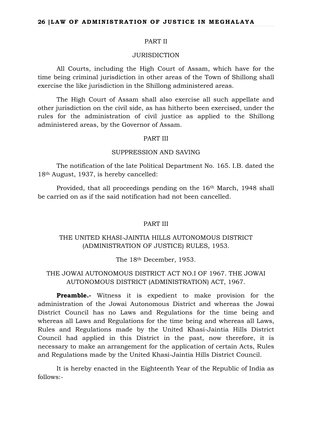#### PART II

## JURISDICTION

All Courts, including the High Court of Assam, which have for the time being criminal jurisdiction in other areas of the Town of Shillong shall exercise the like jurisdiction in the Shillong administered areas.

The High Court of Assam shall also exercise all such appellate and other jurisdiction on the civil side, as has hitherto been exercised, under the rules for the administration of civil justice as applied to the Shillong administered areas, by the Governor of Assam.

#### PART III

### SUPPRESSION AND SAVING

The notification of the late Political Department No. 165. I.B. dated the 18th August, 1937, is hereby cancelled:

Provided, that all proceedings pending on the 16th March, 1948 shall be carried on as if the said notification had not been cancelled.

#### PART III

## THE UNITED KHASI-JAINTIA HILLS AUTONOMOUS DISTRICT (ADMINISTRATION OF JUSTICE) RULES, 1953.

The 18th December, 1953.

## THE JOWAI AUTONOMOUS DISTRICT ACT NO.I OF 1967. THE JOWAI AUTONOMOUS DISTRICT (ADMINISTRATION) ACT, 1967.

**Preamble.-** Witness it is expedient to make provision for the administration of the Jowai Autonomous District and whereas the Jowai District Council has no Laws and Regulations for the time being and whereas all Laws and Regulations for the time being and whereas all Laws, Rules and Regulations made by the United Khasi-Jaintia Hills District Council had applied in this District in the past, now therefore, it is necessary to make an arrangement for the application of certain Acts, Rules and Regulations made by the United Khasi-Jaintia Hills District Council.

It is hereby enacted in the Eighteenth Year of the Republic of India as follows:-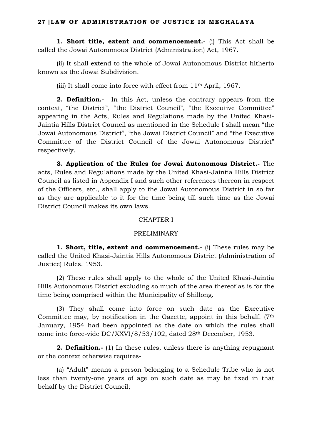**1. Short title, extent and commencement.-** (i) This Act shall be called the Jowai Autonomous District (Administration) Act, 1967.

(ii) It shall extend to the whole of Jowai Autonomous District hitherto known as the Jowai Subdivision.

(iii) It shall come into force with effect from 11th April, 1967.

**2. Definition.-** In this Act, unless the contrary appears from the context, "the District", "the District Council", "the Executive Committee" appearing in the Acts, Rules and Regulations made by the United Khasi-Jaintia Hills District Council as mentioned in the Schedule I shall mean "the Jowai Autonomous District", "the Jowai District Council" and "the Executive Committee of the District Council of the Jowai Autonomous District" respectively.

**3. Application of the Rules for Jowai Autonomous District.-** The acts, Rules and Regulations made by the United Khasi-Jaintia Hills District Council as listed in Appendix I and such other references thereon in respect of the Officers, etc., shall apply to the Jowai Autonomous District in so far as they are applicable to it for the time being till such time as the Jowai District Council makes its own laws.

## CHAPTER I

## PRELIMINARY

**1. Short, title, extent and commencement.-** (i) These rules may be called the United Khasi-Jaintia Hills Autonomous District (Administration of Justice) Rules, 1953.

(2) These rules shall apply to the whole of the United Khasi-Jaintia Hills Autonomous District excluding so much of the area thereof as is for the time being comprised within the Municipality of Shillong.

(3) They shall come into force on such date as the Executive Committee may, by notification in the Gazette, appoint in this behalf.  $(7<sup>th</sup>$ January, 1954 had been appointed as the date on which the rules shall come into force-vide DC/XXVI/8/53/102, dated 28th December, 1953.

**2. Definition.-** (1) In these rules, unless there is anything repugnant or the context otherwise requires-

(a) "Adult" means a person belonging to a Schedule Tribe who is not less than twenty-one years of age on such date as may be fixed in that behalf by the District Council;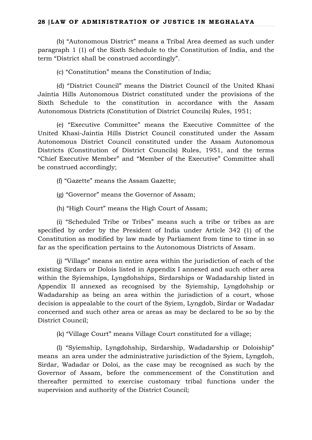(b) "Autonomous District" means a Tribal Area deemed as such under paragraph 1 (1) of the Sixth Schedule to the Constitution of India, and the term "District shall be construed accordingly".

(c) "Constitution" means the Constitution of India;

(d) "District Council" means the District Council of the United Khasi Jaintia Hills Autonomous District constituted under the provisions of the Sixth Schedule to the constitution in accordance with the Assam Autonomous Districts (Constitution of District Councils) Rules, 1951;

(e) "Executive Committee" means the Executive Committee of the United Khasi-Jaintia Hills District Council constituted under the Assam Autonomous District Council constituted under the Assam Autonomous Districts (Constitution of District Councils) Rules, 1951, and the terms "Chief Executive Member" and "Member of the Executive" Committee shall be construed accordingly;

(f) "Gazette" means the Assam Gazette;

(g) "Governor" means the Governor of Assam;

(h) "High Court" means the High Court of Assam;

(i) "Scheduled Tribe or Tribes" means such a tribe or tribes as are specified by order by the President of India under Article 342 (1) of the Constitution as modified by law made by Parliament from time to time in so far as the specification pertains to the Autonomous Districts of Assam.

(j) "Village" means an entire area within the jurisdiction of each of the existing Sirdars or Dolois listed in Appendix I annexed and such other area within the Syiemships, Lyngdohships, Sirdarships or Wadadarship listed in Appendix II annexed as recognised by the Syiemship, Lyngdohship or Wadadarship as being an area within the jurisdiction of a court, whose decision is appealable to the court of the Syiem, Lyngdob, Sirdar or Wadadar concerned and such other area or areas as may be declared to be so by the District Council;

(k) "Village Court" means Village Court constituted for a village;

(l) "Syiemship, Lyngdohship, Sirdarship, Wadadarship or Doloiship" means an area under the administrative jurisdiction of the Syiem, Lyngdoh, Sirdar, Wadadar or Doloi, as the case may be recognised as such by the Governor of Assam, before the commencement of the Constitution and thereafter permitted to exercise customary tribal functions under the supervision and authority of the District Council;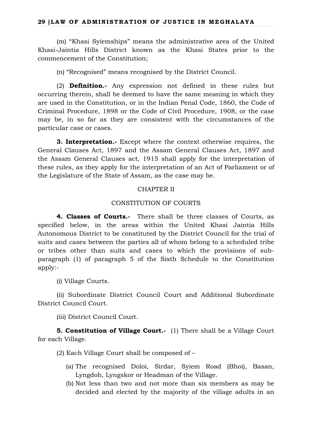(m) "Khasi Syiemships" means the administrative area of the United Khasi-Jaintia Hills District known as the Khasi States prior to the commencement of the Constitution;

(n) "Recognised" means recognised by the District Council.

(2) **Definition.-** Any expression not defined in these rules but occurring therein, shall be deemed to have the same meaning in which they are used in the Constitution, or in the Indian Penal Code, 1860, the Code of Criminal Procedure, 1898 or the Code of Civil Procedure, 1908, or the case may be, in so far as they are consistent with the circumstances of the particular case or cases.

**3. Interpretation.-** Except where the context otherwise requires, the General Clauses Act, 1897 and the Assam General Clauses Act, 1897 and the Assam General Clauses act, 1915 shall apply for the interpretation of these rules, as they apply for the interpretation of an Act of Parliament or of the Legislature of the State of Assam, as the case may be.

### CHAPTER II

## CONSTITUTION OF COURTS

**4. Classes of Courts.-** There shall be three classes of Courts, as specified below, in the areas within the United Khasi Jaintia Hills Autonomous District to be constituted by the District Council for the trial of suits and cases between the parties all of whom belong to a scheduled tribe or tribes other than suits and cases to which the provisions of subparagraph (1) of paragraph 5 of the Sixth Schedule to the Constitution apply:-

(i) Village Courts.

(ii) Subordinate District Council Court and Additional Subordinate District Council Court.

(iii) District Council Court.

**5. Constitution of Village Court.-** (1) There shall be a Village Court for each Village.

(2) Each Village Court shall be composed of –

- (a) The recognised Doloi, Sirdar, Syiem Road (Bhoi), Basan, Lyngdoh, Lyngskor or Headman of the Village.
- (b) Not less than two and not more than six members as may be decided and elected by the majority of the village adults in an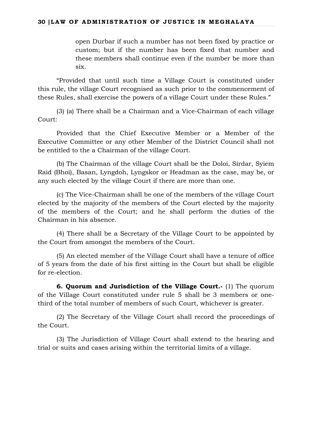open Durbar if such a number has not been fixed by practice or custom; but if the number has been fixed that number and these members shall continue even if the number be more than six.

"Provided that until such time a Village Court is constituted under this rule, the village Court recognised as such prior to the commencement of these Rules, shall exercise the powers of a village Court under these Rules."

(3) (a) There shall be a Chairman and a Vice-Chairman of each village Court:

Provided that the Chief Executive Member or a Member of the Executive Committee or any other Member of the District Council shall not be entitled to the a Chairman of the village Court.

(b) The Chairman of the village Court shall be the Doloi, Sirdar, Syiem Raid (Bhoi), Basan, Lyngdoh, Lyngskor or Headman as the case, may be, or any such elected by the village Court if there are more than one.

(c) The Vice-Chairman shall be one of the members of the village Court elected by the majority of the members of the Court elected by the majority of the members of the Court; and he shall perform the duties of the Chairman in his absence.

(4) There shall be a Secretary of the Village Court to be appointed by the Court from amongst the members of the Court.

(5) An elected member of the Village Court shall have a tenure of office of 5 years from the date of his first sitting in the Court but shall be eligible for re-election.

**6. Quorum and Jurisdiction of the Village Court.-** (1) The quorum of the Village Court constituted under rule 5 shall be 3 members or onethird of the total number of members of such Court, whichever is greater.

(2) The Secretary of the Village Court shall record the proceedings of the Court.

(3) The Jurisdiction of Village Court shall extend to the hearing and trial or suits and cases arising within the territorial limits of a village.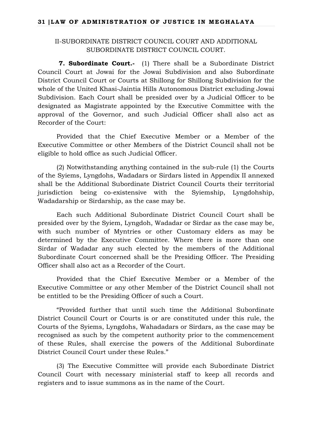## II-SUBORDINATE DISTRICT COUNCIL COURT AND ADDITIONAL SUBORDINATE DISTRICT COUNCIL COURT.

**7. Subordinate Court.-** (1) There shall be a Subordinate District Council Court at Jowai for the Jowai Subdivision and also Subordinate District Council Court or Courts at Shillong for Shillong Subdivision for the whole of the United Khasi-Jaintia Hills Autonomous District excluding Jowai Subdivision. Each Court shall be presided over by a Judicial Officer to be designated as Magistrate appointed by the Executive Committee with the approval of the Governor, and such Judicial Officer shall also act as Recorder of the Court:

Provided that the Chief Executive Member or a Member of the Executive Committee or other Members of the District Council shall not be eligible to hold office as such Judicial Officer.

(2) Notwithstanding anything contained in the sub-rule (1) the Courts of the Syiems, Lyngdohs, Wadadars or Sirdars listed in Appendix II annexed shall be the Additional Subordinate District Council Courts their territorial jurisdiction being co-existensive with the Syiemship, Lyngdohship, Wadadarship or Sirdarship, as the case may be.

Each such Additional Subordinate District Council Court shall be presided over by the Syiem, Lyngdoh, Wadadar or Sirdar as the case may be, with such number of Myntries or other Customary elders as may be determined by the Executive Committee. Where there is more than one Sirdar of Wadadar any such elected by the members of the Additional Subordinate Court concerned shall be the Presiding Officer. The Presiding Officer shall also act as a Recorder of the Court.

Provided that the Chief Executive Member or a Member of the Executive Committee or any other Member of the District Council shall not be entitled to be the Presiding Officer of such a Court.

"Provided further that until such time the Additional Subordinate District Council Court or Courts is or are constituted under this rule, the Courts of the Syiems, Lyngdohs, Wahadadars or Sirdars, as the case may be recognised as such by the competent authority prior to the commencement of these Rules, shall exercise the powers of the Additional Subordinate District Council Court under these Rules."

(3) The Executive Committee will provide each Subordinate District Council Court with necessary ministerial staff to keep all records and registers and to issue summons as in the name of the Court.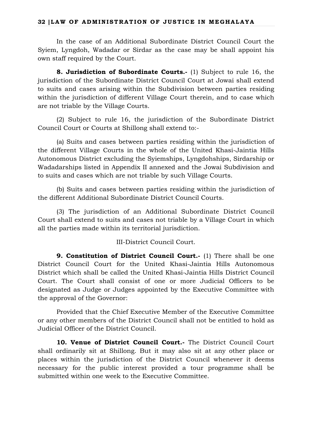In the case of an Additional Subordinate District Council Court the Syiem, Lyngdoh, Wadadar or Sirdar as the case may be shall appoint his own staff required by the Court.

**8. Jurisdiction of Subordinate Courts.-** (1) Subject to rule 16, the jurisdiction of the Subordinate District Council Court at Jowai shall extend to suits and cases arising within the Subdivision between parties residing within the jurisdiction of different Village Court therein, and to case which are not triable by the Village Courts.

(2) Subject to rule 16, the jurisdiction of the Subordinate District Council Court or Courts at Shillong shall extend to:-

(a) Suits and cases between parties residing within the jurisdiction of the different Village Courts in the whole of the United Khasi-Jaintia Hills Autonomous District excluding the Syiemships, Lyngdohships, Sirdarship or Wadadarships listed in Appendix II annexed and the Jowai Subdivision and to suits and cases which are not triable by such Village Courts.

(b) Suits and cases between parties residing within the jurisdiction of the different Additional Subordinate District Council Courts.

(3) The jurisdiction of an Additional Subordinate District Council Court shall extend to suits and cases not triable by a Village Court in which all the parties made within its territorial jurisdiction.

## III-District Council Court.

**9. Constitution of District Council Court.**- (1) There shall be one District Council Court for the United Khasi-Jaintia Hills Autonomous District which shall be called the United Khasi-Jaintia Hills District Council Court. The Court shall consist of one or more Judicial Officers to be designated as Judge or Judges appointed by the Executive Committee with the approval of the Governor:

Provided that the Chief Executive Member of the Executive Committee or any other members of the District Council shall not be entitled to hold as Judicial Officer of the District Council.

**10. Venue of District Council Court.-** The District Council Court shall ordinarily sit at Shillong. But it may also sit at any other place or places within the jurisdiction of the District Council whenever it deems necessary for the public interest provided a tour programme shall be submitted within one week to the Executive Committee.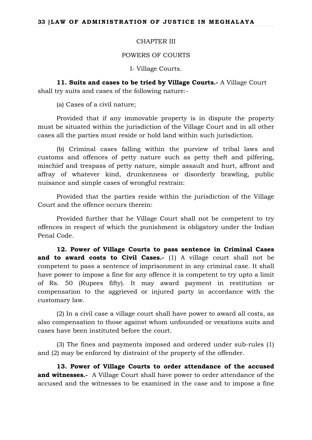### CHAPTER III

## POWERS OF COURTS

I- Village Courts.

**11. Suits and cases to be tried by Village Courts.-** A Village Court shall try suits and cases of the following nature:-

(a) Cases of a civil nature;

Provided that if any immovable property is in dispute the property must be situated within the jurisdiction of the Village Court and in all other cases all the parties must reside or hold land within such jurisdiction.

(b) Criminal cases falling within the purview of tribal laws and customs and offences of petty nature such as petty theft and pilfering, mischief and trespass of petty nature, simple assault and hurt, affront and affray of whatever kind, drunkenness or disorderly brawling, public nuisance and simple cases of wrongful restrain:

Provided that the parties reside within the jurisdiction of the Village Court and the offence occurs therein:

Provided further that he Village Court shall not be competent to try offences in respect of which the punishment is obligatory under the Indian Penal Code.

**12. Power of Village Courts to pass sentence in Criminal Cases and to award costs to Civil Cases.-** (1) A village court shall not be competent to pass a sentence of imprisonment in any criminal case. It shall have power to impose a fine for any offence it is competent to try upto a limit of Rs. 50 (Rupees fifty). It may award payment in restitution or compensation to the aggrieved or injured party in accordance with the customary law.

(2) In a civil case a village court shall have power to award all costs, as also compensation to those against whom unfounded or vexations suits and cases have been instituted before the court.

(3) The fines and payments imposed and ordered under sub-rules (1) and (2) may be enforced by distraint of the property of the offender.

**13. Power of Village Courts to order attendance of the accused and witnesses.-** A Village Court shall have power to order attendance of the accused and the witnesses to be examined in the case and to impose a fine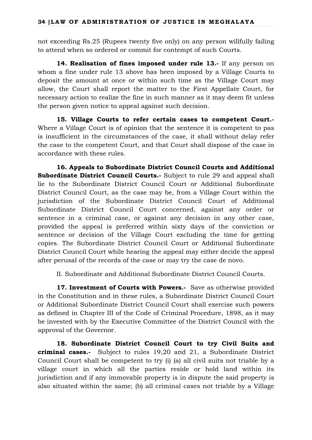not exceeding Rs.25 (Rupees twenty five only) on any person willfully failing to attend when so ordered or commit for contempt of such Courts.

**14. Realisation of fines imposed under rule 13.-** If any person on whom a fine under rule 13 above has been imposed by a Village Courts to deposit the amount at once or within such time as the Village Court may allow, the Court shall report the matter to the First Appellate Court, for necessary action to realize the fine in such manner as it may deem fit unless the person given notice to appeal against such decision.

**15. Village Courts to refer certain cases to competent Court.-** Where a Village Court is of opinion that the sentence it is competent to pas is insufficient in the circumstances of the case, it shall without delay refer the case to the competent Court, and that Court shall dispose of the case in accordance with these rules.

**16. Appeals to Subordinate District Council Courts and Additional Subordinate District Council Courts.**- Subject to rule 29 and appeal shall lie to the Subordinate District Council Court or Additional Subordinate District Council Court, as the case may be, from a Village Court within the jurisdiction of the Subordinate District Council Court of Additional Subordinate District Council Court concerned, against any order or sentence in a criminal case, or against any decision in any other case, provided the appeal is preferred within sixty days of the conviction or sentence or decision of the Village Court excluding the time for getting copies. The Subordinate District Council Court or Additional Subordinate District Council Court while hearing the appeal may either decide the appeal after perusal of the records of the case or may try the case de novo.

II. Subordinate and Additional Subordinate District Council Courts.

**17. Investment of Courts with Powers.-** Save as otherwise provided in the Constitution and in these rules, a Subordinate District Council Court or Additional Subordinate District Council Court shall exercise such powers as defined in Chapter III of the Code of Criminal Procedure, 1898, as it may be invested with by the Executive Committee of the District Council with the approval of the Governor.

**18. Subordinate District Council Court to try Civil Suits and criminal cases.-** Subject to rules 19,20 and 21, a Subordinate District Council Court shall be competent to try (i) (a) all civil suits not triable by a village court in which all the parties reside or hold land within its jurisdiction and if any immovable property is in dispute the said property is also situated within the same; (b) all criminal cases not triable by a Village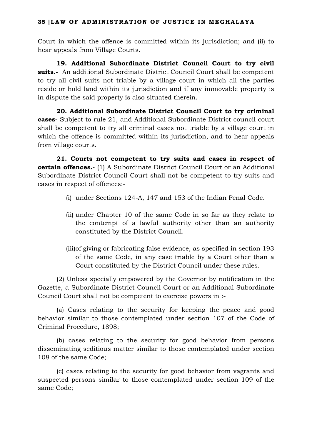Court in which the offence is committed within its jurisdiction; and (ii) to hear appeals from Village Courts.

**19. Additional Subordinate District Council Court to try civil suits.-** An additional Subordinate District Council Court shall be competent to try all civil suits not triable by a village court in which all the parties reside or hold land within its jurisdiction and if any immovable property is in dispute the said property is also situated therein.

**20. Additional Subordinate District Council Court to try criminal cases-** Subject to rule 21, and Additional Subordinate District council court shall be competent to try all criminal cases not triable by a village court in which the offence is committed within its jurisdiction, and to hear appeals from village courts.

**21. Courts not competent to try suits and cases in respect of certain offences.-** (1) A Subordinate District Council Court or an Additional Subordinate District Council Court shall not be competent to try suits and cases in respect of offences:-

- (i) under Sections 124-A, 147 and 153 of the Indian Penal Code.
- (ii) under Chapter 10 of the same Code in so far as they relate to the contempt of a lawful authority other than an authority constituted by the District Council.
- (iii)of giving or fabricating false evidence, as specified in section 193 of the same Code, in any case triable by a Court other than a Court constituted by the District Council under these rules.

(2) Unless specially empowered by the Governor by notification in the Gazette, a Subordinate District Council Court or an Additional Subordinate Council Court shall not be competent to exercise powers in :-

(a) Cases relating to the security for keeping the peace and good behavior similar to those contemplated under section 107 of the Code of Criminal Procedure, 1898;

(b) cases relating to the security for good behavior from persons disseminating seditious matter similar to those contemplated under section 108 of the same Code;

(c) cases relating to the security for good behavior from vagrants and suspected persons similar to those contemplated under section 109 of the same Code;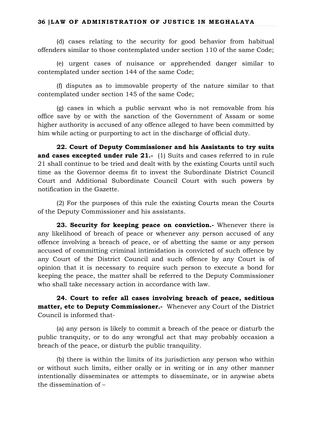(d) cases relating to the security for good behavior from habitual offenders similar to those contemplated under section 110 of the same Code;

(e) urgent cases of nuisance or apprehended danger similar to contemplated under section 144 of the same Code;

(f) disputes as to immovable property of the nature similar to that contemplated under section 145 of the same Code;

(g) cases in which a public servant who is not removable from his office save by or with the sanction of the Government of Assam or some higher authority is accused of any offence alleged to have been committed by him while acting or purporting to act in the discharge of official duty.

**22. Court of Deputy Commissioner and his Assistants to try suits and cases excepted under rule 21.-** (1) Suits and cases referred to in rule 21 shall continue to be tried and dealt with by the existing Courts until such time as the Governor deems fit to invest the Subordinate District Council Court and Additional Subordinate Council Court with such powers by notification in the Gazette.

(2) For the purposes of this rule the existing Courts mean the Courts of the Deputy Commissioner and his assistants.

**23. Security for keeping peace on conviction.-** Whenever there is any likelihood of breach of peace or whenever any person accused of any offence involving a breach of peace, or of abetting the same or any person accused of committing criminal intimidation is convicted of such offence by any Court of the District Council and such offence by any Court is of opinion that it is necessary to require such person to execute a bond for keeping the peace, the matter shall be referred to the Deputy Commissioner who shall take necessary action in accordance with law.

**24. Court to refer all cases involving breach of peace, seditious matter, etc to Deputy Commissioner.-** Whenever any Court of the District Council is informed that-

(a) any person is likely to commit a breach of the peace or disturb the public tranquity, or to do any wrongful act that may probably occasion a breach of the peace, or disturb the public tranquility.

(b) there is within the limits of its jurisdiction any person who within or without such limits, either orally or in writing or in any other manner intentionally disseminates or attempts to disseminate, or in anywise abets the dissemination of –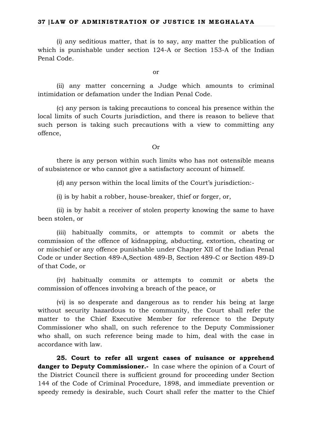(i) any seditious matter, that is to say, any matter the publication of which is punishable under section 124-A or Section 153-A of the Indian Penal Code.

or

(ii) any matter concerning a Judge which amounts to criminal intimidation or defamation under the Indian Penal Code.

(c) any person is taking precautions to conceal his presence within the local limits of such Courts jurisdiction, and there is reason to believe that such person is taking such precautions with a view to committing any offence,

Or

there is any person within such limits who has not ostensible means of subsistence or who cannot give a satisfactory account of himself.

(d) any person within the local limits of the Court's jurisdiction:-

(i) is by habit a robber, house-breaker, thief or forger, or,

(ii) is by habit a receiver of stolen property knowing the same to have been stolen, or

(iii) habitually commits, or attempts to commit or abets the commission of the offence of kidnapping, abducting, extortion, cheating or or mischief or any offence punishable under Chapter XII of the Indian Penal Code or under Section 489-A,Section 489-B, Section 489-C or Section 489-D of that Code, or

(iv) habitually commits or attempts to commit or abets the commission of offences involving a breach of the peace, or

(vi) is so desperate and dangerous as to render his being at large without security hazardous to the community, the Court shall refer the matter to the Chief Executive Member for reference to the Deputy Commissioner who shall, on such reference to the Deputy Commissioner who shall, on such reference being made to him, deal with the case in accordance with law.

**25. Court to refer all urgent cases of nuisance or apprehend danger to Deputy Commissioner.**- In case where the opinion of a Court of the District Council there is sufficient ground for proceeding under Section 144 of the Code of Criminal Procedure, 1898, and immediate prevention or speedy remedy is desirable, such Court shall refer the matter to the Chief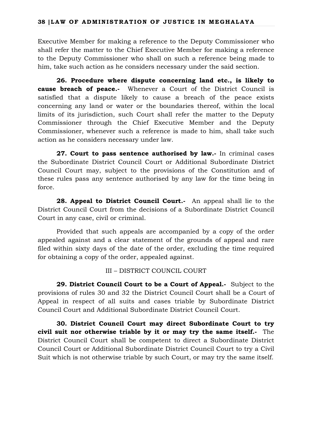Executive Member for making a reference to the Deputy Commissioner who shall refer the matter to the Chief Executive Member for making a reference to the Deputy Commissioner who shall on such a reference being made to him, take such action as he considers necessary under the said section.

**26. Procedure where dispute concerning land etc., is likely to cause breach of peace.-** Whenever a Court of the District Council is satisfied that a dispute likely to cause a breach of the peace exists concerning any land or water or the boundaries thereof, within the local limits of its jurisdiction, such Court shall refer the matter to the Deputy Commissioner through the Chief Executive Member and the Deputy Commissioner, whenever such a reference is made to him, shall take such action as he considers necessary under law.

**27. Court to pass sentence authorised by law.-** In criminal cases the Subordinate District Council Court or Additional Subordinate District Council Court may, subject to the provisions of the Constitution and of these rules pass any sentence authorised by any law for the time being in force.

**28. Appeal to District Council Court.-** An appeal shall lie to the District Council Court from the decisions of a Subordinate District Council Court in any case, civil or criminal.

Provided that such appeals are accompanied by a copy of the order appealed against and a clear statement of the grounds of appeal and rare filed within sixty days of the date of the order, excluding the time required for obtaining a copy of the order, appealed against.

## III – DISTRICT COUNCIL COURT

**29. District Council Court to be a Court of Appeal.-** Subject to the provisions of rules 30 and 32 the District Council Court shall be a Court of Appeal in respect of all suits and cases triable by Subordinate District Council Court and Additional Subordinate District Council Court.

**30. District Council Court may direct Subordinate Court to try civil suit nor otherwise triable by it or may try the same itself.-** The District Council Court shall be competent to direct a Subordinate District Council Court or Additional Subordinate District Council Court to try a Civil Suit which is not otherwise triable by such Court, or may try the same itself.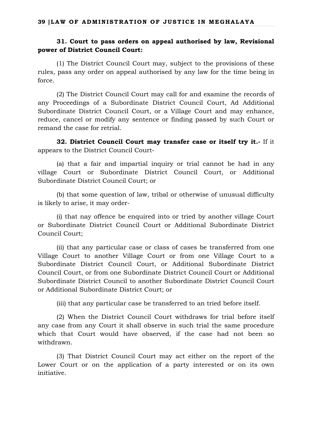## **31. Court to pass orders on appeal authorised by law, Revisional power of District Council Court:**

(1) The District Council Court may, subject to the provisions of these rules, pass any order on appeal authorised by any law for the time being in force.

(2) The District Council Court may call for and examine the records of any Proceedings of a Subordinate District Council Court, Ad Additional Subordinate District Council Court, or a Village Court and may enhance, reduce, cancel or modify any sentence or finding passed by such Court or remand the case for retrial.

**32. District Council Court may transfer case or itself try it.-** If it appears to the District Council Court-

(a) that a fair and impartial inquiry or trial cannot be had in any village Court or Subordinate District Council Court, or Additional Subordinate District Council Court; or

(b) that some question of law, tribal or otherwise of unusual difficulty is likely to arise, it may order-

(i) that nay offence be enquired into or tried by another village Court or Subordinate District Council Court or Additional Subordinate District Council Court;

(ii) that any particular case or class of cases be transferred from one Village Court to another Village Court or from one Village Court to a Subordinate District Council Court, or Additional Subordinate District Council Court, or from one Subordinate District Council Court or Additional Subordinate District Council to another Subordinate District Council Court or Additional Subordinate District Court; or

(iii) that any particular case be transferred to an tried before itself.

(2) When the District Council Court withdraws for trial before itself any case from any Court it shall observe in such trial the same procedure which that Court would have observed, if the case had not been so withdrawn.

(3) That District Council Court may act either on the report of the Lower Court or on the application of a party interested or on its own initiative.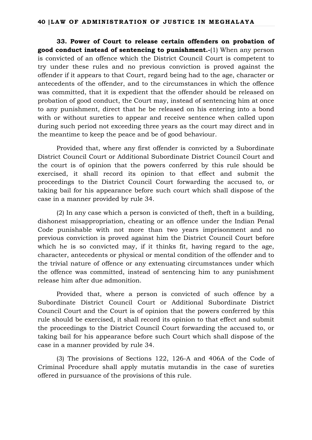**33. Power of Court to release certain offenders on probation of good conduct instead of sentencing to punishment.-**(1) When any person is convicted of an offence which the District Council Court is competent to try under these rules and no previous conviction is proved against the offender if it appears to that Court, regard being had to the age, character or antecedents of the offender, and to the circumstances in which the offence was committed, that it is expedient that the offender should be released on probation of good conduct, the Court may, instead of sentencing him at once to any punishment, direct that he be released on his entering into a bond with or without sureties to appear and receive sentence when called upon during such period not exceeding three years as the court may direct and in the meantime to keep the peace and be of good behaviour.

Provided that, where any first offender is convicted by a Subordinate District Council Court or Additional Subordinate District Council Court and the court is of opinion that the powers conferred by this rule should be exercised, it shall record its opinion to that effect and submit the proceedings to the District Council Court forwarding the accused to, or taking bail for his appearance before such court which shall dispose of the case in a manner provided by rule 34.

(2) In any case which a person is convicted of theft, theft in a building, dishonest misappropriation, cheating or an offence under the Indian Penal Code punishable with not more than two years imprisonment and no previous conviction is proved against him the District Council Court before which he is so convicted may, if it thinks fit, having regard to the age, character, antecedents or physical or mental condition of the offender and to the trivial nature of offence or any extenuating circumstances under which the offence was committed, instead of sentencing him to any punishment release him after due admonition.

Provided that, where a person is convicted of such offence by a Subordinate District Council Court or Additional Subordinate District Council Court and the Court is of opinion that the powers conferred by this rule should be exercised, it shall record its opinion to that effect and submit the proceedings to the District Council Court forwarding the accused to, or taking bail for his appearance before such Court which shall dispose of the case in a manner provided by rule 34.

(3) The provisions of Sections 122, 126-A and 406A of the Code of Criminal Procedure shall apply mutatis mutandis in the case of sureties offered in pursuance of the provisions of this rule.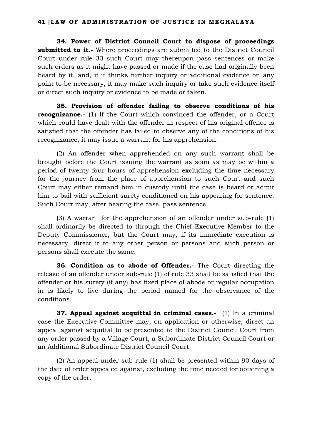**34. Power of District Council Court to dispose of proceedings submitted to it.-** Where proceedings are submitted to the District Council Court under rule 33 such Court may thereupon pass sentences or make such orders as it might have passed or made if the case had originally been heard by it, and, if it thinks further inquiry or additional evidence on any point to be necessary, it may make such inquiry or take such evidence itself or direct such inquiry or evidence to be made or taken.

**35. Provision of offender failing to observe conditions of his recognizance.-** (1) If the Court which convinced the offender, or a Court which could have dealt with the offender in respect of his original offence is satisfied that the offender has failed to observe any of the conditions of his recognizance, it may issue a warrant for his apprehension.

(2) An offender when apprehended on any such warrant shall be brought before the Court issuing the warrant as soon as may be within a period of twenty four hours of apprehension excluding the time necessary for the journey from the place of apprehension to such Court and such Court may either remand him in custody until the case is heard or admit him to bail with sufficient surety conditioned on his appearing for sentence. Such Court may, after hearing the case, pass sentence.

(3) A warrant for the apprehension of an offender under sub-rule (1) shall ordinarily be directed to through the Chief Executive Member to the Deputy Commissioner, but the Court may, if its immediate execution is necessary, direct it to any other person or persons and such person or persons shall execute the same.

**36. Condition as to abode of Offender.-** The Court directing the release of an offender under sub-rule (1) of rule 33 shall be satisfied that the offender or his surety (if any) has fixed place of abode or regular occupation in is likely to live during the period named for the observance of the conditions.

**37. Appeal against acquittal in criminal cases.-** (1) In a criminal case the Executive Committee may, on application or otherwise, direct an appeal against acquittal to be presented to the District Council Court from any order passed by a Village Court, a Subordinate District Council Court or an Additional Subordinate District Council Court.

(2) An appeal under sub-rule (1) shall be presented within 90 days of the date of order appealed against, excluding the time needed for obtaining a copy of the order.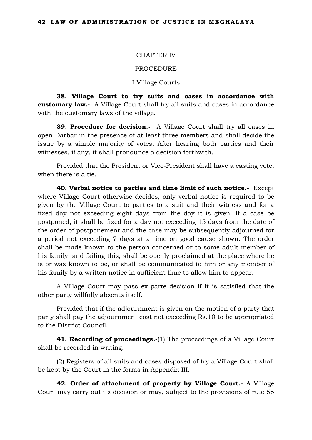#### CHAPTER IV

#### PROCEDURE

#### I-Village Courts

**38. Village Court to try suits and cases in accordance with customary law.-** A Village Court shall try all suits and cases in accordance with the customary laws of the village.

**39. Procedure for decision.-** A Village Court shall try all cases in open Darbar in the presence of at least three members and shall decide the issue by a simple majority of votes. After hearing both parties and their witnesses, if any, it shall pronounce a decision forthwith.

Provided that the President or Vice-President shall have a casting vote, when there is a tie.

**40. Verbal notice to parties and time limit of such notice.-** Except where Village Court otherwise decides, only verbal notice is required to be given by the Village Court to parties to a suit and their witness and for a fixed day not exceeding eight days from the day it is given. If a case be postponed, it shall be fixed for a day not exceeding 15 days from the date of the order of postponement and the case may be subsequently adjourned for a period not exceeding 7 days at a time on good cause shown. The order shall be made known to the person concerned or to some adult member of his family, and failing this, shall be openly proclaimed at the place where he is or was known to be, or shall be communicated to him or any member of his family by a written notice in sufficient time to allow him to appear.

A Village Court may pass ex-parte decision if it is satisfied that the other party willfully absents itself.

Provided that if the adjournment is given on the motion of a party that party shall pay the adjournment cost not exceeding Rs.10 to be appropriated to the District Council.

**41. Recording of proceedings.-(1)** The proceedings of a Village Court shall be recorded in writing.

(2) Registers of all suits and cases disposed of try a Village Court shall be kept by the Court in the forms in Appendix III.

**42. Order of attachment of property by Village Court.-** A Village Court may carry out its decision or may, subject to the provisions of rule 55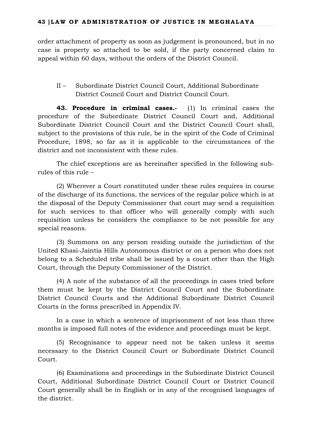order attachment of property as soon as judgement is pronounced, but in no case is property so attached to be sold, if the party concerned claim to appeal within 60 days, without the orders of the District Council.

II – Subordinate District Council Court, Additional Subordinate District Council Court and District Council Court.

**43. Procedure in criminal cases.-** (1) In criminal cases the procedure of the Subordinate District Council Court and, Additional Subordinate District Council Court and the District Council Court shall, subject to the provisions of this rule, be in the spirit of the Code of Criminal Procedure, 1898, so far as it is applicable to the circumstances of the district and not inconsistent with these rules.

The chief exceptions are as hereinafter specified in the following subrules of this rule –

(2) Wherever a Court constituted under these rules requires in course of the discharge of its functions, the services of the regular police which is at the disposal of the Deputy Commissioner that court may send a requisition for such services to that officer who will generally comply with such requisition unless he considers the compliance to be not possible for any special reasons.

(3) Summons on any person residing outside the jurisdiction of the United Khasi-Jaintia Hills Autonomous district or on a person who does not belong to a Scheduled tribe shall be issued by a court other than the High Court, through the Deputy Commissioner of the District.

(4) A note of the substance of all the proceedings in cases tried before them must be kept by the District Council Court and the Subordinate District Council Courts and the Additional Subordinate District Council Courts in the forms prescribed in Appendix IV.

In a case in which a sentence of imprisonment of not less than three months is imposed full notes of the evidence and proceedings must be kept.

(5) Recognisance to appear need not be taken unless it seems necessary to the District Council Court or Subordinate District Council Court.

(6) Examinations and proceedings in the Subordinate District Council Court, Additional Subordinate District Council Court or District Council Court generally shall be in English or in any of the recognised languages of the district.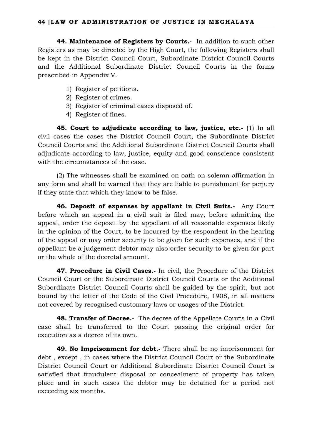**44. Maintenance of Registers by Courts.-** In addition to such other Registers as may be directed by the High Court, the following Registers shall be kept in the District Council Court, Subordinate District Council Courts and the Additional Subordinate District Council Courts in the forms prescribed in Appendix V.

- 1) Register of petitions.
- 2) Register of crimes.
- 3) Register of criminal cases disposed of.
- 4) Register of fines.

**45. Court to adjudicate according to law, justice, etc.-** (1) In all civil cases the cases the District Council Court, the Subordinate District Council Courts and the Additional Subordinate District Council Courts shall adjudicate according to law, justice, equity and good conscience consistent with the circumstances of the case.

(2) The witnesses shall be examined on oath on solemn affirmation in any form and shall be warned that they are liable to punishment for perjury if they state that which they know to be false.

**46. Deposit of expenses by appellant in Civil Suits.-** Any Court before which an appeal in a civil suit is filed may, before admitting the appeal, order the deposit by the appellant of all reasonable expenses likely in the opinion of the Court, to be incurred by the respondent in the hearing of the appeal or may order security to be given for such expenses, and if the appellant be a judgement debtor may also order security to be given for part or the whole of the decretal amount.

**47. Procedure in Civil Cases.-** In civil, the Procedure of the District Council Court or the Subordinate District Council Courts or the Additional Subordinate District Council Courts shall be guided by the spirit, but not bound by the letter of the Code of the Civil Procedure, 1908, in all matters not covered by recognised customary laws or usages of the District.

**48. Transfer of Decree.-** The decree of the Appellate Courts in a Civil case shall be transferred to the Court passing the original order for execution as a decree of its own.

**49. No Imprisonment for debt.-** There shall be no imprisonment for debt , except , in cases where the District Council Court or the Subordinate District Council Court or Additional Subordinate District Council Court is satisfied that fraudulent disposal or concealment of property has taken place and in such cases the debtor may be detained for a period not exceeding six months.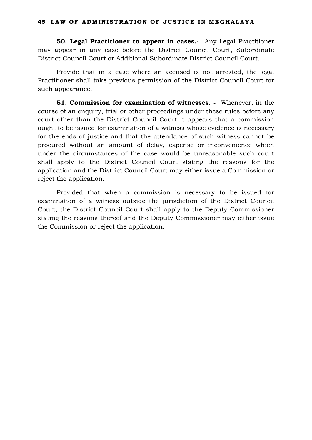**50. Legal Practitioner to appear in cases.-** Any Legal Practitioner may appear in any case before the District Council Court, Subordinate District Council Court or Additional Subordinate District Council Court.

Provide that in a case where an accused is not arrested, the legal Practitioner shall take previous permission of the District Council Court for such appearance.

**51. Commission for examination of witnesses. -** Whenever, in the course of an enquiry, trial or other proceedings under these rules before any court other than the District Council Court it appears that a commission ought to be issued for examination of a witness whose evidence is necessary for the ends of justice and that the attendance of such witness cannot be procured without an amount of delay, expense or inconvenience which under the circumstances of the case would be unreasonable such court shall apply to the District Council Court stating the reasons for the application and the District Council Court may either issue a Commission or reject the application.

Provided that when a commission is necessary to be issued for examination of a witness outside the jurisdiction of the District Council Court, the District Council Court shall apply to the Deputy Commissioner stating the reasons thereof and the Deputy Commissioner may either issue the Commission or reject the application.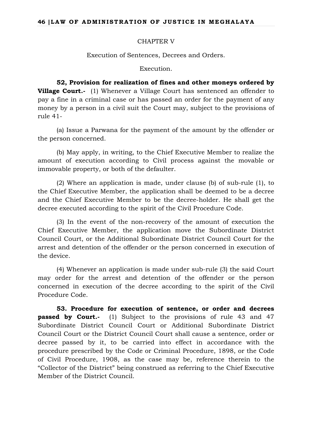### CHAPTER V

Execution of Sentences, Decrees and Orders.

Execution.

**52, Provision for realization of fines and other moneys ordered by Village Court.-** (1) Whenever a Village Court has sentenced an offender to pay a fine in a criminal case or has passed an order for the payment of any money by a person in a civil suit the Court may, subject to the provisions of rule 41-

(a) Issue a Parwana for the payment of the amount by the offender or the person concerned.

(b) May apply, in writing, to the Chief Executive Member to realize the amount of execution according to Civil process against the movable or immovable property, or both of the defaulter.

(2) Where an application is made, under clause (b) of sub-rule (1), to the Chief Executive Member, the application shall be deemed to be a decree and the Chief Executive Member to be the decree-holder. He shall get the decree executed according to the spirit of the Civil Procedure Code.

(3) In the event of the non-recovery of the amount of execution the Chief Executive Member, the application move the Subordinate District Council Court, or the Additional Subordinate District Council Court for the arrest and detention of the offender or the person concerned in execution of the device.

(4) Whenever an application is made under sub-rule (3) the said Court may order for the arrest and detention of the offender or the person concerned in execution of the decree according to the spirit of the Civil Procedure Code.

**53. Procedure for execution of sentence, or order and decrees passed by Court.-** (1) Subject to the provisions of rule 43 and 47 Subordinate District Council Court or Additional Subordinate District Council Court or the District Council Court shall cause a sentence, order or decree passed by it, to be carried into effect in accordance with the procedure prescribed by the Code or Criminal Procedure, 1898, or the Code of Civil Procedure, 1908, as the case may be, reference therein to the "Collector of the District" being construed as referring to the Chief Executive Member of the District Council.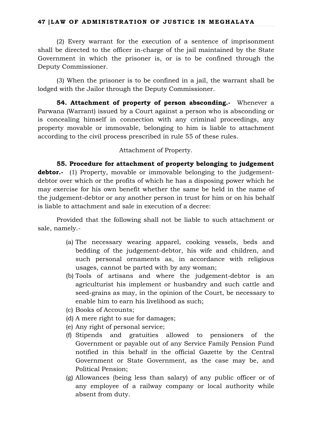## **47 |LAW OF ADMINISTRATION OF JUSTICE IN MEGHALAYA**

(2) Every warrant for the execution of a sentence of imprisonment shall be directed to the officer in-charge of the jail maintained by the State Government in which the prisoner is, or is to be confined through the Deputy Commissioner.

(3) When the prisoner is to be confined in a jail, the warrant shall be lodged with the Jailor through the Deputy Commissioner.

**54. Attachment of property of person absconding.-** Whenever a Parwana (Warrant) issued by a Court against a person who is absconding or is concealing himself in connection with any criminal proceedings, any property movable or immovable, belonging to him is liable to attachment according to the civil process prescribed in rule 55 of these rules.

## Attachment of Property.

**55. Procedure for attachment of property belonging to judgement debtor.**- (1) Property, movable or immovable belonging to the judgementdebtor over which or the profits of which he has a disposing power which he may exercise for his own benefit whether the same be held in the name of the judgement-debtor or any another person in trust for him or on his behalf is liable to attachment and sale in execution of a decree:

Provided that the following shall not be liable to such attachment or sale, namely.-

- (a) The necessary wearing apparel, cooking vessels, beds and bedding of the judgement-debtor, his wife and children, and such personal ornaments as, in accordance with religious usages, cannot be parted with by any woman;
- (b) Tools of artisans and where the judgement-debtor is an agriculturist his implement or husbandry and such cattle and seed-grains as may, in the opinion of the Court, be necessary to enable him to earn his livelihood as such;
- (c) Books of Accounts;
- (d) A mere right to sue for damages;
- (e) Any right of personal service;
- (f) Stipends and gratuities allowed to pensioners of the Government or payable out of any Service Family Pension Fund notified in this behalf in the official Gazette by the Central Government or State Government, as the case may be, and Political Pension;
- (g) Allowances (being less than salary) of any public officer or of any employee of a railway company or local authority while absent from duty.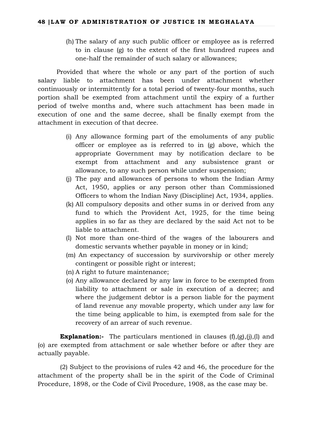(h) The salary of any such public officer or employee as is referred to in clause (g) to the extent of the first hundred rupees and one-half the remainder of such salary or allowances;

Provided that where the whole or any part of the portion of such salary liable to attachment has been under attachment whether continuously or intermittently for a total period of twenty-four months, such portion shall be exempted from attachment until the expiry of a further period of twelve months and, where such attachment has been made in execution of one and the same decree, shall be finally exempt from the attachment in execution of that decree.

- (i) Any allowance forming part of the emoluments of any public officer or employee as is referred to in (g) above, which the appropriate Government may by notification declare to be exempt from attachment and any subsistence grant or allowance, to any such person while under suspension;
- (j) The pay and allowances of persons to whom the Indian Army Act, 1950, applies or any person other than Commissioned Officers to whom the Indian Navy (Discipline) Act, 1934, applies.
- (k) All compulsory deposits and other sums in or derived from any fund to which the Provident Act, 1925, for the time being applies in so far as they are declared by the said Act not to be liable to attachment.
- (l) Not more than one-third of the wages of the labourers and domestic servants whether payable in money or in kind;
- (m) An expectancy of succession by survivorship or other merely contingent or possible right or interest;
- (n) A right to future maintenance;
- (o) Any allowance declared by any law in force to be exempted from liability to attachment or sale in execution of a decree; and where the judgement debtor is a person liable for the payment of land revenue any movable property, which under any law for the time being applicable to him, is exempted from sale for the recovery of an arrear of such revenue.

**Explanation:**- The particulars mentioned in clauses  $(f)$ , $(g)$ , $(i)$ , $(l)$  and (o) are exempted from attachment or sale whether before or after they are actually payable.

(2) Subject to the provisions of rules 42 and 46, the procedure for the attachment of the property shall be in the spirit of the Code of Criminal Procedure, 1898, or the Code of Civil Procedure, 1908, as the case may be.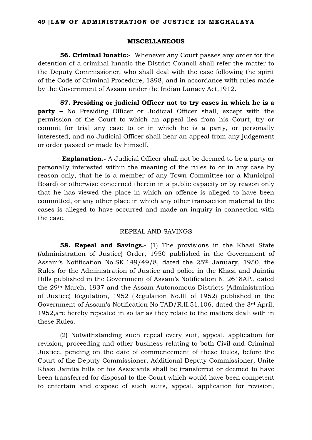### **MISCELLANEOUS**

**56. Criminal lunatic:-** Whenever any Court passes any order for the detention of a criminal lunatic the District Council shall refer the matter to the Deputy Commissioner, who shall deal with the case following the spirit of the Code of Criminal Procedure, 1898, and in accordance with rules made by the Government of Assam under the Indian Lunacy Act,1912.

**57. Presiding or judicial Officer not to try cases in which he is a party –** No Presiding Officer or Judicial Officer shall, except with the permission of the Court to which an appeal lies from his Court, try or commit for trial any case to or in which he is a party, or personally interested, and no Judicial Officer shall hear an appeal from any judgement or order passed or made by himself.

**Explanation.-** A Judicial Officer shall not be deemed to be a party or personally interested within the meaning of the rules to or in any case by reason only, that he is a member of any Town Committee (or a Municipal Board) or otherwise concerned therein in a public capacity or by reason only that he has viewed the place in which an offence is alleged to have been committed, or any other place in which any other transaction material to the cases is alleged to have occurred and made an inquiry in connection with the case.

## REPEAL AND SAVINGS

**58. Repeal and Savings.-** (1) The provisions in the Khasi State (Administration of Justice) Order, 1950 published in the Government of Assam's Notification No.SK.149/49/8, dated the 25th January, 1950, the Rules for the Administration of Justice and police in the Khasi and Jaintia Hills published in the Government of Assam's Notification N. 2618AP., dated the 29th March, 1937 and the Assam Autonomous Districts (Administration of Justice) Regulation, 1952 (Regulation No.III of 1952) published in the Government of Assam's Notification No.TAD/R.II.51.106, dated the 3rd April, 1952,are hereby repealed in so far as they relate to the matters dealt with in these Rules.

(2) Notwithstanding such repeal every suit, appeal, application for revision, proceeding and other business relating to both Civil and Criminal Justice, pending on the date of commencement of these Rules, before the Court of the Deputy Commissioner, Additional Deputy Commissioner, Unite Khasi Jaintia hills or his Assistants shall be transferred or deemed to have been transferred for disposal to the Court which would have been competent to entertain and dispose of such suits, appeal, application for revision,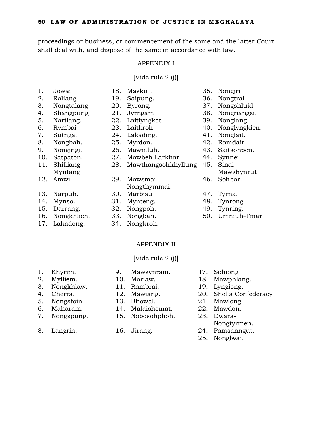proceedings or business, or commencement of the same and the latter Court shall deal with, and dispose of the same in accordance with law.

### APPENDIX I

[Vide rule 2 (j)]

- 
- 1. Jowai 18. Maskut. 35. Nongjri
- 2. Raliang 19. Saipung. 36. Nongtrai
- 3. Nongtalang. 20. Byrong. 37. Nongshluid
- 5. Nartiang. 22. Laitlyngkot 39. Nonglang.
- 
- 
- 
- 
- 
- 11. Shilliang
- Myntang
- 12. Amwi 29. Mawsmai
- 
- 
- 
- 
- 
- 28. Mawthangsohkhyllung 45. Sinai
- Nongthymmai.
- 
- 
- 
- 
- 17. Lakadong. 34. Nongkroh.
	- APPENDIX II
	- [Vide rule 2 (j)]

- 
- 
- 
- 
- 
- 
- 
- 
- 
- 
- 
- 6. Maharam. 14. Malaishomat. 22. Mawdon.
- 7. Nongspung. 15. Nobosohphoh. 23. Dwara-
	-
- 
- 1. Khyrim. 9. Mawsynram. 17. Sohiong
- 2. Mylliem. 10. Mariaw. 18. Mawphlang.
- 3. Nongkhlaw. 11. Rambrai. 19. Lyngiong.
- 4. Cherra. 12. Mawiang. 20. Shella Confederacy
- 5. Nongstoin 13. Bhowal. 21. Mawlong.
	-
	- Nongtyrmen.
- 8. Langrin. 16. Jirang. 24. Pamsanngut.
	- 25. Nonglwai.
- 
- 
- 
- 4. Shangpung 21. Jyrngam 38. Nongriangsi.
	-
- 6. Rymbai 23. Laitkroh 40. Nonglyngkien.
- 7. Sutnga. 24. Lakading. 41. Nonglait.
- 8. Nongbah. 25. Myrdon. 42. Ramdait.
- 9. Nongjngi. 26. Mawmluh. 43. Saitsohpen.
- 10. Satpaton. 27. Mawbeh Larkhar 44. Synnei
	- - Mawshynrut
	- 46. Sohbar.
	-
	-
	-
	-
- 14. Mynso. 31. Mynteng. 48. Tynrong 15. Darrang. 32. Nongpoh. 49. Tynring. 16. Nongkhlieh. 33. Nongbah. 50. Umniuh-Tmar.
- 13. Narpuh. 30. Marbisu 47. Tyrna.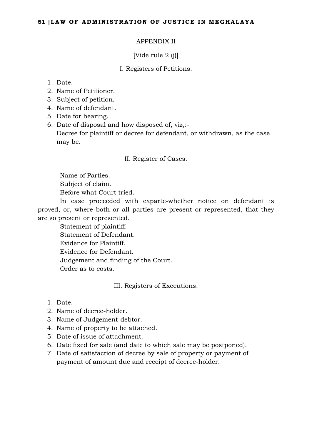## APPENDIX II

[Vide rule 2 (i)]

### I. Registers of Petitions.

## 1. Date.

- 2. Name of Petitioner.
- 3. Subject of petition.
- 4. Name of defendant.
- 5. Date for hearing.
- 6. Date of disposal and how disposed of, viz,:-

Decree for plaintiff or decree for defendant, or withdrawn, as the case may be.

#### II. Register of Cases.

Name of Parties. Subject of claim. Before what Court tried.

In case proceeded with exparte-whether notice on defendant is proved, or, where both or all parties are present or represented, that they are so present or represented.

Statement of plaintiff. Statement of Defendant. Evidence for Plaintiff. Evidence for Defendant. Judgement and finding of the Court. Order as to costs.

III. Registers of Executions.

- 1. Date.
- 2. Name of decree-holder.
- 3. Name of Judgement-debtor.
- 4. Name of property to be attached.
- 5. Date of issue of attachment.
- 6. Date fixed for sale (and date to which sale may be postponed).
- 7. Date of satisfaction of decree by sale of property or payment of payment of amount due and receipt of decree-holder.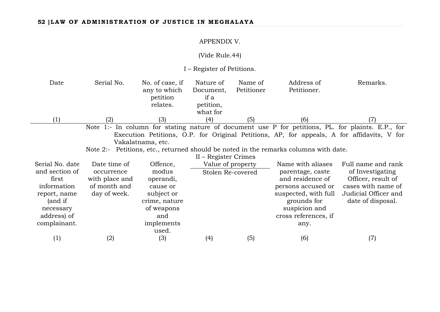## APPENDIX V.

## (Vide Rule.44)

I – Register of Petitions.

| Date              | Serial No.                                                                           | No. of case, if   | Nature of            | Name of    | Address of           | Remarks.                                                                                         |
|-------------------|--------------------------------------------------------------------------------------|-------------------|----------------------|------------|----------------------|--------------------------------------------------------------------------------------------------|
|                   |                                                                                      | any to which      | Document,            | Petitioner | Petitioner.          |                                                                                                  |
|                   |                                                                                      | petition          | if a                 |            |                      |                                                                                                  |
|                   |                                                                                      | relates.          | petition,            |            |                      |                                                                                                  |
|                   |                                                                                      |                   | what for             |            |                      |                                                                                                  |
| $\left( 1\right)$ |                                                                                      | (3)               | (4)                  | (5)        | (6)                  |                                                                                                  |
|                   |                                                                                      |                   |                      |            |                      | Note 1:- In column for stating nature of document use P for petitions, PL for plaints. E.P., for |
|                   |                                                                                      |                   |                      |            |                      | Execution Petitions, O.P. for Original Petitions, AP, for appeals, A for affidavits, V for       |
|                   |                                                                                      | Vakalatnama, etc. |                      |            |                      |                                                                                                  |
|                   | Note 2:- Petitions, etc., returned should be noted in the remarks columns with date. |                   |                      |            |                      |                                                                                                  |
|                   |                                                                                      |                   | II – Register Crimes |            |                      |                                                                                                  |
| Serial No. date   | Date time of                                                                         | Offence,          | Value of property    |            | Name with aliases    | Full name and rank                                                                               |
| and section of    | occurrence                                                                           | modus             | Stolen Re-covered    |            | parentage, caste     | of Investigating                                                                                 |
| first             | with place and                                                                       | operandi,         |                      |            | and residence of     | Officer, result of                                                                               |
| information       | of month and                                                                         | cause or          |                      |            | persons accused or   | cases with name of                                                                               |
| report, name      | day of week.                                                                         | subject or        |                      |            | suspected, with full | Judicial Officer and                                                                             |
| (and if           |                                                                                      | crime, nature     |                      |            | grounds for          | date of disposal.                                                                                |
| necessary         |                                                                                      | of weapons        |                      |            | suspicion and        |                                                                                                  |
| address) of       |                                                                                      | and               |                      |            | cross references, if |                                                                                                  |
| complainant.      |                                                                                      | implements        |                      |            | any.                 |                                                                                                  |
|                   |                                                                                      | used.             |                      |            |                      |                                                                                                  |
| (1)               | (2)                                                                                  | (3)               | (4)                  | (5)        | (6)                  | (7)                                                                                              |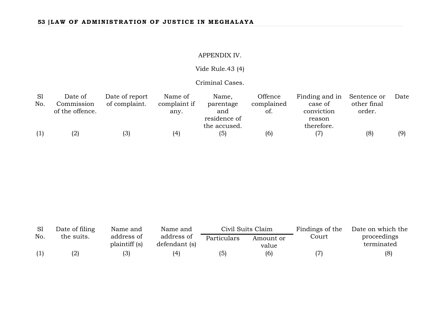## APPENDIX IV.

# Vide Rule.43 (4)

## Criminal Cases.

| S1  | Date of         | Date of report | Name of      | Name,        | Offence    | Finding and in | Sentence or | Date |
|-----|-----------------|----------------|--------------|--------------|------------|----------------|-------------|------|
| No. | Commission      | of complaint.  | complaint if | parentage    | complained | case of        | other final |      |
|     | of the offence. |                | any.         | and          | ot.        | conviction     | order.      |      |
|     |                 |                |              | residence of |            | reason         |             |      |
|     |                 |                |              | the accused. |            | therefore.     |             |      |
|     | (2)             | (3)            | (4)          | (5)          | (6)        |                | (8)         | (9)  |

|     | Date of filing | Name and                    | Name and                    | Civil Suits Claim |                    | Findings of the | Date on which the         |  |
|-----|----------------|-----------------------------|-----------------------------|-------------------|--------------------|-----------------|---------------------------|--|
| No. | the suits.     | address of<br>plaintiff (s) | address of<br>defendant (s) | Particulars       | Amount or<br>value | Court           | proceedings<br>terminated |  |
|     | (2)            | (3)                         | (4)                         | (5)               | (6)                |                 | (8)                       |  |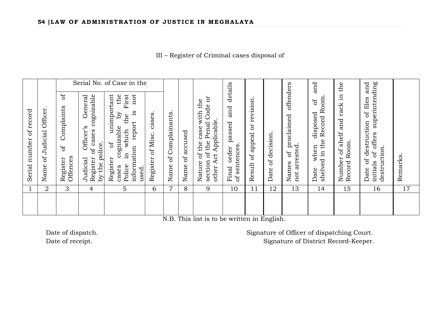III – Register of Criminal cases disposal of

|                                              |                                   | Serial No. of Case in the                                  |                                                                                                           |                                                                                                                                                                 |                               |                            |                             |                                                                                                                  | details                                            |                                         |                        |                                                        | and                                                                        | the                                                                 | and                                                                                                               |         |
|----------------------------------------------|-----------------------------------|------------------------------------------------------------|-----------------------------------------------------------------------------------------------------------|-----------------------------------------------------------------------------------------------------------------------------------------------------------------|-------------------------------|----------------------------|-----------------------------|------------------------------------------------------------------------------------------------------------------|----------------------------------------------------|-----------------------------------------|------------------------|--------------------------------------------------------|----------------------------------------------------------------------------|---------------------------------------------------------------------|-------------------------------------------------------------------------------------------------------------------|---------|
| record<br>$\mathfrak{b}$<br>number<br>Serial | Officer<br>Judicial<br>ðf<br>Name | $\sigma$<br>Complaints<br>$\sigma$<br>Offences<br>Register | cognizable<br>General<br>Officer's<br>cases<br>the police<br>bf<br>Register<br>Judicial<br>$\overline{Q}$ | unimportant<br>First<br>the<br>not<br>š.<br>λq<br>the<br>report<br>cognizable<br>which<br>$\sigma$<br>information<br>묘.<br>Register<br>Police<br>cases<br>used. | cases<br>of Misc.<br>Register | Complainants<br>ЪÇ<br>Name | accused<br>$\sigma$<br>Name | ö<br>the<br>Code<br>with<br>Applicable<br>Penal<br>case<br>of the<br>of the<br>Act<br>section<br>Nature<br>other | and<br>passed<br>sentences<br>order<br>Final<br>ЪÓ | revision<br>ð<br>appeal<br>ЪÇ<br>Result | decision<br>ЪÇ<br>Date | offenders<br>proclaimed<br>not arrested<br>ЪÇ<br>Names | Room<br>ď<br>disposed<br>Record<br>the<br>when<br>$\Xi$<br>shelved<br>Date | щ.<br>rack<br>and<br>shelf<br>Record Room.<br>$\rm ^{of}$<br>Number | superintending<br>files<br>ЪÇ<br>destruction<br>offers<br>destruction<br>$\mathfrak{b}$<br>Ъp<br>initials<br>Date | Remarks |
|                                              | 2                                 | 3                                                          | 4                                                                                                         | 5                                                                                                                                                               | 6                             | 7                          | 8                           | 9                                                                                                                | 10                                                 | 11                                      | 12                     | 13                                                     | 14                                                                         | 15                                                                  | 16                                                                                                                | 17      |
|                                              |                                   |                                                            |                                                                                                           |                                                                                                                                                                 |                               |                            |                             |                                                                                                                  |                                                    |                                         |                        |                                                        |                                                                            |                                                                     |                                                                                                                   |         |

N.B. This list is to be written in English.

Date of dispatch. Signature of Officer of dispatching Court. Date of receipt.  $\Box$  Signature of District Record-Keeper.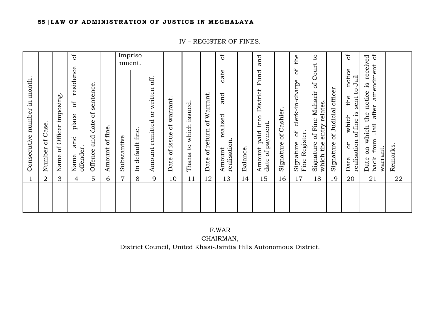Impriso the  $5<sup>o</sup>$ Name and place of residence of JÓ Amount realised and date of Amount paid into District Fund and Signature of clerk-in-charge of the Signature of Fine Maharir of Court to ЪÓ Date on which the notice of Date on which the notice is received ð back from Jail after amendment of and  $\mathbf{c}$ on which the notice is received nment. Court amendment residence date into District Fund  $\sigma$ notice realisation of fine is sent to Jail or written off. realisation of fine is sent to Jail Consecutive number in month. Amount remitted or written off. Consecutive number in month. clerk-in-charge Signature of Fine Maharir of sentence. Offence and date of sentence. of Judicial officer. Signature of Judicial officer. Date of return of Warrant. and Date of return of Warrant. Name of Officer imposing. Name of Officer imposing. the Date of issue of warrant. Date of issue of warrant.  $\mathfrak b$ entry relates. which the entry relates. Thana to which issued. after Thana to which issued. of Cashier. Signature of Cashier.  $\sigma$ place which realised Offence and date Amount remitted date of payment. Jail date of payment. of Case. Number of Case. Amount of fine. Amount of fine. In default fine. In default fine. Amount paid  $\sigma$ Fine Register. Fine Register and Substantive Substantive from realisation. realisation.  $\sin$ Signature Signature which the Signature Name a1<br>offender. Remarks. Remarks. Number offender. Amount Balance. Balance. warrant. warrant. Date back Date 1 2 3 4 5 6 7 8 9 10 11 12 13 14 15 16 17 18 19 20 21 22

> F.WAR CHAIRMAN, District Council, United Khasi-Jaintia Hills Autonomous District.

#### IV – REGISTER OF FINES.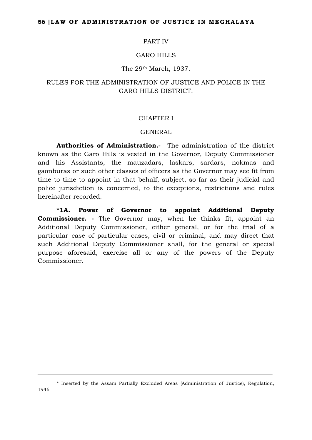#### PART IV

## GARO HILLS

#### The 29th March, 1937.

# RULES FOR THE ADMINISTRATION OF JUSTICE AND POLICE IN THE GARO HILLS DISTRICT.

## CHAPTER I

#### GENERAL

**Authorities of Administration.-** The administration of the district known as the Garo Hills is vested in the Governor, Deputy Commissioner and his Assistants, the mauzadars, laskars, sardars, nokmas and gaonburas or such other classes of officers as the Governor may see fit from time to time to appoint in that behalf, subject, so far as their judicial and police jurisdiction is concerned, to the exceptions, restrictions and rules hereinafter recorded.

**\*1A. Power of Governor to appoint Additional Deputy Commissioner. -** The Governor may, when he thinks fit, appoint an Additional Deputy Commissioner, either general, or for the trial of a particular case of particular cases, civil or criminal, and may direct that such Additional Deputy Commissioner shall, for the general or special purpose aforesaid, exercise all or any of the powers of the Deputy Commissioner.

<sup>\*</sup> Inserted by the Assam Partially Excluded Areas (Administration of Justice), Regulation,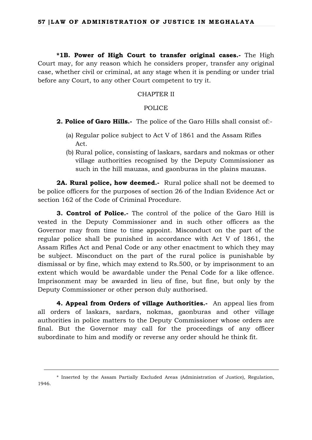**\*1B. Power of High Court to transfer original cases.-** The High Court may, for any reason which he considers proper, transfer any original case, whether civil or criminal, at any stage when it is pending or under trial before any Court, to any other Court competent to try it.

## CHAPTER II

#### POLICE

- **2. Police of Garo Hills.-** The police of the Garo Hills shall consist of:-
	- (a) Regular police subject to Act V of 1861 and the Assam Rifles Act.
	- (b) Rural police, consisting of laskars, sardars and nokmas or other village authorities recognised by the Deputy Commissioner as such in the hill mauzas, and gaonburas in the plains mauzas.

**2A. Rural police, how deemed.-** Rural police shall not be deemed to be police officers for the purposes of section 26 of the Indian Evidence Act or section 162 of the Code of Criminal Procedure.

**3. Control of Police.-** The control of the police of the Garo Hill is vested in the Deputy Commissioner and in such other officers as the Governor may from time to time appoint. Misconduct on the part of the regular police shall be punished in accordance with Act V of 1861, the Assam Rifles Act and Penal Code or any other enactment to which they may be subject. Misconduct on the part of the rural police is punishable by dismissal or by fine, which may extend to Rs.500, or by imprisonment to an extent which would be awardable under the Penal Code for a like offence. Imprisonment may be awarded in lieu of fine, but fine, but only by the Deputy Commissioner or other person duly authorised.

**4. Appeal from Orders of village Authorities.-** An appeal lies from all orders of laskars, sardars, nokmas, gaonburas and other village authorities in police matters to the Deputy Commissioner whose orders are final. But the Governor may call for the proceedings of any officer subordinate to him and modify or reverse any order should he think fit.

<sup>\*</sup> Inserted by the Assam Partially Excluded Areas (Administration of Justice), Regulation, 1946.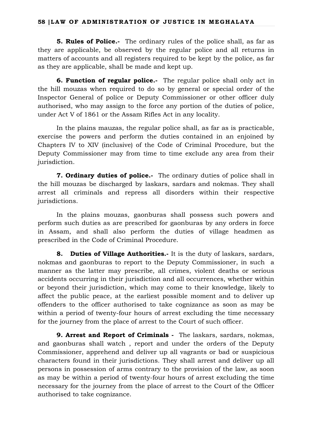**5. Rules of Police.-** The ordinary rules of the police shall, as far as they are applicable, be observed by the regular police and all returns in matters of accounts and all registers required to be kept by the police, as far as they are applicable, shall be made and kept up.

**6. Function of regular police.-** The regular police shall only act in the hill mouzas when required to do so by general or special order of the Inspector General of police or Deputy Commissioner or other officer duly authorised, who may assign to the force any portion of the duties of police, under Act V of 1861 or the Assam Rifles Act in any locality.

In the plains mauzas, the regular police shall, as far as is practicable, exercise the powers and perform the duties contained in an enjoined by Chapters IV to XIV (inclusive) of the Code of Criminal Procedure, but the Deputy Commissioner may from time to time exclude any area from their jurisdiction.

**7. Ordinary duties of police.-** The ordinary duties of police shall in the hill mouzas be discharged by laskars, sardars and nokmas. They shall arrest all criminals and repress all disorders within their respective jurisdictions.

In the plains mouzas, gaonburas shall possess such powers and perform such duties as are prescribed for gaonburas by any orders in force in Assam, and shall also perform the duties of village headmen as prescribed in the Code of Criminal Procedure.

**8. Duties of Village Authorities.-** It is the duty of laskars, sardars, nokmas and gaonburas to report to the Deputy Commissioner, in such a manner as the latter may prescribe, all crimes, violent deaths or serious accidents occurring in their jurisdiction and all occurrences, whether within or beyond their jurisdiction, which may come to their knowledge, likely to affect the public peace, at the earliest possible moment and to deliver up offenders to the officer authorised to take cognizance as soon as may be within a period of twenty-four hours of arrest excluding the time necessary for the journey from the place of arrest to the Court of such officer.

**9. Arrest and Report of Criminals -** The laskars, sardars, nokmas, and gaonburas shall watch , report and under the orders of the Deputy Commissioner, apprehend and deliver up all vagrants or bad or suspicious characters found in their jurisdictions. They shall arrest and deliver up all persons in possession of arms contrary to the provision of the law, as soon as may be within a period of twenty-four hours of arrest excluding the time necessary for the journey from the place of arrest to the Court of the Officer authorised to take cognizance.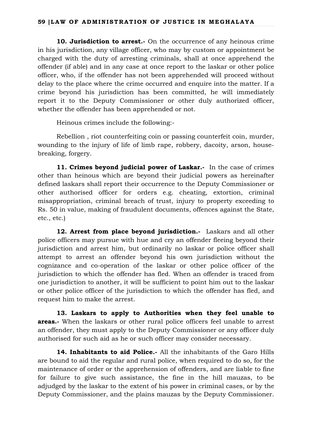**10. Jurisdiction to arrest.-** On the occurrence of any heinous crime in his jurisdiction, any village officer, who may by custom or appointment be charged with the duty of arresting criminals, shall at once apprehend the offender (if able) and in any case at once report to the laskar or other police officer, who, if the offender has not been apprehended will proceed without delay to the place where the crime occurred and enquire into the matter. If a crime beyond his jurisdiction has been committed, he will immediately report it to the Deputy Commissioner or other duly authorized officer, whether the offender has been apprehended or not.

Heinous crimes include the following:-

Rebellion , riot counterfeiting coin or passing counterfeit coin, murder, wounding to the injury of life of limb rape, robbery, dacoity, arson, housebreaking, forgery.

**11. Crimes beyond judicial power of Laskar.-** In the case of crimes other than heinous which are beyond their judicial powers as hereinafter defined laskars shall report their occurrence to the Deputy Commissioner or other authorised officer for orders e.g. cheating, extortion, criminal misappropriation, criminal breach of trust, injury to property exceeding to Rs. 50 in value, making of fraudulent documents, offences against the State, etc., etc.)

**12. Arrest from place beyond jurisdiction.-** Laskars and all other police officers may pursue with hue and cry an offender fleeing beyond their jurisdiction and arrest him, but ordinarily no laskar or police officer shall attempt to arrest an offender beyond his own jurisdiction without the cognizance and co-operation of the laskar or other police officer of the jurisdiction to which the offender has fled. When an offender is traced from one jurisdiction to another, it will be sufficient to point him out to the laskar or other police officer of the jurisdiction to which the offender has fled, and request him to make the arrest.

**13. Laskars to apply to Authorities when they feel unable to areas.-** When the laskars or other rural police officers feel unable to arrest an offender, they must apply to the Deputy Commissioner or any officer duly authorised for such aid as he or such officer may consider necessary.

**14. Inhabitants to aid Police.-** All the inhabitants of the Garo Hills are bound to aid the regular and rural police, when required to do so, for the maintenance of order or the apprehension of offenders, and are liable to fine for failure to give such assistance, the fine in the hill mauzas, to be adjudged by the laskar to the extent of his power in criminal cases, or by the Deputy Commissioner, and the plains mauzas by the Deputy Commissioner.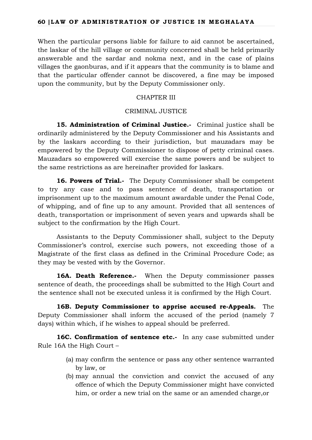When the particular persons liable for failure to aid cannot be ascertained, the laskar of the hill village or community concerned shall be held primarily answerable and the sardar and nokma next, and in the case of plains villages the gaonburas, and if it appears that the community is to blame and that the particular offender cannot be discovered, a fine may be imposed upon the community, but by the Deputy Commissioner only.

# CHAPTER III

# CRIMINAL JUSTICE

**15. Administration of Criminal Justice.-** Criminal justice shall be ordinarily administered by the Deputy Commissioner and his Assistants and by the laskars according to their jurisdiction, but mauzadars may be empowered by the Deputy Commissioner to dispose of petty criminal cases. Mauzadars so empowered will exercise the same powers and be subject to the same restrictions as are hereinafter provided for laskars.

**16. Powers of Trial.-** The Deputy Commissioner shall be competent to try any case and to pass sentence of death, transportation or imprisonment up to the maximum amount awardable under the Penal Code, of whipping, and of fine up to any amount. Provided that all sentences of death, transportation or imprisonment of seven years and upwards shall be subject to the confirmation by the High Court.

Assistants to the Deputy Commissioner shall, subject to the Deputy Commissioner's control, exercise such powers, not exceeding those of a Magistrate of the first class as defined in the Criminal Procedure Code; as they may be vested with by the Governor.

**16A. Death Reference.**- When the Deputy commissioner passes sentence of death, the proceedings shall be submitted to the High Court and the sentence shall not be executed unless it is confirmed by the High Court.

**16B. Deputy Commissioner to apprise accused re-Appeals.** The Deputy Commissioner shall inform the accused of the period (namely 7 days) within which, if he wishes to appeal should be preferred.

16C. Confirmation of sentence etc.- In any case submitted under Rule 16A the High Court –

- (a) may confirm the sentence or pass any other sentence warranted by law, or
- (b) may annual the conviction and convict the accused of any offence of which the Deputy Commissioner might have convicted him, or order a new trial on the same or an amended charge,or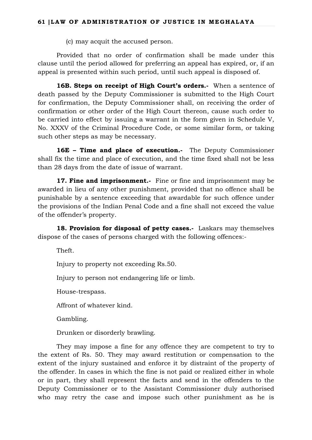(c) may acquit the accused person.

Provided that no order of confirmation shall be made under this clause until the period allowed for preferring an appeal has expired, or, if an appeal is presented within such period, until such appeal is disposed of.

**16B. Steps on receipt of High Court's orders.-** When a sentence of death passed by the Deputy Commissioner is submitted to the High Court for confirmation, the Deputy Commissioner shall, on receiving the order of confirmation or other order of the High Court thereon, cause such order to be carried into effect by issuing a warrant in the form given in Schedule V, No. XXXV of the Criminal Procedure Code, or some similar form, or taking such other steps as may be necessary.

**16E – Time and place of execution.-** The Deputy Commissioner shall fix the time and place of execution, and the time fixed shall not be less than 28 days from the date of issue of warrant.

17. Fine and imprisonment.- Fine or fine and imprisonment may be awarded in lieu of any other punishment, provided that no offence shall be punishable by a sentence exceeding that awardable for such offence under the provisions of the Indian Penal Code and a fine shall not exceed the value of the offender's property.

**18. Provision for disposal of petty cases.-** Laskars may themselves dispose of the cases of persons charged with the following offences:-

Theft.

Injury to property not exceeding Rs.50.

Injury to person not endangering life or limb.

House-trespass.

Affront of whatever kind.

Gambling.

Drunken or disorderly brawling.

They may impose a fine for any offence they are competent to try to the extent of Rs. 50. They may award restitution or compensation to the extent of the injury sustained and enforce it by distraint of the property of the offender. In cases in which the fine is not paid or realized either in whole or in part, they shall represent the facts and send in the offenders to the Deputy Commissioner or to the Assistant Commissioner duly authorised who may retry the case and impose such other punishment as he is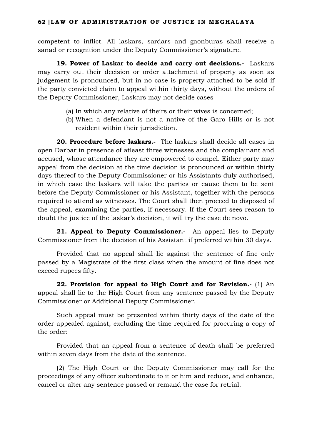competent to inflict. All laskars, sardars and gaonburas shall receive a sanad or recognition under the Deputy Commissioner's signature.

**19. Power of Laskar to decide and carry out decisions.-** Laskars may carry out their decision or order attachment of property as soon as judgement is pronounced, but in no case is property attached to be sold if the party convicted claim to appeal within thirty days, without the orders of the Deputy Commissioner, Laskars may not decide cases-

- (a) In which any relative of theirs or their wives is concerned;
- (b) When a defendant is not a native of the Garo Hills or is not resident within their jurisdiction.

**20. Procedure before laskars.-** The laskars shall decide all cases in open Darbar in presence of atleast three witnesses and the complainant and accused, whose attendance they are empowered to compel. Either party may appeal from the decision at the time decision is pronounced or within thirty days thereof to the Deputy Commissioner or his Assistants duly authorised, in which case the laskars will take the parties or cause them to be sent before the Deputy Commissioner or his Assistant, together with the persons required to attend as witnesses. The Court shall then proceed to disposed of the appeal, examining the parties, if necessary. If the Court sees reason to doubt the justice of the laskar's decision, it will try the case de novo.

21. Appeal to Deputy Commissioner.- An appeal lies to Deputy Commissioner from the decision of his Assistant if preferred within 30 days.

Provided that no appeal shall lie against the sentence of fine only passed by a Magistrate of the first class when the amount of fine does not exceed rupees fifty.

**22. Provision for appeal to High Court and for Revision.-** (1) An appeal shall lie to the High Court from any sentence passed by the Deputy Commissioner or Additional Deputy Commissioner.

Such appeal must be presented within thirty days of the date of the order appealed against, excluding the time required for procuring a copy of the order:

Provided that an appeal from a sentence of death shall be preferred within seven days from the date of the sentence.

(2) The High Court or the Deputy Commissioner may call for the proceedings of any officer subordinate to it or him and reduce, and enhance, cancel or alter any sentence passed or remand the case for retrial.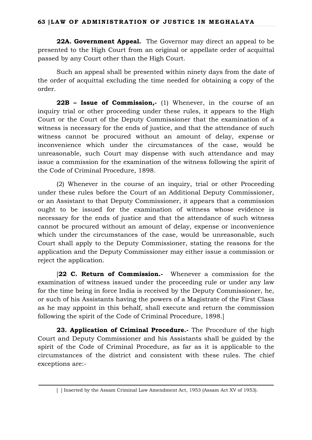**22A. Government Appeal.** The Governor may direct an appeal to be presented to the High Court from an original or appellate order of acquittal passed by any Court other than the High Court.

Such an appeal shall be presented within ninety days from the date of the order of acquittal excluding the time needed for obtaining a copy of the order.

**22B – Issue of Commission,-** (1) Whenever, in the course of an inquiry trial or other proceeding under these rules, it appears to the High Court or the Court of the Deputy Commissioner that the examination of a witness is necessary for the ends of justice, and that the attendance of such witness cannot be procured without an amount of delay, expense or inconvenience which under the circumstances of the case, would be unreasonable, such Court may dispense with such attendance and may issue a commission for the examination of the witness following the spirit of the Code of Criminal Procedure, 1898.

(2) Whenever in the course of an inquiry, trial or other Proceeding under these rules before the Court of an Additional Deputy Commissioner, or an Assistant to that Deputy Commissioner, it appears that a commission ought to be issued for the examination of witness whose evidence is necessary for the ends of justice and that the attendance of such witness cannot be procured without an amount of delay, expense or inconvenience which under the circumstances of the case, would be unreasonable, such Court shall apply to the Deputy Commissioner, stating the reasons for the application and the Deputy Commissioner may either issue a commission or reject the application.

[**22 C. Return of Commission.-** Whenever a commission for the examination of witness issued under the proceeding rule or under any law for the time being in force India is received by the Deputy Commissioner, he, or such of his Assistants having the powers of a Magistrate of the First Class as he may appoint in this behalf, shall execute and return the commission following the spirit of the Code of Criminal Procedure, 1898.]

**23. Application of Criminal Procedure.-** The Procedure of the high Court and Deputy Commissioner and his Assistants shall be guided by the spirit of the Code of Criminal Procedure, as far as it is applicable to the circumstances of the district and consistent with these rules. The chief exceptions are:-

<sup>[ ]</sup> Inserted by the Assam Criminal Law Amendment Act, 1953 (Assam Act XV of 1953).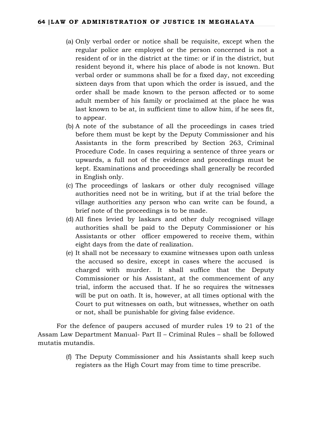- (a) Only verbal order or notice shall be requisite, except when the regular police are employed or the person concerned is not a resident of or in the district at the time: or if in the district, but resident beyond it, where his place of abode is not known. But verbal order or summons shall be for a fixed day, not exceeding sixteen days from that upon which the order is issued, and the order shall be made known to the person affected or to some adult member of his family or proclaimed at the place he was last known to be at, in sufficient time to allow him, if he sees fit, to appear.
- (b) A note of the substance of all the proceedings in cases tried before them must be kept by the Deputy Commissioner and his Assistants in the form prescribed by Section 263, Criminal Procedure Code. In cases requiring a sentence of three years or upwards, a full not of the evidence and proceedings must be kept. Examinations and proceedings shall generally be recorded in English only.
- (c) The proceedings of laskars or other duly recognised village authorities need not be in writing, but if at the trial before the village authorities any person who can write can be found, a brief note of the proceedings is to be made.
- (d) All fines levied by laskars and other duly recognised village authorities shall be paid to the Deputy Commissioner or his Assistants or other officer empowered to receive them, within eight days from the date of realization.
- (e) It shall not be necessary to examine witnesses upon oath unless the accused so desire, except in cases where the accused is charged with murder. It shall suffice that the Deputy Commissioner or his Assistant, at the commencement of any trial, inform the accused that. If he so requires the witnesses will be put on oath. It is, however, at all times optional with the Court to put witnesses on oath, but witnesses, whether on oath or not, shall be punishable for giving false evidence.

For the defence of paupers accused of murder rules 19 to 21 of the Assam Law Department Manual- Part II – Criminal Rules – shall be followed mutatis mutandis.

> (f) The Deputy Commissioner and his Assistants shall keep such registers as the High Court may from time to time prescribe.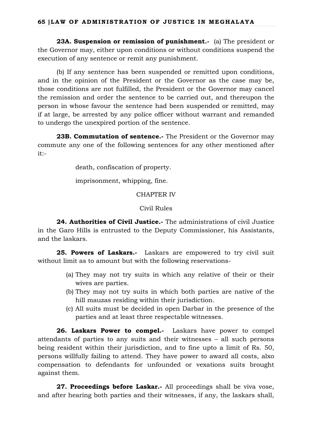**23A. Suspension or remission of punishment.**- (a) The president or the Governor may, either upon conditions or without conditions suspend the execution of any sentence or remit any punishment.

(b) If any sentence has been suspended or remitted upon conditions, and in the opinion of the President or the Governor as the case may be, those conditions are not fulfilled, the President or the Governor may cancel the remission and order the sentence to be carried out, and thereupon the person in whose favour the sentence had been suspended or remitted, may if at large, be arrested by any police officer without warrant and remanded to undergo the unexpired portion of the sentence.

**23B. Commutation of sentence.-** The President or the Governor may commute any one of the following sentences for any other mentioned after it:-

death, confiscation of property.

imprisonment, whipping, fine.

CHAPTER IV

Civil Rules

**24. Authorities of Civil Justice.-** The administrations of civil Justice in the Garo Hills is entrusted to the Deputy Commissioner, his Assistants, and the laskars.

**25. Powers of Laskars.-** Laskars are empowered to try civil suit without limit as to amount but with the following reservations-

- (a) They may not try suits in which any relative of their or their wives are parties.
- (b) They may not try suits in which both parties are native of the hill mauzas residing within their jurisdiction.
- (c) All suits must be decided in open Darbar in the presence of the parties and at least three respectable witnesses.

**26. Laskars Power to compel.-** Laskars have power to compel attendants of parties to any suits and their witnesses – all such persons being resident within their jurisdiction, and to fine upto a limit of Rs. 50, persons willfully failing to attend. They have power to award all costs, alxo compensation to defendants for unfounded or vexations suits brought against them.

**27. Proceedings before Laskar.-** All proceedings shall be viva vose, and after hearing both parties and their witnesses, if any, the laskars shall,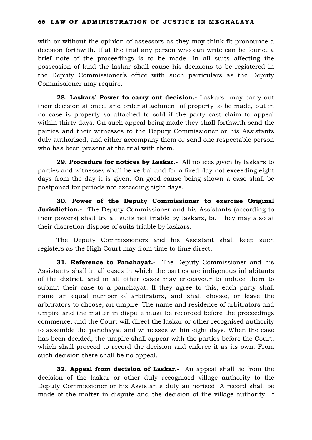# **66 |LAW OF ADMINISTRATION OF JUSTICE IN MEGHALAYA**

with or without the opinion of assessors as they may think fit pronounce a decision forthwith. If at the trial any person who can write can be found, a brief note of the proceedings is to be made. In all suits affecting the possession of land the laskar shall cause his decisions to be registered in the Deputy Commissioner's office with such particulars as the Deputy Commissioner may require.

**28. Laskars' Power to carry out decision.-** Laskarsmay carry out their decision at once, and order attachment of property to be made, but in no case is property so attached to sold if the party cast claim to appeal within thirty days. On such appeal being made they shall forthwith send the parties and their witnesses to the Deputy Commissioner or his Assistants duly authorised, and either accompany them or send one respectable person who has been present at the trial with them.

**29. Procedure for notices by Laskar.-** All notices given by laskars to parties and witnesses shall be verbal and for a fixed day not exceeding eight days from the day it is given. On good cause being shown a case shall be postponed for periods not exceeding eight days.

**30. Power of the Deputy Commissioner to exercise Original Jurisdiction.**- The Deputy Commissioner and his Assistants (according to their powers) shall try all suits not triable by laskars, but they may also at their discretion dispose of suits triable by laskars.

The Deputy Commissioners and his Assistant shall keep such registers as the High Court may from time to time direct.

**31. Reference to Panchayat.-** The Deputy Commissioner and his Assistants shall in all cases in which the parties are indigenous inhabitants of the district, and in all other cases may endeavour to induce them to submit their case to a panchayat. If they agree to this, each party shall name an equal number of arbitrators, and shall choose, or leave the arbitrators to choose, an umpire. The name and residence of arbitrators and umpire and the matter in dispute must be recorded before the proceedings commence, and the Court will direct the laskar or other recognised authority to assemble the panchayat and witnesses within eight days. When the case has been decided, the umpire shall appear with the parties before the Court, which shall proceed to record the decision and enforce it as its own. From such decision there shall be no appeal.

**32. Appeal from decision of Laskar.-** An appeal shall lie from the decision of the laskar or other duly recognised village authority to the Deputy Commissioner or his Assistants duly authorised. A record shall be made of the matter in dispute and the decision of the village authority. If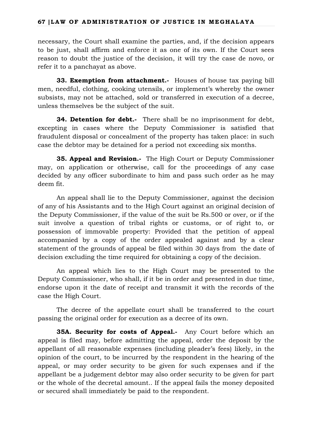# **67 |LAW OF ADMINISTRATION OF JUSTICE IN MEGHALAYA**

necessary, the Court shall examine the parties, and, if the decision appears to be just, shall affirm and enforce it as one of its own. If the Court sees reason to doubt the justice of the decision, it will try the case de novo, or refer it to a panchayat as above.

**33. Exemption from attachment.** Houses of house tax paying bill men, needful, clothing, cooking utensils, or implement's whereby the owner subsists, may not be attached, sold or transferred in execution of a decree, unless themselves be the subject of the suit.

**34. Detention for debt.-** There shall be no imprisonment for debt, excepting in cases where the Deputy Commissioner is satisfied that fraudulent disposal or concealment of the property has taken place: in such case the debtor may be detained for a period not exceeding six months.

**35. Appeal and Revision.-** The High Court or Deputy Commissioner may, on application or otherwise, call for the proceedings of any case decided by any officer subordinate to him and pass such order as he may deem fit.

An appeal shall lie to the Deputy Commissioner, against the decision of any of his Assistants and to the High Court against an original decision of the Deputy Commissioner, if the value of the suit be Rs.500 or over, or if the suit involve a question of tribal rights or customs, or of right to, or possession of immovable property: Provided that the petition of appeal accompanied by a copy of the order appealed against and by a clear statement of the grounds of appeal be filed within 30 days from the date of decision excluding the time required for obtaining a copy of the decision.

An appeal which lies to the High Court may be presented to the Deputy Commissioner, who shall, if it be in order and presented in due time, endorse upon it the date of receipt and transmit it with the records of the case the High Court.

The decree of the appellate court shall be transferred to the court passing the original order for execution as a decree of its own.

**35A. Security for costs of Appeal.-** Any Court before which an appeal is filed may, before admitting the appeal, order the deposit by the appellant of all reasonable expenses (including pleader's fees) likely, in the opinion of the court, to be incurred by the respondent in the hearing of the appeal, or may order security to be given for such expenses and if the appellant be a judgement debtor may also order security to be given for part or the whole of the decretal amount.. If the appeal fails the money deposited or secured shall immediately be paid to the respondent.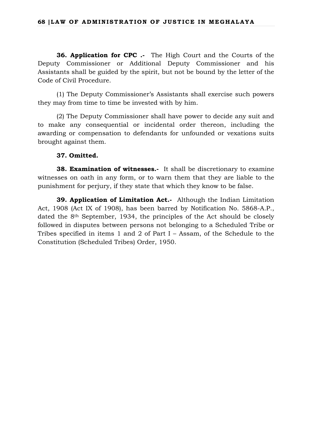**36. Application for CPC .-** The High Court and the Courts of the Deputy Commissioner or Additional Deputy Commissioner and his Assistants shall be guided by the spirit, but not be bound by the letter of the Code of Civil Procedure.

(1) The Deputy Commissioner's Assistants shall exercise such powers they may from time to time be invested with by him.

(2) The Deputy Commissioner shall have power to decide any suit and to make any consequential or incidental order thereon, including the awarding or compensation to defendants for unfounded or vexations suits brought against them.

# **37. Omitted.**

**38. Examination of witnesses.**- It shall be discretionary to examine witnesses on oath in any form, or to warn them that they are liable to the punishment for perjury, if they state that which they know to be false.

**39. Application of Limitation Act.-** Although the Indian Limitation Act, 1908 (Act IX of 1908), has been barred by Notification No. 5868-A.P., dated the 8th September, 1934, the principles of the Act should be closely followed in disputes between persons not belonging to a Scheduled Tribe or Tribes specified in items 1 and 2 of Part I – Assam, of the Schedule to the Constitution (Scheduled Tribes) Order, 1950.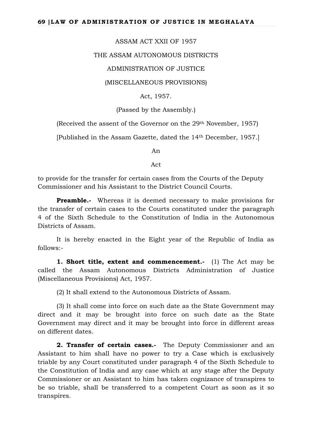## ASSAM ACT XXII OF 1957

#### THE ASSAM AUTONOMOUS DISTRICTS

## ADMINISTRATION OF JUSTICE

#### (MISCELLANEOUS PROVISIONS)

Act, 1957.

## (Passed by the Assembly.)

(Received the assent of the Governor on the 29th November, 1957)

[Published in the Assam Gazette, dated the 14th December, 1957.]

An

Act

to provide for the transfer for certain cases from the Courts of the Deputy Commissioner and his Assistant to the District Council Courts.

**Preamble.-** Whereas it is deemed necessary to make provisions for the transfer of certain cases to the Courts constituted under the paragraph 4 of the Sixth Schedule to the Constitution of India in the Autonomous Districts of Assam.

It is hereby enacted in the Eight year of the Republic of India as follows:-

**1. Short title, extent and commencement.-** (1) The Act may be called the Assam Autonomous Districts Administration of Justice (Miscellaneous Provisions) Act, 1957.

(2) It shall extend to the Autonomous Districts of Assam.

(3) It shall come into force on such date as the State Government may direct and it may be brought into force on such date as the State Government may direct and it may be brought into force in different areas on different dates.

**2. Transfer of certain cases.-** The Deputy Commissioner and an Assistant to him shall have no power to try a Case which is exclusively triable by any Court constituted under paragraph 4 of the Sixth Schedule to the Constitution of India and any case which at any stage after the Deputy Commissioner or an Assistant to him has taken cognizance of transpires to be so triable, shall be transferred to a competent Court as soon as it so transpires.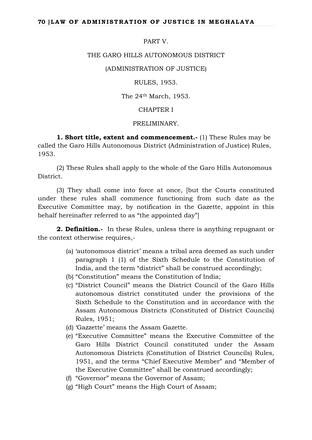## PART V.

## THE GARO HILLS AUTONOMOUS DISTRICT

#### (ADMINISTRATION OF JUSTICE)

## RULES, 1953.

## The 24th March, 1953.

## CHAPTER I

# PRELIMINARY.

**1. Short title, extent and commencement.-** (1) These Rules may be called the Garo Hills Autonomous District (Administration of Justice) Rules, 1953.

(2) These Rules shall apply to the whole of the Garo Hills Autonomous District.

(3) They shall come into force at once, [but the Courts constituted under these rules shall commence functioning from such date as the Executive Committee may, by notification in the Gazette, appoint in this behalf hereinafter referred to as "the appointed day"]

**2. Definition.-** In these Rules, unless there is anything repugnant or the context otherwise requires,-

- (a) 'autonomous district' means a tribal area deemed as such under paragraph 1 (1) of the Sixth Schedule to the Constitution of India, and the term "district" shall be construed accordingly;
- (b) "Constitution" means the Constitution of India;
- (c) "District Council" means the District Council of the Garo Hills autonomous district constituted under the provisions of the Sixth Schedule to the Constitution and in accordance with the Assam Autonomous Districts (Constituted of District Councils) Rules, 1951;
- (d) 'Gazzette' means the Assam Gazette.
- (e) "Executive Committee" means the Executive Committee of the Garo Hills District Council constituted under the Assam Autonomous Districts (Constitution of District Councils) Rules, 1951, and the terms "Chief Executive Member" and "Member of the Executive Committee" shall be construed accordingly;
- (f) "Governor" means the Governor of Assam;
- (g) "High Court" means the High Court of Assam;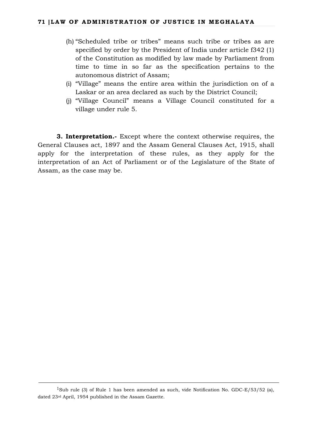- (h) "Scheduled tribe or tribes" means such tribe or tribes as are specified by order by the President of India under article f342 (1) of the Constitution as modified by law made by Parliament from time to time in so far as the specification pertains to the autonomous district of Assam;
- (i) "Village" means the entire area within the jurisdiction on of a Laskar or an area declared as such by the District Council;
- (j) "Village Council" means a Village Council constituted for a village under rule 5.

**3. Interpretation.-** Except where the context otherwise requires, the General Clauses act, 1897 and the Assam General Clauses Act, 1915, shall apply for the interpretation of these rules, as they apply for the interpretation of an Act of Parliament or of the Legislature of the State of Assam, as the case may be.

<sup>&</sup>lt;sup>1</sup>Sub rule (3) of Rule 1 has been amended as such, vide Notification No. GDC-E/53/52 (a), dated 23rd April, 1954 published in the Assam Gazette.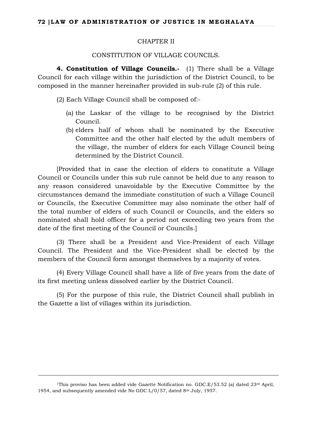#### CHAPTER II

CONSTITUTION OF VILLAGE COUNCILS.

**4. Constitution of Village Councils.-** (1) There shall be a Village Council for each village within the jurisdiction of the District Council, to be composed in the manner hereinafter provided in sub-rule (2) of this rule.

- (2) Each Village Council shall be composed of:-
	- (a) the Laskar of the village to be recognised by the District Council.
	- (b) elders half of whom shall be nominated by the Executive Committee and the other half elected by the adult members of the village, the number of elders for each Village Council being determined by the District Council.

[Provided that in case the election of elders to constitute a Village Council or Councils under this sub rule cannot be held due to any reason to any reason considered unavoidable by the Executive Committee by the circumstances demand the immediate constitution of such a Village Council or Councils, the Executive Committee may also nominate the other half of the total number of elders of such Council or Councils, and the elders so nominated shall hold officer for a period not exceeding two years from the date of the first meeting of the Council or Councils.]

(3) There shall be a President and Vice-President of each Village Council. The President and the Vice-President shall be elected by the members of the Council form amongst themselves by a majority of votes.

(4) Every Village Council shall have a life of five years from the date of its first meeting unless dissolved earlier by the District Council.

(5) For the purpose of this rule, the District Council shall publish in the Gazette a list of villages within its jurisdiction.

<sup>&</sup>lt;sup>1</sup>This proviso has been added vide Gazette Notification no. GDC.E/53.52 (a) dated 23<sup>rd</sup> April, 1954, and subsequently amended vide No GDC L/0/57, dated 8th July, 1957.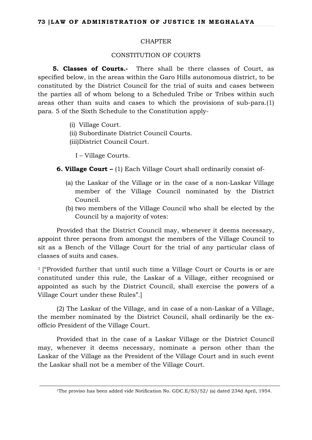# CHAPTER

# CONSTITUTION OF COURTS

**5. Classes of Courts.-** There shall be there classes of Court, as specified below, in the areas within the Garo Hills autonomous district, to be constituted by the District Council for the trial of suits and cases between the parties all of whom belong to a Scheduled Tribe or Tribes within such areas other than suits and cases to which the provisions of sub-para.(1) para. 5 of the Sixth Schedule to the Constitution apply-

- (i) Village Court.
- (ii) Subordinate District Council Courts.
- (iii)District Council Court.

I – Village Courts.

- **6. Village Court –** (1) Each Village Court shall ordinarily consist of-
	- (a) the Laskar of the Village or in the case of a non-Laskar Village member of the Village Council nominated by the District Council.
	- (b) two members of the Village Council who shall be elected by the Council by a majority of votes:

Provided that the District Council may, whenever it deems necessary, appoint three persons from amongst the members of the Village Council to sit as a Bench of the Village Court for the trial of any particular class of classes of suits and cases.

<sup>1</sup> ["Provided further that until such time a Village Court or Courts is or are constituted under this rule, the Laskar of a Village, either recognised or appointed as such by the District Council, shall exercise the powers of a Village Court under these Rules".]

(2) The Laskar of the Village, and in case of a non-Laskar of a Village, the member nominated by the District Council, shall ordinarily be the exofficio President of the Village Court.

Provided that in the case of a Laskar Village or the District Council may, whenever it deems necessary, nominate a person other than the Laskar of the Village as the President of the Village Court and in such event the Laskar shall not be a member of the Village Court.

<sup>&</sup>lt;sup>1</sup>The proviso has been added vide Notification No. GDC.E/S3/52/ (a) dated 234d April, 1954.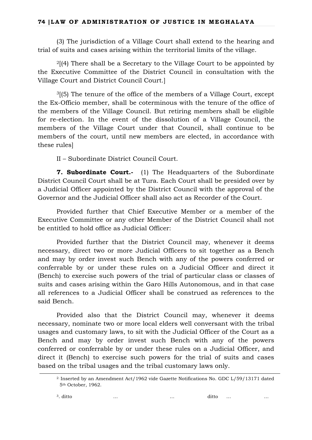(3) The jurisdiction of a Village Court shall extend to the hearing and trial of suits and cases arising within the territorial limits of the village.

 $2$ [(4) There shall be a Secretary to the Village Court to be appointed by the Executive Committee of the District Council in consultation with the Village Court and District Council Court.]

3[(5) The tenure of the office of the members of a Village Court, except the Ex-Officio member, shall be coterminous with the tenure of the office of the members of the Village Council. But retiring members shall be eligible for re-election. In the event of the dissolution of a Village Council, the members of the Village Court under that Council, shall continue to be members of the court, until new members are elected, in accordance with these rules]

II – Subordinate District Council Court.

**7. Subordinate Court.-** (1) The Headquarters of the Subordinate District Council Court shall be at Tura. Each Court shall be presided over by a Judicial Officer appointed by the District Council with the approval of the Governor and the Judicial Officer shall also act as Recorder of the Court.

Provided further that Chief Executive Member or a member of the Executive Committee or any other Member of the District Council shall not be entitled to hold office as Judicial Officer:

Provided further that the District Council may, whenever it deems necessary, direct two or more Judicial Officers to sit together as a Bench and may by order invest such Bench with any of the powers conferred or conferrable by or under these rules on a Judicial Officer and direct it (Bench) to exercise such powers of the trial of particular class or classes of suits and cases arising within the Garo Hills Autonomous, and in that case all references to a Judicial Officer shall be construed as references to the said Bench.

Provided also that the District Council may, whenever it deems necessary, nominate two or more local elders well conversant with the tribal usages and customary laws, to sit with the Judicial Officer of the Court as a Bench and may by order invest such Bench with any of the powers conferred or conferrable by or under these rules on a Judicial Officer, and direct it (Bench) to exercise such powers for the trial of suits and cases based on the tribal usages and the tribal customary laws only.

<sup>2.</sup> Inserted by an Amendment Act/1962 vide Gazette Notifications No. GDC L/59/13171 dated 5th October, 1962.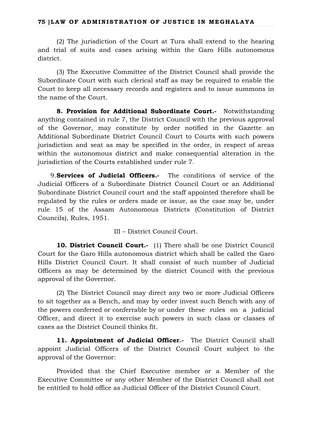(2) The jurisdiction of the Court at Tura shall extend to the hearing and trial of suits and cases arising within the Garo Hills autonomous district.

(3) The Executive Committee of the District Council shall provide the Subordinate Court with such clerical staff as may be required to enable the Court to keep all necessary records and registers and to issue summons in the name of the Court.

**8. Provision for Additional Subordinate Court.-** Notwithstanding anything contained in rule 7, the District Council with the previous approval of the Governor, may constitute by order notified in the Gazette an Additional Subordinate District Council Court to Courts with such powers jurisdiction and seat as may be specified in the order, in respect of areas within the autonomous district and make consequential alteration in the jurisdiction of the Courts established under rule 7.

9.**Services of Judicial Officers.-** The conditions of service of the Judicial Officers of a Subordinate District Council Court or an Additional Subordinate District Council court and the staff appointed therefore shall be regulated by the rules or orders made or issue, as the case may be, under rule 15 of the Assam Autonomous Districts (Constitution of District Councils), Rules, 1951.

III – District Council Court.

**10. District Council Court.-** (1) There shall be one District Council Court for the Garo Hills autonomous district which shall be called the Garo Hills District Council Court. It shall consist of such number of Judicial Officers as may be determined by the district Council with the previous approval of the Governor.

(2) The District Council may direct any two or more Judicial Officers to sit together as a Bench, and may by order invest such Bench with any of the powers conferred or conferrable by or under these rules on a judicial Officer, and direct it to exercise such powers in such class or classes of cases as the District Council thinks fit.

**11. Appointment of Judicial Officer.-** The District Council shall appoint Judicial Officers of the District Council Court subject to the approval of the Governor:

Provided that the Chief Executive member or a Member of the Executive Committee or any other Member of the District Council shall not be entitled to hold office as Judicial Officer of the District Council Court.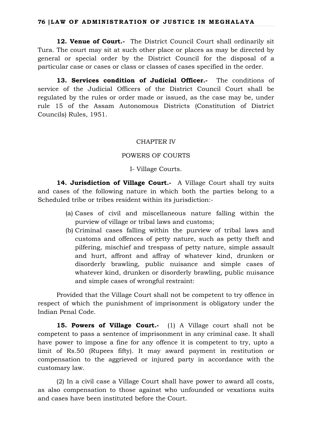**12. Venue of Court.-** The District Council Court shall ordinarily sit Tura. The court may sit at such other place or places as may be directed by general or special order by the District Council for the disposal of a particular case or cases or class or classes of cases specified in the order.

**13. Services condition of Judicial Officer.-** The conditions of service of the Judicial Officers of the District Council Court shall be regulated by the rules or order made or issued, as the case may be, under rule 15 of the Assam Autonomous Districts (Constitution of District Councils) Rules, 1951.

# CHAPTER IV

## POWERS OF COURTS

I- Village Courts.

**14. Jurisdiction of Village Court.-** A Village Court shall try suits and cases of the following nature in which both the parties belong to a Scheduled tribe or tribes resident within its jurisdiction:-

- (a) Cases of civil and miscellaneous nature falling within the purview of village or tribal laws and customs;
- (b) Criminal cases falling within the purview of tribal laws and customs and offences of petty nature, such as petty theft and pilfering, mischief and trespass of petty nature, simple assault and hurt, affront and affray of whatever kind, drunken or disorderly brawling, public nuisance and simple cases of whatever kind, drunken or disorderly brawling, public nuisance and simple cases of wrongful restraint:

Provided that the Village Court shall not be competent to try offence in respect of which the punishment of imprisonment is obligatory under the Indian Penal Code.

**15. Powers of Village Court.-** (1) A Village court shall not be competent to pass a sentence of imprisonment in any criminal case. It shall have power to impose a fine for any offence it is competent to try, upto a limit of Rs.50 (Rupees fifty). It may award payment in restitution or compensation to the aggrieved or injured party in accordance with the customary law.

(2) In a civil case a Village Court shall have power to award all costs, as also compensation to those against who unfounded or vexations suits and cases have been instituted before the Court.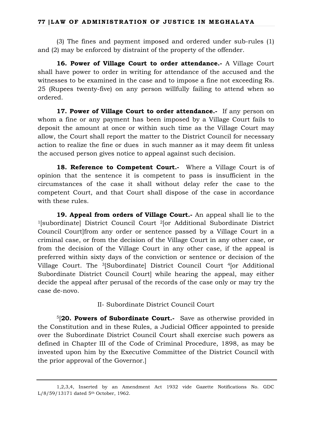(3) The fines and payment imposed and ordered under sub-rules (1) and (2) may be enforced by distraint of the property of the offender.

**16. Power of Village Court to order attendance.-** A Village Court shall have power to order in writing for attendance of the accused and the witnesses to be examined in the case and to impose a fine not exceeding Rs. 25 (Rupees twenty-five) on any person willfully failing to attend when so ordered.

17. Power of Village Court to order attendance.- If any person on whom a fine or any payment has been imposed by a Village Court fails to deposit the amount at once or within such time as the Village Court may allow, the Court shall report the matter to the District Council for necessary action to realize the fine or dues in such manner as it may deem fit unless the accused person gives notice to appeal against such decision.

18. Reference to Competent Court.- Where a Village Court is of opinion that the sentence it is competent to pass is insufficient in the circumstances of the case it shall without delay refer the case to the competent Court, and that Court shall dispose of the case in accordance with these rules.

**19. Appeal from orders of Village Court.-** An appeal shall lie to the 1[subordinate] District Council Court 2[or Additional Subordinate District Council Court]from any order or sentence passed by a Village Court in a criminal case, or from the decision of the Village Court in any other case, or from the decision of the Village Court in any other case, if the appeal is preferred within sixty days of the conviction or sentence or decision of the Village Court. The 3[Subordinate] District Council Court 4[or Additional Subordinate District Council Court] while hearing the appeal, may either decide the appeal after perusal of the records of the case only or may try the case de-novo.

II- Subordinate District Council Court

5[**20. Powers of Subordinate Court.-** Save as otherwise provided in the Constitution and in these Rules, a Judicial Officer appointed to preside over the Subordinate District Council Court shall exercise such powers as defined in Chapter III of the Code of Criminal Procedure, 1898, as may be invested upon him by the Executive Committee of the District Council with the prior approval of the Governor.]

<sup>1,2,3,4,</sup> Inserted by an Amendment Act 1932 vide Gazette Notifications No. GDC L/8/59/13171 dated 5th October, 1962.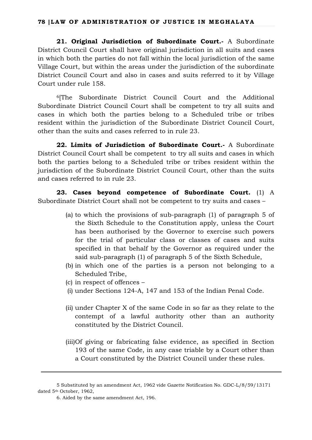**21. Original Jurisdiction of Subordinate Court.-** A Subordinate District Council Court shall have original jurisdiction in all suits and cases in which both the parties do not fall within the local jurisdiction of the same Village Court, but within the areas under the jurisdiction of the subordinate District Council Court and also in cases and suits referred to it by Village Court under rule 158.

6[The Subordinate District Council Court and the Additional Subordinate District Council Court shall be competent to try all suits and cases in which both the parties belong to a Scheduled tribe or tribes resident within the jurisdiction of the Subordinate District Council Court, other than the suits and cases referred to in rule 23.

**22. Limits of Jurisdiction of Subordinate Court.-** A Subordinate District Council Court shall be competent to try all suits and cases in which both the parties belong to a Scheduled tribe or tribes resident within the jurisdiction of the Subordinate District Council Court, other than the suits and cases referred to in rule 23.

**23. Cases beyond competence of Subordinate Court.** (1) A Subordinate District Court shall not be competent to try suits and cases –

- (a) to which the provisions of sub-paragraph (1) of paragraph 5 of the Sixth Schedule to the Constitution apply, unless the Court has been authorised by the Governor to exercise such powers for the trial of particular class or classes of cases and suits specified in that behalf by the Governor as required under the said sub-paragraph (1) of paragraph 5 of the Sixth Schedule,
- (b) in which one of the parties is a person not belonging to a Scheduled Tribe,
- (c) in respect of offences –
- (i) under Sections 124-A, 147 and 153 of the Indian Penal Code.
- (ii) under Chapter X of the same Code in so far as they relate to the contempt of a lawful authority other than an authority constituted by the District Council.
- (iii)Of giving or fabricating false evidence, as specified in Section 193 of the same Code, in any case triable by a Court other than a Court constituted by the District Council under these rules.

<sup>5</sup> Substituted by an amendment Act, 1962 vide Gazette Notification No. GDC-L/8/59/13171 dated 5th October, 1962,

<sup>6.</sup> Aided by the same amendment Act, 196.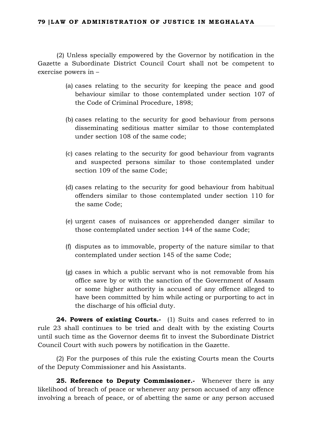(2) Unless specially empowered by the Governor by notification in the Gazette a Subordinate District Council Court shall not be competent to exercise powers in –

- (a) cases relating to the security for keeping the peace and good behaviour similar to those contemplated under section 107 of the Code of Criminal Procedure, 1898;
- (b) cases relating to the security for good behaviour from persons disseminating seditious matter similar to those contemplated under section 108 of the same code;
- (c) cases relating to the security for good behaviour from vagrants and suspected persons similar to those contemplated under section 109 of the same Code;
- (d) cases relating to the security for good behaviour from habitual offenders similar to those contemplated under section 110 for the same Code;
- (e) urgent cases of nuisances or apprehended danger similar to those contemplated under section 144 of the same Code;
- (f) disputes as to immovable, property of the nature similar to that contemplated under section 145 of the same Code;
- (g) cases in which a public servant who is not removable from his office save by or with the sanction of the Government of Assam or some higher authority is accused of any offence alleged to have been committed by him while acting or purporting to act in the discharge of his official duty.

24. Powers of existing Courts.- (1) Suits and cases referred to in rule 23 shall continues to be tried and dealt with by the existing Courts until such time as the Governor deems fit to invest the Subordinate District Council Court with such powers by notification in the Gazette.

(2) For the purposes of this rule the existing Courts mean the Courts of the Deputy Commissioner and his Assistants.

25. Reference to Deputy Commissioner.- Whenever there is any likelihood of breach of peace or whenever any person accused of any offence involving a breach of peace, or of abetting the same or any person accused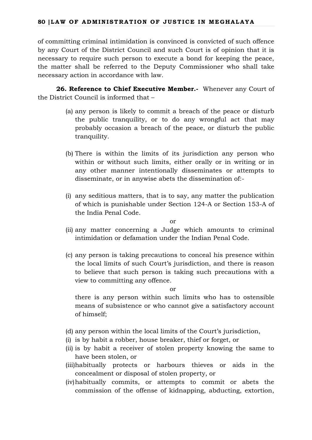of committing criminal intimidation is convinced is convicted of such offence by any Court of the District Council and such Court is of opinion that it is necessary to require such person to execute a bond for keeping the peace, the matter shall be referred to the Deputy Commissioner who shall take necessary action in accordance with law.

**26. Reference to Chief Executive Member.-** Whenever any Court of the District Council is informed that –

- (a) any person is likely to commit a breach of the peace or disturb the public tranquility, or to do any wrongful act that may probably occasion a breach of the peace, or disturb the public tranquility.
- (b) There is within the limits of its jurisdiction any person who within or without such limits, either orally or in writing or in any other manner intentionally disseminates or attempts to disseminate, or in anywise abets the dissemination of:-
- (i) any seditious matters, that is to say, any matter the publication of which is punishable under Section 124-A or Section 153-A of the India Penal Code.

or

- (ii) any matter concerning a Judge which amounts to criminal intimidation or defamation under the Indian Penal Code.
- (c) any person is taking precautions to conceal his presence within the local limits of such Court's jurisdiction, and there is reason to believe that such person is taking such precautions with a view to committing any offence.

or

there is any person within such limits who has to ostensible means of subsistence or who cannot give a satisfactory account of himself;

- (d) any person within the local limits of the Court's jurisdiction,
- (i) is by habit a robber, house breaker, thief or forget, or
- (ii) is by habit a receiver of stolen property knowing the same to have been stolen, or
- (iii)habitually protects or harbours thieves or aids in the concealment or disposal of stolen property, or
- (iv)habitually commits, or attempts to commit or abets the commission of the offense of kidnapping, abducting, extortion,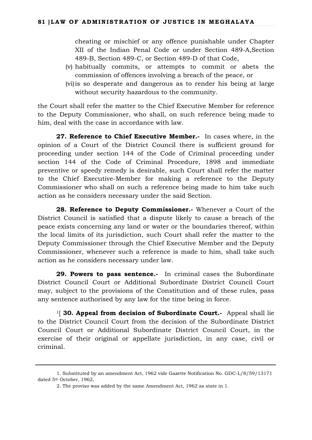cheating or mischief or any offence punishable under Chapter XII of the Indian Penal Code or under Section 489-A,Section 489-B, Section 489-C, or Section 489-D of that Code,

- (v) habitually commits, or attempts to commit or abets the commission of offences involving a breach of the peace, or
- (vi)is so desperate and dangerous as to render his being at large without security hazardous to the community.

the Court shall refer the matter to the Chief Executive Member for reference to the Deputy Commissioner, who shall, on such reference being made to him, deal with the case in accordance with law.

**27. Reference to Chief Executive Member.-** In cases where, in the opinion of a Court of the District Council there is sufficient ground for proceeding under section 144 of the Code of Criminal proceeding under section 144 of the Code of Criminal Procedure, 1898 and immediate preventive or speedy remedy is desirable, such Court shall refer the matter to the Chief Executive-Member for making a reference to the Deputy Commissioner who shall on such a reference being made to him take such action as he considers necessary under the said Section.

**28. Reference to Deputy Commissioner.-** Whenever a Court of the District Council is satisfied that a dispute likely to cause a breach of the peace exists concerning any land or water or the boundaries thereof, within the local limits of its jurisdiction, such Court shall refer the matter to the Deputy Commissioner through the Chief Executive Member and the Deputy Commissioner, whenever such a reference is made to him, shall take such action as he considers necessary under law.

**29. Powers to pass sentence.-** In criminal cases the Subordinate District Council Court or Additional Subordinate District Council Court may, subject to the provisions of the Constitution and of these rules, pass any sentence authorised by any law for the time being in force.

<sup>1</sup>[ **30. Appeal from decision of Subordinate Court.**- Appeal shall lie to the District Council Court from the decision of the Subordinate District Council Court or Additional Subordinate District Council Court, in the exercise of their original or appellate jurisdiction, in any case, civil or criminal.

<sup>1.</sup> Substituted by an amendment Act, 1962 vide Gazette Notification No. GDC-L/8/59/13171 dated 5th October, 1962,

<sup>2.</sup> The proviso was added by the same Amendment Act, 1962 as state in 1.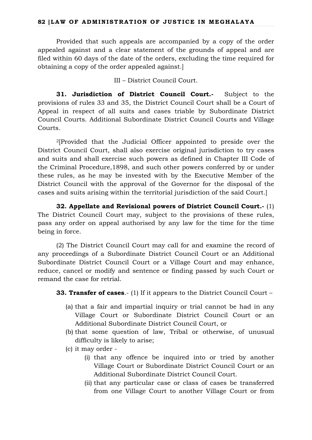Provided that such appeals are accompanied by a copy of the order appealed against and a clear statement of the grounds of appeal and are filed within 60 days of the date of the orders, excluding the time required for obtaining a copy of the order appealed against.]

III – District Council Court.

**31. Jurisdiction of District Council Court.-** Subject to the provisions of rules 33 and 35, the District Council Court shall be a Court of Appeal in respect of all suits and cases triable by Subordinate District Council Courts. Additional Subordinate District Council Courts and Village Courts.

2[Provided that the Judicial Officer appointed to preside over the District Council Court, shall also exercise original jurisdiction to try cases and suits and shall exercise such powers as defined in Chapter III Code of the Criminal Procedure,1898, and such other powers conferred by or under these rules, as he may be invested with by the Executive Member of the District Council with the approval of the Governor for the disposal of the cases and suits arising within the territorial jurisdiction of the said Court.]

**32. Appellate and Revisional powers of District Council Court.-** (1) The District Council Court may, subject to the provisions of these rules, pass any order on appeal authorised by any law for the time for the time being in force.

(2) The District Council Court may call for and examine the record of any proceedings of a Subordinate District Council Court or an Additional Subordinate District Council Court or a Village Court and may enhance, reduce, cancel or modify and sentence or finding passed by such Court or remand the case for retrial.

**33. Transfer of cases.**- (1) If it appears to the District Council Court –

- (a) that a fair and impartial inquiry or trial cannot be had in any Village Court or Subordinate District Council Court or an Additional Subordinate District Council Court, or
- (b) that some question of law, Tribal or otherwise, of unusual difficulty is likely to arise;
- (c) it may order
	- (i) that any offence be inquired into or tried by another Village Court or Subordinate District Council Court or an Additional Subordinate District Council Court.
	- (ii) that any particular case or class of cases be transferred from one Village Court to another Village Court or from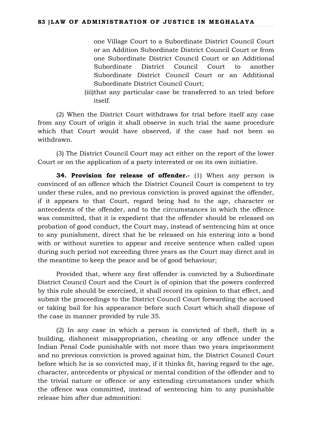one Village Court to a Subordinate District Council Court or an Addition Subordinate District Council Court or from one Subordinate District Council Court or an Additional Subordinate District Council Court to another Subordinate District Council Court or an Additional Subordinate District Council Court;

(iii)that any particular case be transferred to an tried before itself.

(2) When the District Court withdraws for trial before itself any case from any Court of origin it shall observe in such trial the same procedure which that Court would have observed, if the case had not been so withdrawn.

(3) The District Council Court may act either on the report of the lower Court or on the application of a party interested or on its own initiative.

**34. Provision for release of offender.**- (1) When any person is convinced of an offence which the District Council Court is competent to try under these rules, and no previous conviction is proved against the offender, if it appears to that Court, regard being had to the age, character or antecedents of the offender, and to the circumstances in which the offence was committed, that it is expedient that the offender should be released on probation of good conduct, the Court may, instead of sentencing him at once to any punishment, direct that he be released on his entering into a bond with or without sureties to appear and receive sentence when called upon during such period not exceeding three years as the Court may direct and in the meantime to keep the peace and be of good behaviour;

Provided that, where any first offender is convicted by a Subordinate District Council Court and the Court is of opinion that the powers conferred by this rule should be exercised, it shall record its opinion to that effect, and submit the proceedings to the District Council Court forwarding the accused or taking bail for his appearance before such Court which shall dispose of the case in manner provided by rule 35.

(2) In any case in which a person is convicted of theft, theft in a building, dishonest misappropriation, cheating or any offence under the Indian Penal Code punishable with not more than two years imprisonment and no previous conviction is proved against him, the District Council Court before which he is so convicted may, if it thinks fit, having regard to the age, character, antecedents or physical or mental condition of the offender and to the trivial nature or offence or any extending circumstances under which the offence was committed, instead of sentencing him to any punishable release him after due admonition: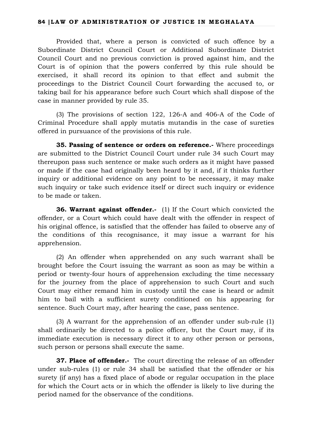Provided that, where a person is convicted of such offence by a Subordinate District Council Court or Additional Subordinate District Council Court and no previous conviction is proved against him, and the Court is of opinion that the powers conferred by this rule should be exercised, it shall record its opinion to that effect and submit the proceedings to the District Council Court forwarding the accused to, or taking bail for his appearance before such Court which shall dispose of the case in manner provided by rule 35.

(3) The provisions of section 122, 126-A and 406-A of the Code of Criminal Procedure shall apply mutatis mutandis in the case of sureties offered in pursuance of the provisions of this rule.

**35. Passing of sentence or orders on reference.-** Where proceedings are submitted to the District Council Court under rule 34 such Court may thereupon pass such sentence or make such orders as it might have passed or made if the case had originally been heard by it and, if it thinks further inquiry or additional evidence on any point to be necessary, it may make such inquiry or take such evidence itself or direct such inquiry or evidence to be made or taken.

**36. Warrant against offender.-** (1) If the Court which convicted the offender, or a Court which could have dealt with the offender in respect of his original offence, is satisfied that the offender has failed to observe any of the conditions of this recognisance, it may issue a warrant for his apprehension.

(2) An offender when apprehended on any such warrant shall be brought before the Court issuing the warrant as soon as may be within a period or twenty-four hours of apprehension excluding the time necessary for the journey from the place of apprehension to such Court and such Court may either remand him in custody until the case is heard or admit him to bail with a sufficient surety conditioned on his appearing for sentence. Such Court may, after hearing the case, pass sentence.

(3) A warrant for the apprehension of an offender under sub-rule (1) shall ordinarily be directed to a police officer, but the Court may, if its immediate execution is necessary direct it to any other person or persons, such person or persons shall execute the same.

**37. Place of offender.** The court directing the release of an offender under sub-rules (1) or rule 34 shall be satisfied that the offender or his surety (if any) has a fixed place of abode or regular occupation in the place for which the Court acts or in which the offender is likely to live during the period named for the observance of the conditions.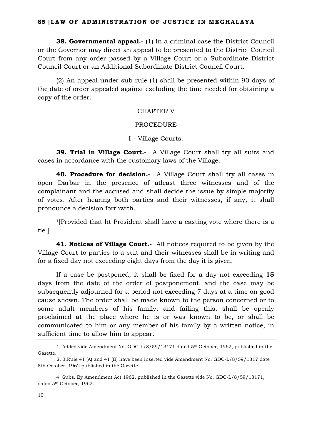**38. Governmental appeal.-** (1) In a criminal case the District Council or the Governor may direct an appeal to be presented to the District Council Court from any order passed by a Village Court or a Subordinate District Council Court or an Additional Subordinate District Council Court.

(2) An appeal under sub-rule (1) shall be presented within 90 days of the date of order appealed against excluding the time needed for obtaining a copy of the order.

## CHAPTER V

#### PROCEDURE

## I – Village Courts.

**39. Trial in Village Court.**- A Village Court shall try all suits and cases in accordance with the customary laws of the Village.

**40. Procedure for decision.-** A Village Court shall try all cases in open Darbar in the presence of atleast three witnesses and of the complainant and the accused and shall decide the issue by simple majority of votes. After hearing both parties and their witnesses, if any, it shall pronounce a decision forthwith.

1[Provided that ht President shall have a casting vote where there is a tie.]

**41. Notices of Village Court.-** All notices required to be given by the Village Court to parties to a suit and their witnesses shall be in writing and for a fixed day not exceeding eight days from the day it is given.

If a case be postponed, it shall be fixed for a day not exceeding **15** days from the date of the order of postponement, and the case may be subsequently adjourned for a period not exceeding 7 days at a time on good cause shown. The order shall be made known to the person concerned or to some adult members of his family, and failing this, shall be openly proclaimed at the place where he is or was known to be, or shall be communicated to him or any member of his family by a written notice, in sufficient time to allow him to appear.

<sup>1.</sup> Added vide Amendment No. GDC-L/8/59/13171 dated 5th October, 1962, published in the Gazette.

<sup>2, 3.</sup>Rule 41 (A) and 41 (B) have been inserted vide Amendment No. GDC-L/8/59/1317 date 5th October. 1962 published in the Gazette.

<sup>4.</sup> Subs. By Amendment Act 1962, published in the Gazette vide No. GDC-L/8/59/13171, dated 5<sup>th</sup> October, 1962.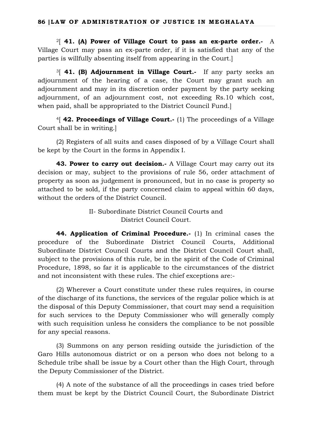2[ **41. (A) Power of Village Court to pass an ex-parte order.-** A Village Court may pass an ex-parte order, if it is satisfied that any of the parties is willfully absenting itself from appearing in the Court.]

3[ **41. (B) Adjournment in Village Court.-** If any party seeks an adjournment of the hearing of a case, the Court may grant such an adjournment and may in its discretion order payment by the party seeking adjournment, of an adjournment cost, not exceeding Rs.10 which cost, when paid, shall be appropriated to the District Council Fund.]

4[ **42. Proceedings of Village Court.-** (1) The proceedings of a Village Court shall be in writing.]

(2) Registers of all suits and cases disposed of by a Village Court shall be kept by the Court in the forms in Appendix I.

**43. Power to carry out decision.** A Village Court may carry out its decision or may, subject to the provisions of rule 56, order attachment of property as soon as judgement is pronounced, but in no case is property so attached to be sold, if the party concerned claim to appeal within 60 days, without the orders of the District Council.

> II- Subordinate District Council Courts and District Council Court.

**44. Application of Criminal Procedure.-** (1) In criminal cases the procedure of the Subordinate District Council Courts, Additional Subordinate District Council Courts and the District Council Court shall, subject to the provisions of this rule, be in the spirit of the Code of Criminal Procedure, 1898, so far it is applicable to the circumstances of the district and not inconsistent with these rules. The chief exceptions are:-

(2) Wherever a Court constitute under these rules requires, in course of the discharge of its functions, the services of the regular police which is at the disposal of this Deputy Commissioner, that court may send a requisition for such services to the Deputy Commissioner who will generally comply with such requisition unless he considers the compliance to be not possible for any special reasons.

(3) Summons on any person residing outside the jurisdiction of the Garo Hills autonomous district or on a person who does not belong to a Schedule tribe shall be issue by a Court other than the High Court, through the Deputy Commissioner of the District.

(4) A note of the substance of all the proceedings in cases tried before them must be kept by the District Council Court, the Subordinate District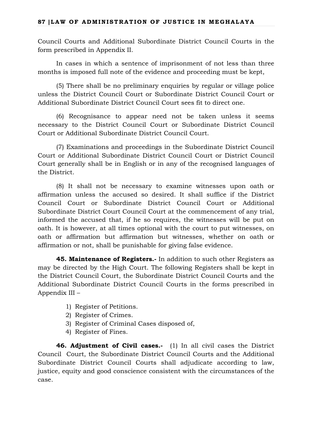Council Courts and Additional Subordinate District Council Courts in the form prescribed in Appendix II.

In cases in which a sentence of imprisonment of not less than three months is imposed full note of the evidence and proceeding must be kept,

(5) There shall be no preliminary enquiries by regular or village police unless the District Council Court or Subordinate District Council Court or Additional Subordinate District Council Court sees fit to direct one.

(6) Recognisance to appear need not be taken unless it seems necessary to the District Council Court or Subordinate District Council Court or Additional Subordinate District Council Court.

(7) Examinations and proceedings in the Subordinate District Council Court or Additional Subordinate District Council Court or District Council Court generally shall be in English or in any of the recognised languages of the District.

(8) It shall not be necessary to examine witnesses upon oath or affirmation unless the accused so desired. It shall suffice if the District Council Court or Subordinate District Council Court or Additional Subordinate District Court Council Court at the commencement of any trial, informed the accused that, if he so requires, the witnesses will be put on oath. It is however, at all times optional with the court to put witnesses, on oath or affirmation but affirmation but witnesses, whether on oath or affirmation or not, shall be punishable for giving false evidence.

**45. Maintenance of Registers.-** In addition to such other Registers as may be directed by the High Court. The following Registers shall be kept in the District Council Court, the Subordinate District Council Courts and the Additional Subordinate District Council Courts in the forms prescribed in Appendix III –

- 1) Register of Petitions.
- 2) Register of Crimes.
- 3) Register of Criminal Cases disposed of,
- 4) Register of Fines.

**46. Adjustment of Civil cases.-** (1) In all civil cases the District Council Court, the Subordinate District Council Courts and the Additional Subordinate District Council Courts shall adjudicate according to law, justice, equity and good conscience consistent with the circumstances of the case.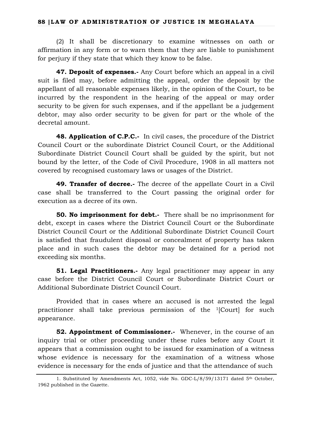(2) It shall be discretionary to examine witnesses on oath or affirmation in any form or to warn them that they are liable to punishment for perjury if they state that which they know to be false.

**47. Deposit of expenses.-** Any Court before which an appeal in a civil suit is filed may, before admitting the appeal, order the deposit by the appellant of all reasonable expenses likely, in the opinion of the Court, to be incurred by the respondent in the hearing of the appeal or may order security to be given for such expenses, and if the appellant be a judgement debtor, may also order security to be given for part or the whole of the decretal amount.

**48. Application of C.P.C.-** In civil cases, the procedure of the District Council Court or the subordinate District Council Court, or the Additional Subordinate District Council Court shall be guided by the spirit, but not bound by the letter, of the Code of Civil Procedure, 1908 in all matters not covered by recognised customary laws or usages of the District.

**49. Transfer of decree.-** The decree of the appellate Court in a Civil case shall be transferred to the Court passing the original order for execution as a decree of its own.

**50. No imprisonment for debt.**- There shall be no imprisonment for debt, except in cases where the District Council Court or the Subordinate District Council Court or the Additional Subordinate District Council Court is satisfied that fraudulent disposal or concealment of property has taken place and in such cases the debtor may be detained for a period not exceeding six months.

**51. Legal Practitioners.** Any legal practitioner may appear in any case before the District Council Court or Subordinate District Court or Additional Subordinate District Council Court.

Provided that in cases where an accused is not arrested the legal practitioner shall take previous permission of the 1[Court] for such appearance.

**52. Appointment of Commissioner.**- Whenever, in the course of an inquiry trial or other proceeding under these rules before any Court it appears that a commission ought to be issued for examination of a witness whose evidence is necessary for the examination of a witness whose evidence is necessary for the ends of justice and that the attendance of such

<sup>1.</sup> Substituted by Amendments Act, 1052, vide No. GDC-L/8/59/13171 dated 5th October, 1962 published in the Gazette.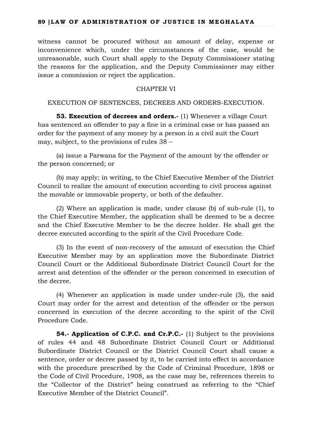witness cannot be procured without an amount of delay, expense or inconvenience which, under the circumstances of the case, would be unreasonable, such Court shall apply to the Deputy Commissioner stating the reasons for the application, and the Deputy Commissioner may either issue a commission or reject the application.

# CHAPTER VI

## EXECUTION OF SENTENCES, DECREES AND ORDERS-EXECUTION.

**53. Execution of decrees and orders.-** (1) Whenever a village Court has sentenced an offender to pay a fine in a criminal case or has passed an order for the payment of any money by a person in a civil suit the Court may, subject, to the provisions of rules 38 –

(a) issue a Parwana for the Payment of the amount by the offender or the person concerned; or

(b) may apply; in writing, to the Chief Executive Member of the District Council to realize the amount of execution according to civil process against the movable or immovable property, or both of the defaulter.

(2) Where an application is made, under clause (b) of sub-rule (1), to the Chief Executive Member, the application shall be deemed to be a decree and the Chief Executive Member to be the decree holder. He shall get the decree executed according to the spirit of the Civil Procedure Code.

(3) In the event of non-recovery of the amount of execution the Chief Executive Member may by an application move the Subordinate District Council Court or the Additional Subordinate District Council Court for the arrest and detention of the offender or the person concerned in execution of the decree.

(4) Whenever an application is made under under-rule (3), the said Court may order for the arrest and detention of the offender or the person concerned in execution of the decree according to the spirit of the Civil Procedure Code.

**54.- Application of C.P.C. and Cr.P.C.-** (1) Subject to the provisions of rules 44 and 48 Subordinate District Council Court or Additional Subordinate District Council or the District Council Court shall cause a sentence, order or decree passed by it, to be carried into effect in accordance with the procedure prescribed by the Code of Criminal Procedure, 1898 or the Code of Civil Procedure, 1908, as the case may be, references therein to the "Collector of the District" being construed as referring to the "Chief Executive Member of the District Council".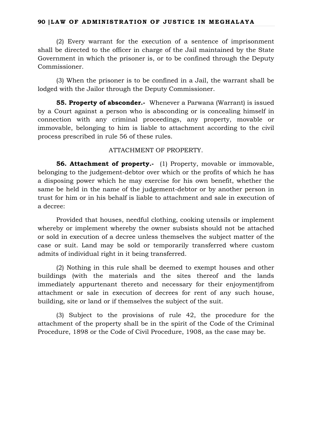(2) Every warrant for the execution of a sentence of imprisonment shall be directed to the officer in charge of the Jail maintained by the State Government in which the prisoner is, or to be confined through the Deputy Commissioner.

(3) When the prisoner is to be confined in a Jail, the warrant shall be lodged with the Jailor through the Deputy Commissioner.

**55. Property of absconder.-** Whenever a Parwana (Warrant) is issued by a Court against a person who is absconding or is concealing himself in connection with any criminal proceedings, any property, movable or immovable, belonging to him is liable to attachment according to the civil process prescribed in rule 56 of these rules.

## ATTACHMENT OF PROPERTY.

**56. Attachment of property.-** (1) Property, movable or immovable, belonging to the judgement-debtor over which or the profits of which he has a disposing power which he may exercise for his own benefit, whether the same be held in the name of the judgement-debtor or by another person in trust for him or in his behalf is liable to attachment and sale in execution of a decree:

Provided that houses, needful clothing, cooking utensils or implement whereby or implement whereby the owner subsists should not be attached or sold in execution of a decree unless themselves the subject matter of the case or suit. Land may be sold or temporarily transferred where custom admits of individual right in it being transferred.

(2) Nothing in this rule shall be deemed to exempt houses and other buildings (with the materials and the sites thereof and the lands immediately appurtenant thereto and necessary for their enjoyment)from attachment or sale in execution of decrees for rent of any such house, building, site or land or if themselves the subject of the suit.

(3) Subject to the provisions of rule 42, the procedure for the attachment of the property shall be in the spirit of the Code of the Criminal Procedure, 1898 or the Code of Civil Procedure, 1908, as the case may be.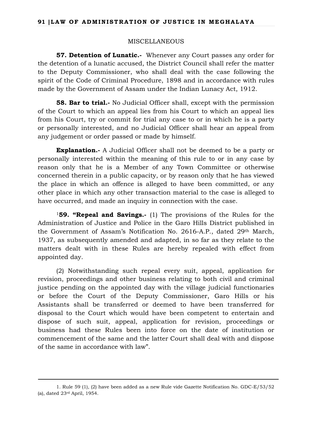### MISCELLANEOUS

**57. Detention of Lunatic.-** Whenever any Court passes any order for the detention of a lunatic accused, the District Council shall refer the matter to the Deputy Commissioner, who shall deal with the case following the spirit of the Code of Criminal Procedure, 1898 and in accordance with rules made by the Government of Assam under the Indian Lunacy Act, 1912.

**58. Bar to trial.-** No Judicial Officer shall, except with the permission of the Court to which an appeal lies from his Court to which an appeal lies from his Court, try or commit for trial any case to or in which he is a party or personally interested, and no Judicial Officer shall hear an appeal from any judgement or order passed or made by himself.

**Explanation.-** A Judicial Officer shall not be deemed to be a party or personally interested within the meaning of this rule to or in any case by reason only that he is a Member of any Town Committee or otherwise concerned therein in a public capacity, or by reason only that he has viewed the place in which an offence is alleged to have been committed, or any other place in which any other transaction material to the case is alleged to have occurred, and made an inquiry in connection with the case.

<sup>1</sup>**59. "Repeal and Savings.-** (1) The provisions of the Rules for the Administration of Justice and Police in the Garo Hills District published in the Government of Assam's Notification No. 2616-A.P., dated 29th March, 1937, as subsequently amended and adapted, in so far as they relate to the matters dealt with in these Rules are hereby repealed with effect from appointed day.

(2) Notwithstanding such repeal every suit, appeal, application for revision, proceedings and other business relating to both civil and criminal justice pending on the appointed day with the village judicial functionaries or before the Court of the Deputy Commissioner, Garo Hills or his Assistants shall be transferred or deemed to have been transferred for disposal to the Court which would have been competent to entertain and dispose of such suit, appeal, application for revision, proceedings or business had these Rules been into force on the date of institution or commencement of the same and the latter Court shall deal with and dispose of the same in accordance with law".

<sup>1.</sup> Rule 59 (1), (2) have been added as a new Rule vide Gazette Notification No. GDC-E/53/52 (a), dated 23rd April, 1954.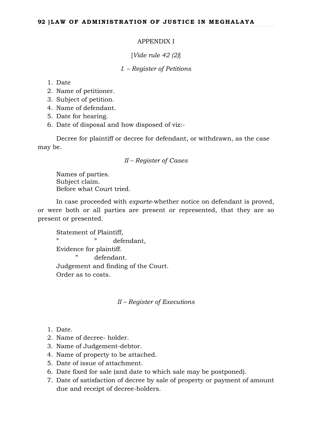## APPENDIX I

# [*Vide rule 42 (2)*]

## *I. – Register of Petitions*

## 1. Date

- 2. Name of petitioner.
- 3. Subject of petition.
- 4. Name of defendant.
- 5. Date for hearing.
- 6. Date of disposal and how disposed of viz:-

Decree for plaintiff or decree for defendant, or withdrawn, as the case may be.

## *II – Register of Cases*

Names of parties. Subject claim. Before what Court tried.

In case proceeded with *exparte*-whether notice on defendant is proved, or were both or all parties are present or represented, that they are so present or presented.

Statement of Plaintiff, " defendant, Evidence for plaintiff. defendant. Judgement and finding of the Court. Order as to costs.

## *II – Register of Executions*

- 1. Date.
- 2. Name of decree- holder.
- 3. Name of Judgement-debtor.
- 4. Name of property to be attached.
- 5. Date of issue of attachment.
- 6. Date fixed for sale (and date to which sale may be postponed).
- 7. Date of satisfaction of decree by sale of property or payment of amount due and receipt of decree-holders.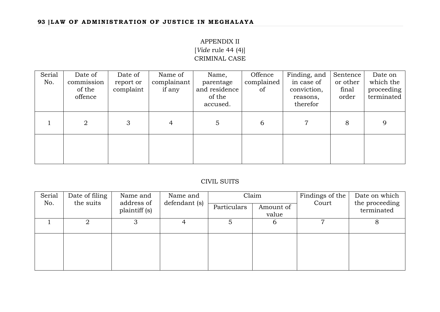# APPENDIX II [*Vide* rule 44 (4)] CRIMINAL CASE

| Serial<br>No. | Date of<br>commission<br>of the<br>offence | Date of<br>report or<br>complaint | Name of<br>complainant<br>if any | Name,<br>parentage<br>and residence<br>of the<br>accused. | Offence<br>complained<br>of | Finding, and<br>in case of<br>conviction,<br>reasons,<br>therefor | Sentence<br>or other<br>final<br>order | Date on<br>which the<br>proceeding<br>terminated |
|---------------|--------------------------------------------|-----------------------------------|----------------------------------|-----------------------------------------------------------|-----------------------------|-------------------------------------------------------------------|----------------------------------------|--------------------------------------------------|
|               | $\overline{2}$                             | 3                                 | 4                                | $\overline{5}$                                            | 6                           | 7                                                                 | 8                                      | 9                                                |
|               |                                            |                                   |                                  |                                                           |                             |                                                                   |                                        |                                                  |

# CIVIL SUITS

| Serial | Date of filing | Name and                    | Name and      |             | Claim              | Findings of the | Date on which<br>the proceeding<br>terminated |  |
|--------|----------------|-----------------------------|---------------|-------------|--------------------|-----------------|-----------------------------------------------|--|
| No.    | the suits      | address of<br>plaintiff (s) | defendant (s) | Particulars | Amount of<br>value | Court           |                                               |  |
|        | 2              | З                           |               |             | $\mathfrak b$      |                 |                                               |  |
|        |                |                             |               |             |                    |                 |                                               |  |
|        |                |                             |               |             |                    |                 |                                               |  |
|        |                |                             |               |             |                    |                 |                                               |  |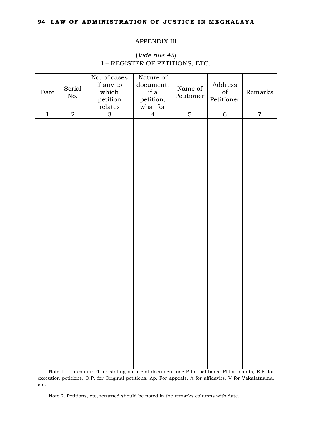#### APPENDIX III

# (*Vide rule 45*) I – REGISTER OF PETITIONS, ETC.

| Date         | Serial<br>No.  | No. of cases<br>if any to<br>which<br>petition<br>relates | Nature of<br>document,<br>if a<br>petition,<br>what for | Name of<br>Petitioner | Address<br>$\sigma$<br>Petitioner | Remarks        |  |
|--------------|----------------|-----------------------------------------------------------|---------------------------------------------------------|-----------------------|-----------------------------------|----------------|--|
| $\mathbf{1}$ | $\overline{2}$ | $\mathfrak{S}$                                            | $\overline{4}$                                          | $\overline{5}$        | $\overline{6}$                    | $\overline{7}$ |  |
|              |                |                                                           |                                                         |                       |                                   |                |  |

Note 1 – In column 4 for stating nature of document use P for petitions, Pl for plaints, E.P. for execution petitions, O.P. for Original petitions, Ap. For appeals, A for affidavits, V for Vakalatnama, etc.

Note 2. Petitions, etc, returned should be noted in the remarks columns with date.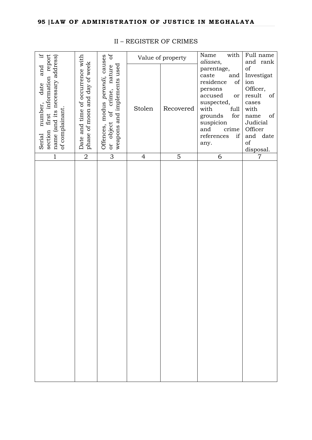| H.                                                                                                                                   |                                                                      | $\mathfrak{b}$                                                                                                 |                | Value of property | with<br>Name                                                                                                                                                                                   | Full name                                                                                                                                                               |
|--------------------------------------------------------------------------------------------------------------------------------------|----------------------------------------------------------------------|----------------------------------------------------------------------------------------------------------------|----------------|-------------------|------------------------------------------------------------------------------------------------------------------------------------------------------------------------------------------------|-------------------------------------------------------------------------------------------------------------------------------------------------------------------------|
| report<br>name (and its necessary address)<br>and<br>information<br>date<br>number,<br>of complainant.<br>first<br>section<br>Serial | Date and time of occurrence with<br>and day of week<br>phase of moon | Offences, modus perandi, causes<br>weapons and implements used<br>nature<br>crime,<br>$\sigma$<br>object<br>or | Stolen         | Recovered         | aliases,<br>parentage,<br>caste<br>and<br>residence<br>of<br>persons<br>accused<br>or<br>suspected,<br>with<br>full<br>grounds<br>for<br>suspicion<br>and<br>crime<br>references<br>if<br>any. | and rank<br>of<br>Investigat<br>ion<br>Officer,<br>result<br>of<br>cases<br>with<br>of<br>$\,$ name<br>Judicial<br>Officer<br>and date<br>$_{\mathrm{of}}$<br>disposal. |
| $\mathbf{1}$                                                                                                                         | $\overline{2}$                                                       | 3                                                                                                              | $\overline{4}$ | $\overline{5}$    | 6                                                                                                                                                                                              | 7                                                                                                                                                                       |
|                                                                                                                                      |                                                                      |                                                                                                                |                |                   |                                                                                                                                                                                                |                                                                                                                                                                         |

# II – REGISTER OF CRIMES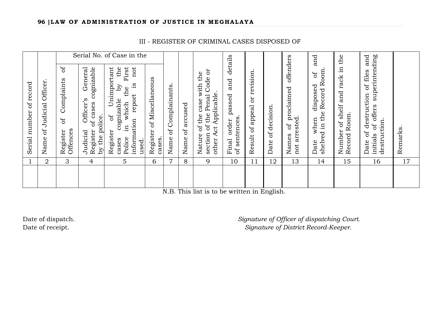Serial No. of Case in the Final order passed and details Names of proclaimed offenders Date when disposed of and Number of shelf and rack in the Date of destruction of files and initials of offers superintending details offenders and Number of shelf and rack in the<br>Record Room. Date of destruction of files and<br>initials of offers superintending  $\sigma$ Register of Complaints of Judicial Officer's General Register of cases cognizable nimportant the cases cognizable by the Police in which the First information report is not General cognizable Unimportant First not section of the Penal Code or shelved in the Record Room. shelved in the Record Room. Nature of the case with the<br>section of the Penal Code or Result of appeal or revision. Result of appeal or revision. Nature of the case with the JÓ Register of Miscellaneous of Miscellaneous and Complaints Name of Judicial Officer. Name of Judicial Officer. Serial number of record Serial number of record  $\tilde{\mathcal{S}}$ .g Complainants. Name of Complainants. the disposed proclaimed other Act Applicable. passed other Act Applicable. report Officer's cognizable which of cases Register of U Name of accused Name of accused Date of decision. Date of decision. Record Room. ЪÇ Names of pr<br>not arrested. by the police. by the police. of sentences. of sentences. not arrested. order when  $\overline{d}$ information destruction. destruction.  $\ddot{H}$ Register<br>Offences Register **Remarks** Remarks. Register Register Name of Offences Judicial Police cases cases. Final cases. Date used. 1 2 3 4 5 6 7 8 9 10 11 12 13 14 15 16 17

N.B. This list is to be written in English.

Date of dispatch. *Signature of Officer of dispatching Court.* Date of receipt. *Signature of District Record-Keeper.*

III - REGISTER OF CRIMINAL CASES DISPOSED OF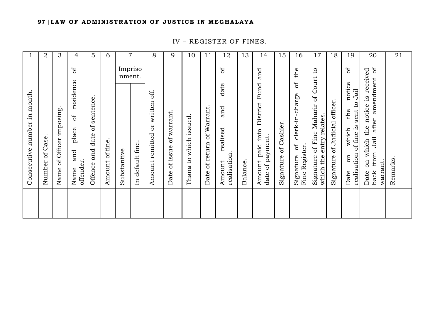IV – REGISTER OF FINES.

|                                         | $\boldsymbol{2}$  | 3                                       | 4                                                                      | 5                                                 | 6                  |             | $\overline{7}$                                    | 8                                           | 9                               | 10                                         | 11                                        | 12                                                    | 13      | 14                                                                    | 15                      | 16                                                                           | 17                                                                                                | 18                                                  | 19                                                                                                                | 20                                                                                                                                                     | 21      |
|-----------------------------------------|-------------------|-----------------------------------------|------------------------------------------------------------------------|---------------------------------------------------|--------------------|-------------|---------------------------------------------------|---------------------------------------------|---------------------------------|--------------------------------------------|-------------------------------------------|-------------------------------------------------------|---------|-----------------------------------------------------------------------|-------------------------|------------------------------------------------------------------------------|---------------------------------------------------------------------------------------------------|-----------------------------------------------------|-------------------------------------------------------------------------------------------------------------------|--------------------------------------------------------------------------------------------------------------------------------------------------------|---------|
| month<br>$\Xi$<br>number<br>Consecutive | of Case<br>Number | imposing<br>Officer<br>$\sigma$<br>Name | ðf<br>residence<br>$\mathfrak{b}$<br>place<br>and<br>offender.<br>Name | sentence<br>$\rm ^{of}$<br>date<br>and<br>Offence | of fine.<br>Amount | Substantive | Impriso<br>nment.<br>default fine<br>$\mathbf{H}$ | off.<br>written<br>to<br>remitted<br>Amount | of warrant.<br>of issue<br>Date | issued<br>which<br>$\mathfrak{O}$<br>Thana | Warrant.<br>$\sigma$<br>of return<br>Date | ზ<br>date<br>and<br>realised<br>realisation<br>Amount | Balance | and<br>Fund<br>District<br>into<br>date of payment.<br>paid<br>Amount | of Cashier<br>Signature | the<br>ЪÇ<br>clerk-in-charge<br>$\mathfrak{b}$<br>Fine Register<br>Signature | $\mathsf{c}_1$<br>Court<br>bf<br>of Fine Maharir<br>relates<br>entry<br>Signature<br>the<br>which | officer.<br>Judicial<br>$\mathfrak{b}$<br>Signature | $\sigma$<br>notice<br>Jail<br>$\mathfrak{c}_1$<br>sent<br>the<br>of fine is<br>which<br>realisation<br>on<br>Date | bf<br>received<br>amendment<br>$\frac{3}{10}$<br>notice<br>after<br>the<br>Jail<br>which<br>from<br>$\overline{\text{CD}}$<br>warrant.<br>Date<br>back | Remarks |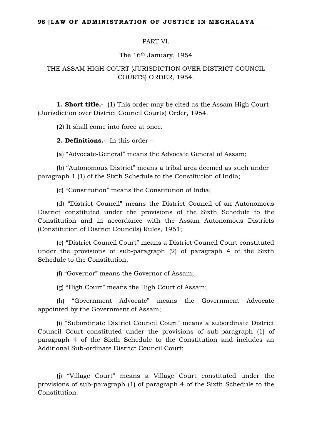### PART VI.

The 16th January, 1954

# THE ASSAM HIGH COURT (JURISDICTION OVER DISTRICT COUNCIL COURTS) ORDER, 1954.

**1. Short title.-** (1) This order may be cited as the Assam High Court (Jurisdiction over District Council Courts) Order, 1954.

(2) It shall come into force at once.

**2. Definitions.-** In this order –

(a) "Advocate-General" means the Advocate General of Assam;

(b) "Autonomous District" means a tribal area deemed as such under paragraph 1 (1) of the Sixth Schedule to the Constitution of India;

(c) "Constitution" means the Constitution of India;

(d) "District Council" means the District Council of an Autonomous District constituted under the provisions of the Sixth Schedule to the Constitution and in accordance with the Assam Autonomous Districts (Constitution of District Councils) Rules, 1951;

(e) "District Council Court" means a District Council Court constituted under the provisions of sub-paragraph (2) of paragraph 4 of the Sixth Schedule to the Constitution;

(f) "Governor" means the Governor of Assam;

(g) "High Court" means the High Court of Assam;

(h) "Government Advocate" means the Government Advocate appointed by the Government of Assam;

(i) "Subordinate District Council Court" means a subordinate District Council Court constituted under the provisions of sub-paragraph (1) of paragraph 4 of the Sixth Schedule to the Constitution and includes an Additional Sub-ordinate District Council Court;

(j) "Village Court" means a Village Court constituted under the provisions of sub-paragraph (1) of paragraph 4 of the Sixth Schedule to the Constitution.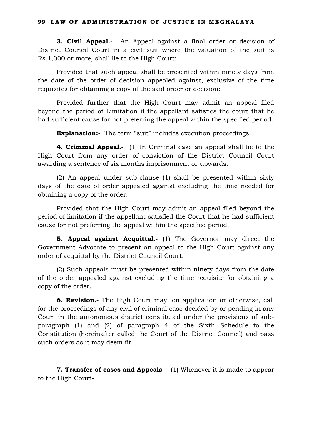**3. Civil Appeal.-** An Appeal against a final order or decision of District Council Court in a civil suit where the valuation of the suit is Rs.1,000 or more, shall lie to the High Court:

Provided that such appeal shall be presented within ninety days from the date of the order of decision appealed against, exclusive of the time requisites for obtaining a copy of the said order or decision:

Provided further that the High Court may admit an appeal filed beyond the period of Limitation if the appellant satisfies the court that he had sufficient cause for not preferring the appeal within the specified period.

**Explanation:**- The term "suit" includes execution proceedings.

**4. Criminal Appeal.-** (1) In Criminal case an appeal shall lie to the High Court from any order of conviction of the District Council Court awarding a sentence of six months imprisonment or upwards.

(2) An appeal under sub-clause (1) shall be presented within sixty days of the date of order appealed against excluding the time needed for obtaining a copy of the order:

Provided that the High Court may admit an appeal filed beyond the period of limitation if the appellant satisfied the Court that he had sufficient cause for not preferring the appeal within the specified period.

**5. Appeal against Acquittal.-** (1) The Governor may direct the Government Advocate to present an appeal to the High Court against any order of acquittal by the District Council Court.

(2) Such appeals must be presented within ninety days from the date of the order appealed against excluding the time requisite for obtaining a copy of the order.

**6. Revision.-** The High Court may, on application or otherwise, call for the proceedings of any civil of criminal case decided by or pending in any Court in the autonomous district constituted under the provisions of subparagraph (1) and (2) of paragraph 4 of the Sixth Schedule to the Constitution (hereinafter called the Court of the District Council) and pass such orders as it may deem fit.

**7. Transfer of cases and Appeals -** (1) Whenever it is made to appear to the High Court-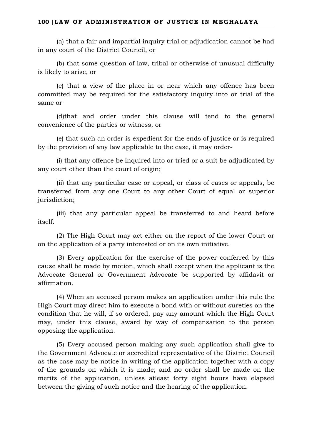(a) that a fair and impartial inquiry trial or adjudication cannot be had in any court of the District Council, or

(b) that some question of law, tribal or otherwise of unusual difficulty is likely to arise, or

(c) that a view of the place in or near which any offence has been committed may be required for the satisfactory inquiry into or trial of the same or

(d)that and order under this clause will tend to the general convenience of the parties or witness, or

(e) that such an order is expedient for the ends of justice or is required by the provision of any law applicable to the case, it may order-

(i) that any offence be inquired into or tried or a suit be adjudicated by any court other than the court of origin;

(ii) that any particular case or appeal, or class of cases or appeals, be transferred from any one Court to any other Court of equal or superior jurisdiction;

(iii) that any particular appeal be transferred to and heard before itself.

(2) The High Court may act either on the report of the lower Court or on the application of a party interested or on its own initiative.

(3) Every application for the exercise of the power conferred by this cause shall be made by motion, which shall except when the applicant is the Advocate General or Government Advocate be supported by affidavit or affirmation.

(4) When an accused person makes an application under this rule the High Court may direct him to execute a bond with or without sureties on the condition that he will, if so ordered, pay any amount which the High Court may, under this clause, award by way of compensation to the person opposing the application.

(5) Every accused person making any such application shall give to the Government Advocate or accredited representative of the District Council as the case may be notice in writing of the application together with a copy of the grounds on which it is made; and no order shall be made on the merits of the application, unless atleast forty eight hours have elapsed between the giving of such notice and the hearing of the application.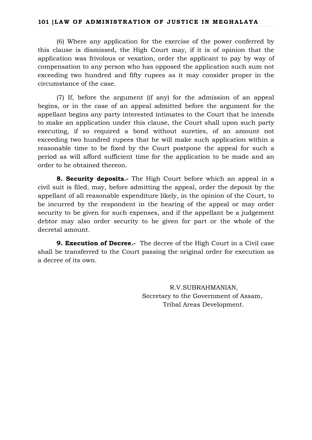(6) Where any application for the exercise of the power conferred by this clause is dismissed, the High Court may, if it is of opinion that the application was frivolous or vexation, order the applicant to pay by way of compensation to any person who has opposed the application such sum not exceeding two hundred and fifty rupees as it may consider proper in the circumstance of the case.

(7) If, before the argument (if any) for the admission of an appeal begins, or in the case of an appeal admitted before the argument for the appellant begins any party interested intimates to the Court that he intends to make an application under this clause, the Court shall upon such party executing, if so required a bond without sureties, of an amount not exceeding two hundred rupees that he will make such application within a reasonable time to be fixed by the Court postpone the appeal for such a period as will afford sufficient time for the application to be made and an order to be obtained thereon.

**8. Security deposits.-** The High Court before which an appeal in a civil suit is filed, may, before admitting the appeal, order the deposit by the appellant of all reasonable expenditure likely, in the opinion of the Court, to be incurred by the respondent in the hearing of the appeal or may order security to be given for such expenses, and if the appellant be a judgement debtor may also order security to be given for part or the whole of the decretal amount.

**9. Execution of Decree.-** The decree of the High Court in a Civil case shall be transferred to the Court passing the original order for execution as a decree of its own.

> R.V.SUBRAHMANIAN, Secretary to the Government of Assam, Tribal Areas Development.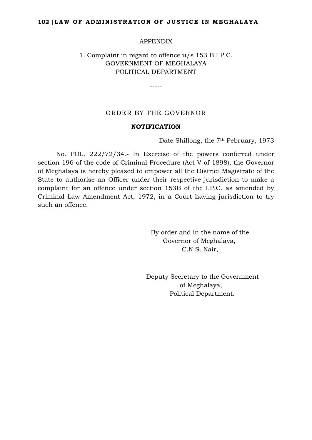### APPENDIX

# 1. Complaint in regard to offence u/s 153 B.I.P.C. GOVERNMENT OF MEGHALAYA POLITICAL DEPARTMENT

-----

# ORDER BY THE GOVERNOR

### **NOTIFICATION**

Date Shillong, the 7<sup>th</sup> February, 1973

No. POL. 222/72/34.- In Exercise of the powers conferred under section 196 of the code of Criminal Procedure (Act V of 1898), the Governor of Meghalaya is hereby pleased to empower all the District Magistrate of the State to authorise an Officer under their respective jurisdiction to make a complaint for an offence under section 153B of the I.P.C. as amended by Criminal Law Amendment Act, 1972, in a Court having jurisdiction to try such an offence.

> By order and in the name of the Governor of Meghalaya, C.N.S. Nair,

 Deputy Secretary to the Government of Meghalaya, Political Department.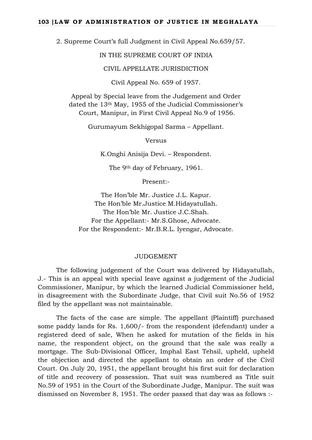2. Supreme Court's full Judgment in Civil Appeal No.659/57.

IN THE SUPREME COURT OF INDIA

CIVIL APPELLATE JURISDICTION

Civil Appeal No. 659 of 1957.

Appeal by Special leave from the Judgement and Order dated the 13th May, 1955 of the Judicial Commissioner's Court, Manipur, in First Civil Appeal No.9 of 1956.

Gurumayum Sekhigopal Sarma – Appellant.

Versus

K.Onghi Anisija Devi. – Respondent.

The 9th day of February, 1961.

Present:-

The Hon'ble Mr. Justice J.L. Kapur. The Hon'ble Mr.Justice M.Hidayatullah. The Hon'ble Mr. Justice J.C.Shah. For the Appellant:- Mr.S.Ghose, Advocate. For the Respondent:- Mr.B.R.L. Iyengar, Advocate.

### JUDGEMENT

The following judgement of the Court was delivered by Hidayatullah, J.- This is an appeal with special leave against a judgement of the Judicial Commissioner, Manipur, by which the learned Judicial Commissioner held, in disagreement with the Subordinate Judge, that Civil suit No.56 of 1952 filed by the appellant was not maintainable.

The facts of the case are simple. The appellant (Plaintiff) purchased some paddy lands for Rs. 1,600/- from the respondent (defendant) under a registered deed of sale, When he asked for mutation of the fields in his name, the respondent object, on the ground that the sale was really a mortgage. The Sub-Divisional Officer, Imphal East Tehsil, upheld, upheld the objection and directed the appellant to obtain an order of the Civil Court. On July 20, 1951, the appellant brought his first suit for declaration of title and recovery of possession. That suit was numbered as Title suit No.59 of 1951 in the Court of the Subordinate Judge, Manipur. The suit was dismissed on November 8, 1951. The order passed that day was as follows :-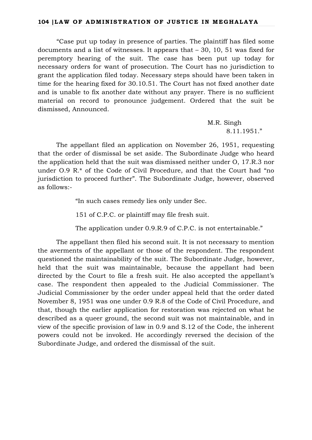"Case put up today in presence of parties. The plaintiff has filed some documents and a list of witnesses. It appears that – 30, 10, 51 was fixed for peremptory hearing of the suit. The case has been put up today for necessary orders for want of prosecution. The Court has no jurisdiction to grant the application filed today. Necessary steps should have been taken in time for the hearing fixed for 30.10.51. The Court has not fixed another date and is unable to fix another date without any prayer. There is no sufficient material on record to pronounce judgement. Ordered that the suit be dismissed, Announced.

> M.R. Singh 8.11.1951."

The appellant filed an application on November 26, 1951, requesting that the order of dismissal be set aside. The Subordinate Judge who heard the application held that the suit was dismissed neither under O, 17.R.3 nor under O.9 R.\* of the Code of Civil Procedure, and that the Court had "no jurisdiction to proceed further". The Subordinate Judge, however, observed as follows:-

"In such cases remedy lies only under Sec.

151 of C.P.C. or plaintiff may file fresh suit.

The application under 0.9.R.9 of C.P.C. is not entertainable."

The appellant then filed his second suit. It is not necessary to mention the averments of the appellant or those of the respondent. The respondent questioned the maintainability of the suit. The Subordinate Judge, however, held that the suit was maintainable, because the appellant had been directed by the Court to file a fresh suit. He also accepted the appellant's case. The respondent then appealed to the Judicial Commissioner. The Judicial Commissioner by the order under appeal held that the order dated November 8, 1951 was one under 0.9 R.8 of the Code of Civil Procedure, and that, though the earlier application for restoration was rejected on what he described as a queer ground, the second suit was not maintainable, and in view of the specific provision of law in 0.9 and S.12 of the Code, the inherent powers could not be invoked. He accordingly reversed the decision of the Subordinate Judge, and ordered the dismissal of the suit.